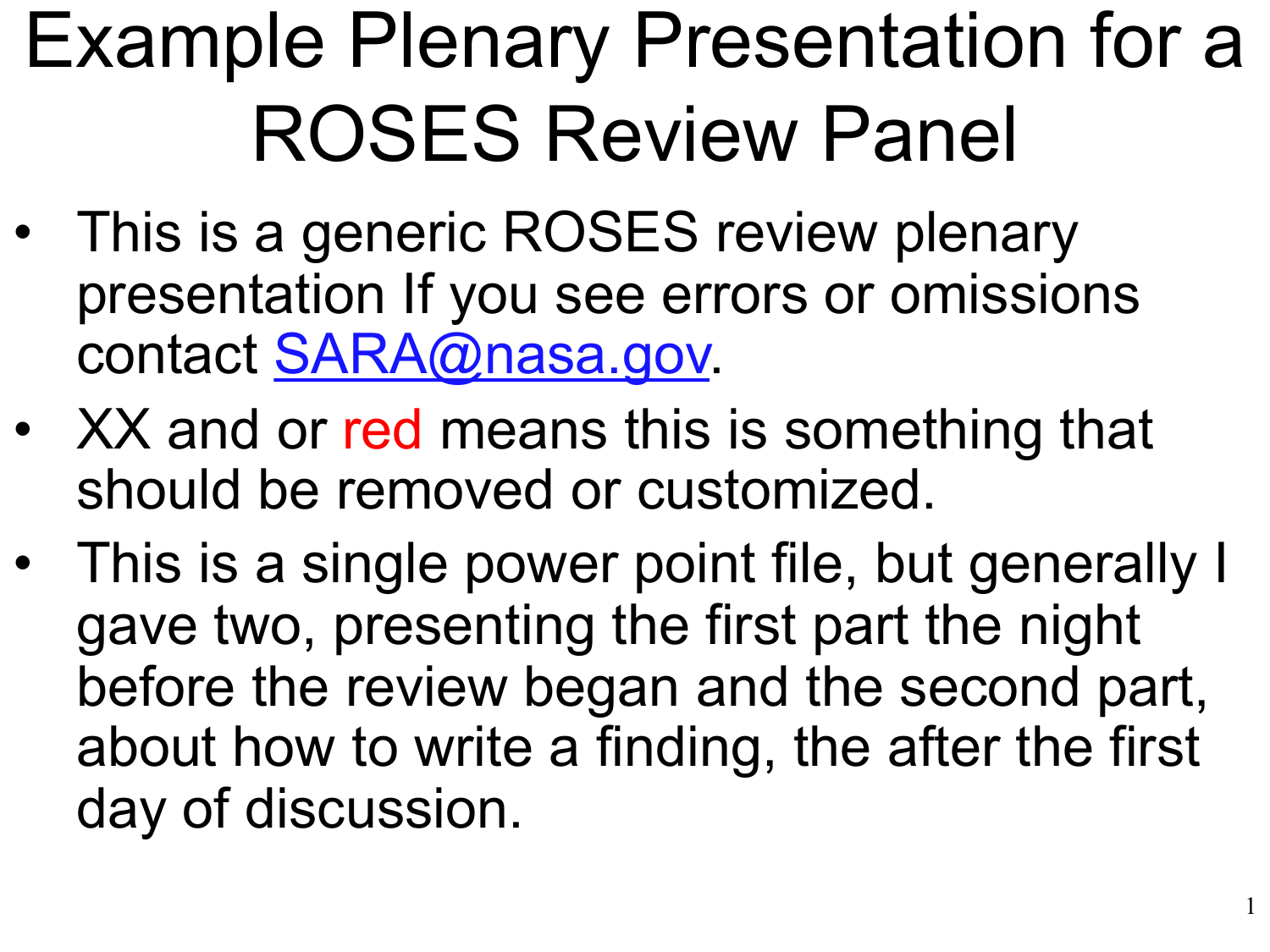# Example Plenary Presentation for a ROSES Review Panel

- This is a generic ROSES review plenary presentation If you see errors or omissions contact [SARA@nasa.gov.](mailto:SARA@nasa.gov)
- XX and or red means this is something that should be removed or customized.
- This is a single power point file, but generally I gave two, presenting the first part the night before the review began and the second part, about how to write a finding, the after the first day of discussion.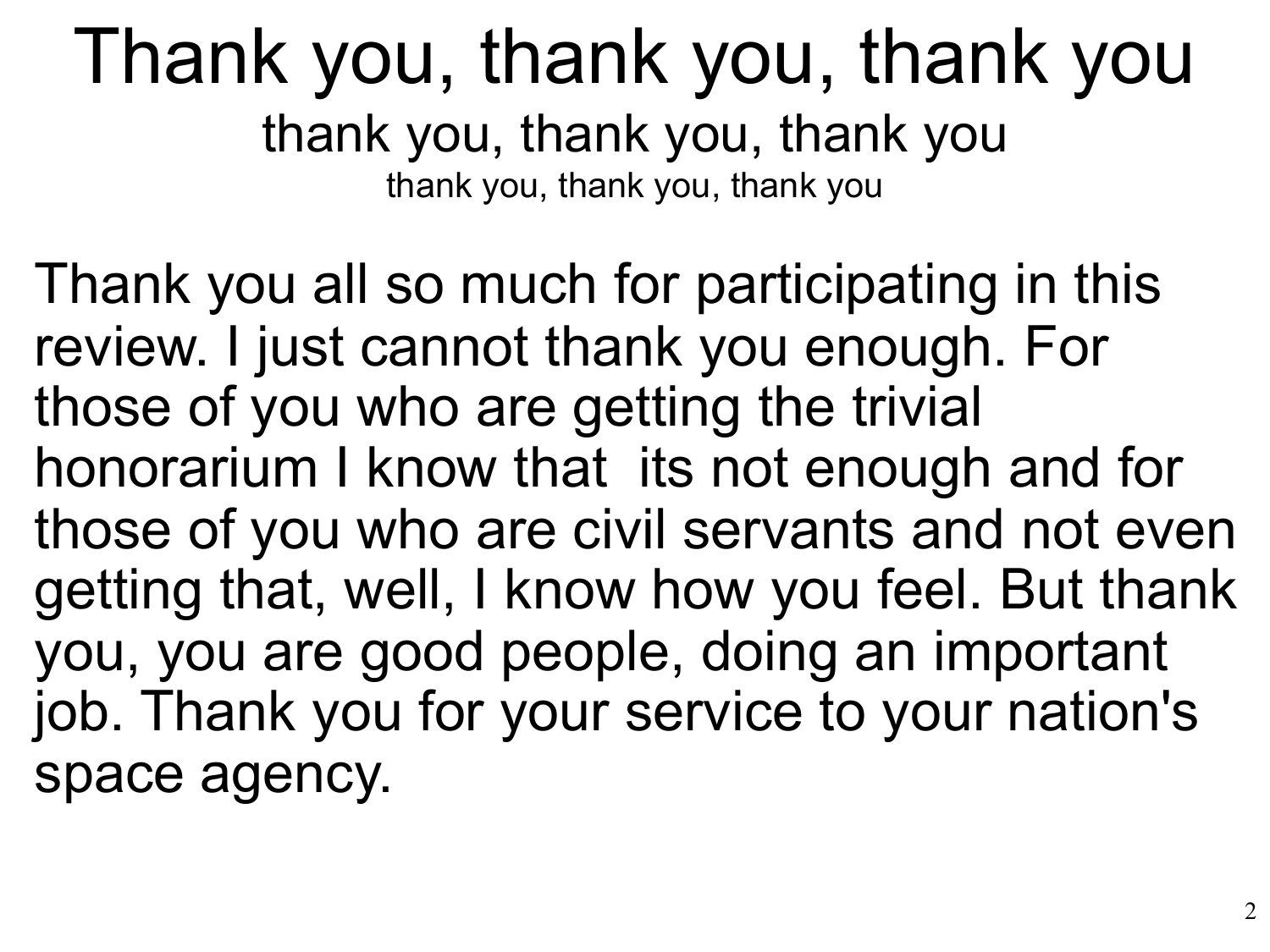#### Thank you, thank you, thank you thank you, thank you, thank you thank you, thank you, thank you

Thank you all so much for participating in this review. I just cannot thank you enough. For those of you who are getting the trivial honorarium I know that its not enough and for those of you who are civil servants and not even getting that, well, I know how you feel. But thank you, you are good people, doing an important job. Thank you for your service to your nation's space agency.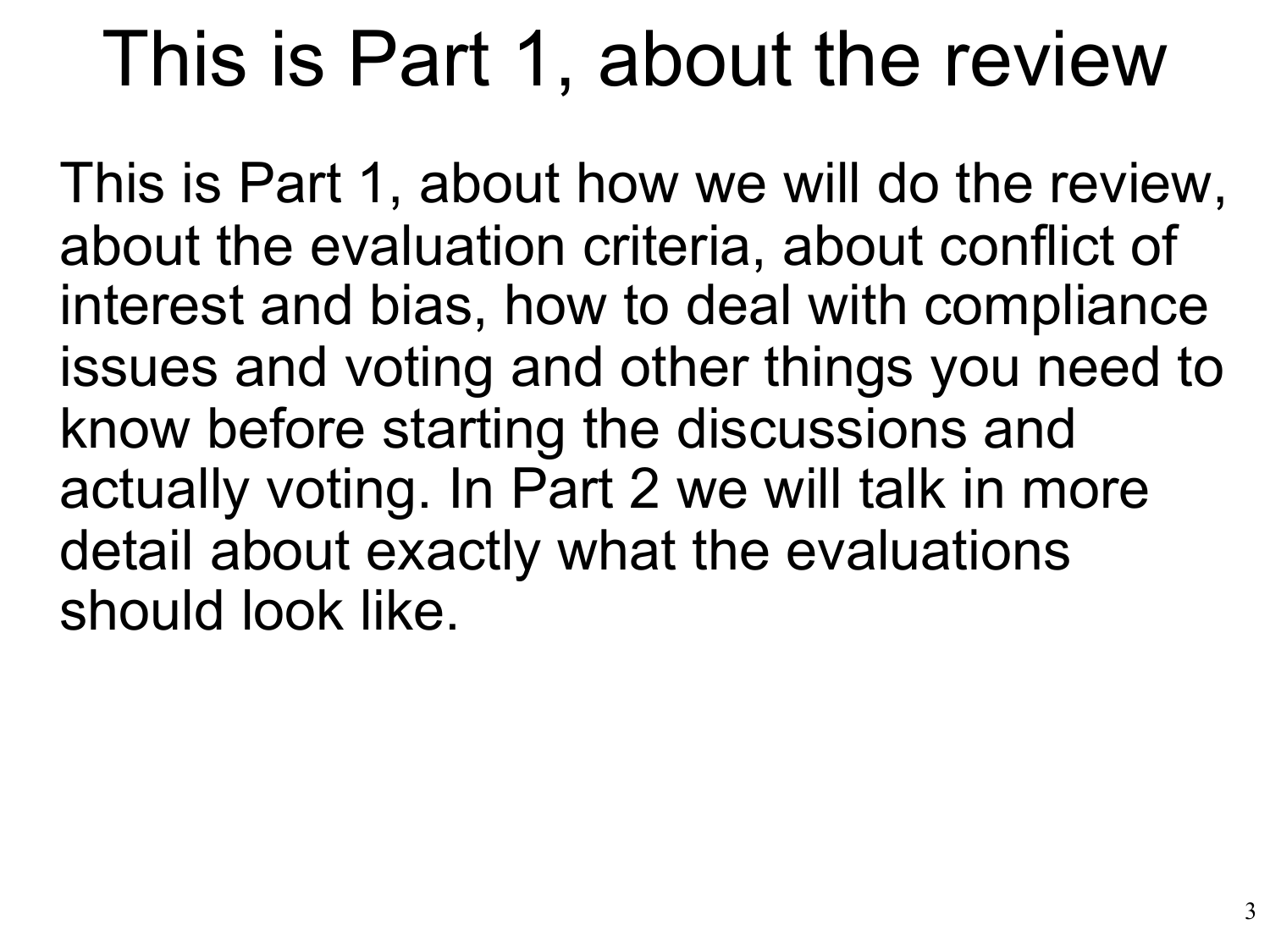### This is Part 1, about the review

This is Part 1, about how we will do the review, about the evaluation criteria, about conflict of interest and bias, how to deal with compliance issues and voting and other things you need to know before starting the discussions and actually voting. In Part 2 we will talk in more detail about exactly what the evaluations should look like.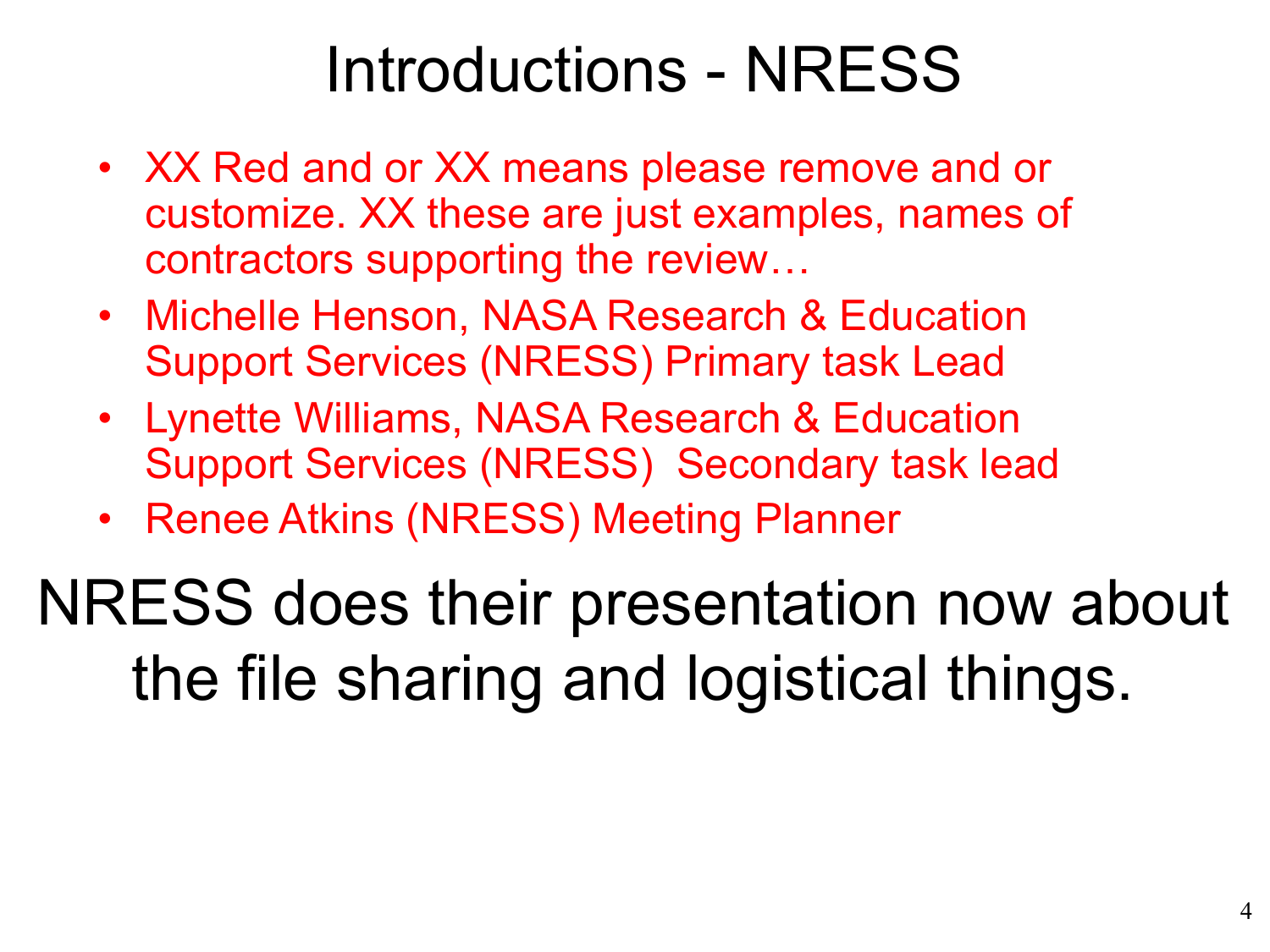#### Introductions - NRESS

- XX Red and or XX means please remove and or customize. XX these are just examples, names of contractors supporting the review…
- Michelle Henson, NASA Research & Education Support Services (NRESS) Primary task Lead
- Lynette Williams, NASA Research & Education Support Services (NRESS) Secondary task lead
- Renee Atkins (NRESS) Meeting Planner

NRESS does their presentation now about the file sharing and logistical things.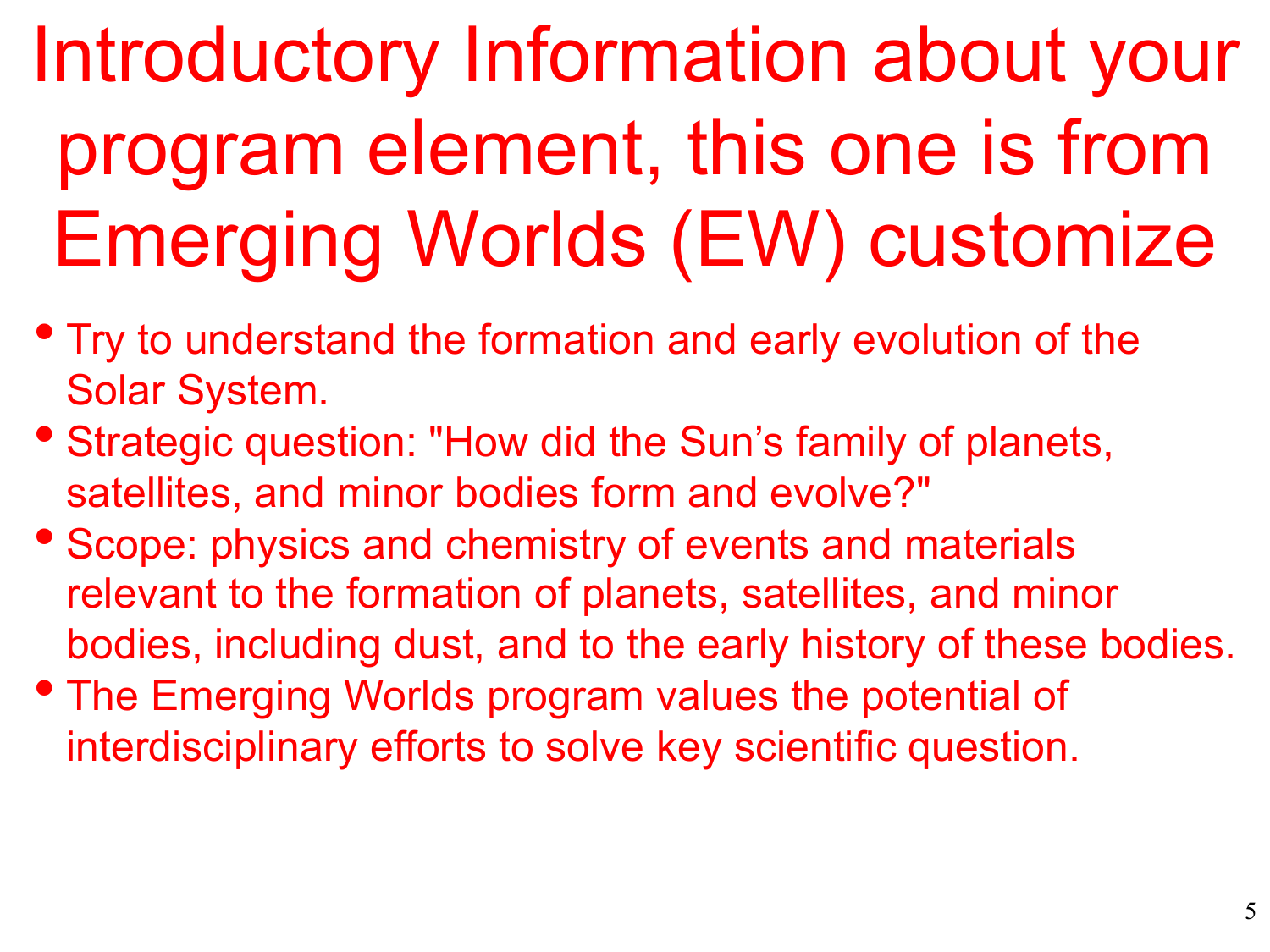# Introductory Information about your program element, this one is from Emerging Worlds (EW) customize

- Try to understand the formation and early evolution of the Solar System.
- Strategic question: "How did the Sun's family of planets, satellites, and minor bodies form and evolve?"
- Scope: physics and chemistry of events and materials relevant to the formation of planets, satellites, and minor bodies, including dust, and to the early history of these bodies.
- The Emerging Worlds program values the potential of interdisciplinary efforts to solve key scientific question.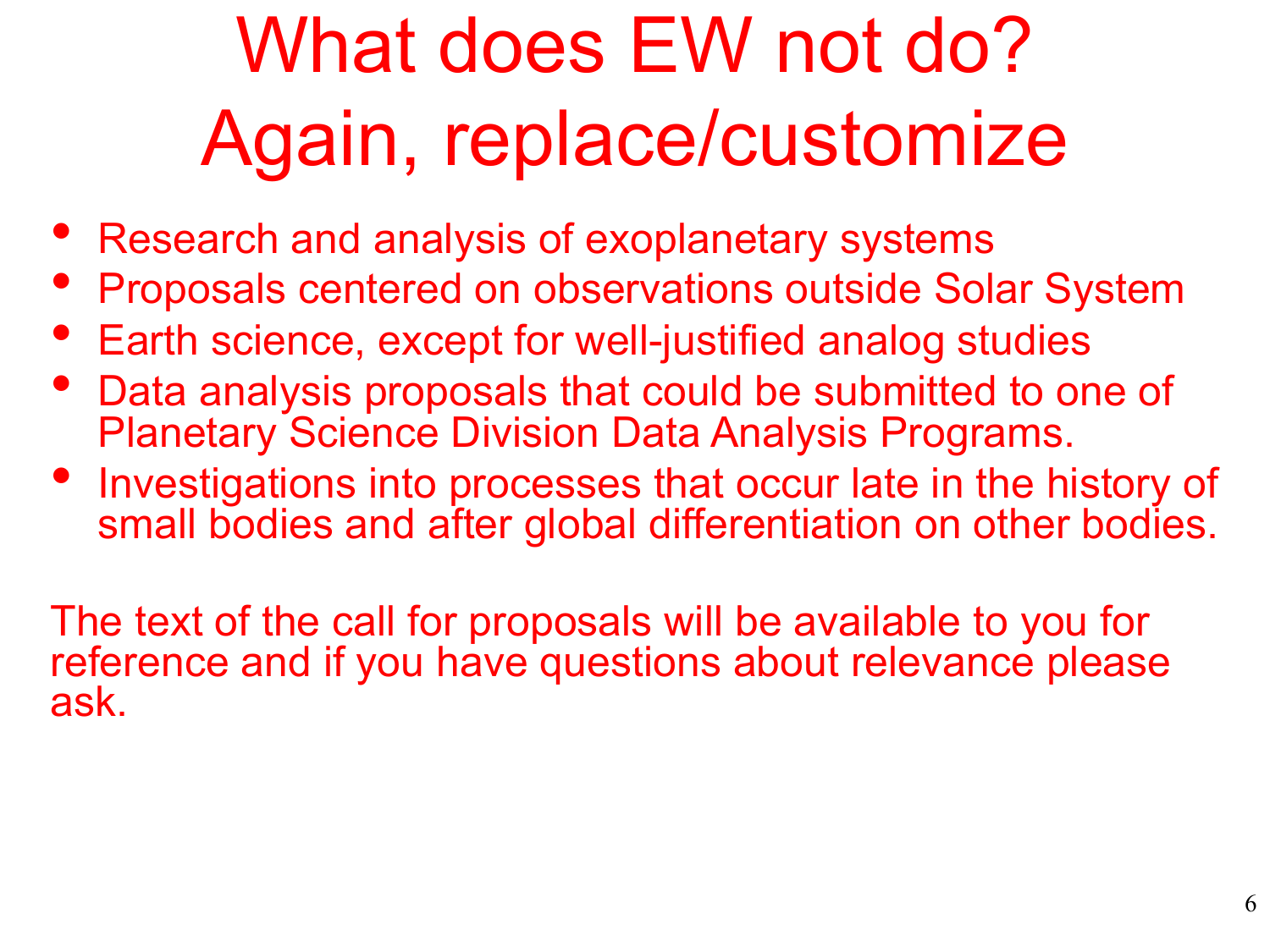# What does EW not do? Again, replace/customize

- Research and analysis of exoplanetary systems
- Proposals centered on observations outside Solar System
- Earth science, except for well-justified analog studies
- Data analysis proposals that could be submitted to one of Planetary Science Division Data Analysis Programs.
- Investigations into processes that occur late in the history of small bodies and after global differentiation on other bodies.

The text of the call for proposals will be available to you for reference and if you have questions about relevance please ask.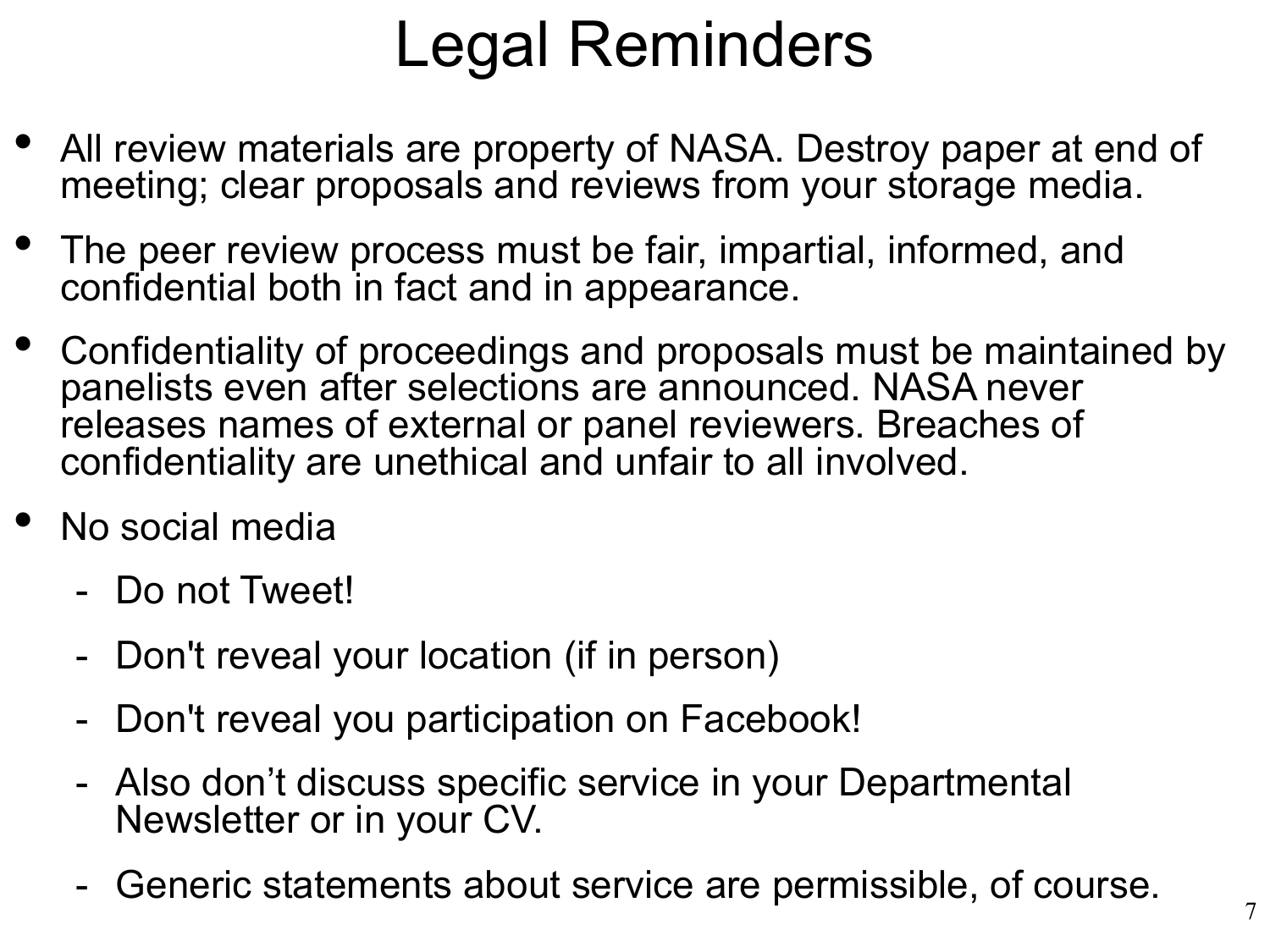#### Legal Reminders

- All review materials are property of NASA. Destroy paper at end of meeting; clear proposals and reviews from your storage media.
- The peer review process must be fair, impartial, informed, and confidential both in fact and in appearance.
- Confidentiality of proceedings and proposals must be maintained by panelists even after selections are announced. NASA never releases names of external or panel reviewers. Breaches of confidentiality are unethical and unfair to all involved.
- No social media
	- Do not Tweet!
	- Don't reveal your location (if in person)
	- Don't reveal you participation on Facebook!
	- Also don't discuss specific service in your Departmental Newsletter or in your CV.
	- Generic statements about service are permissible, of course.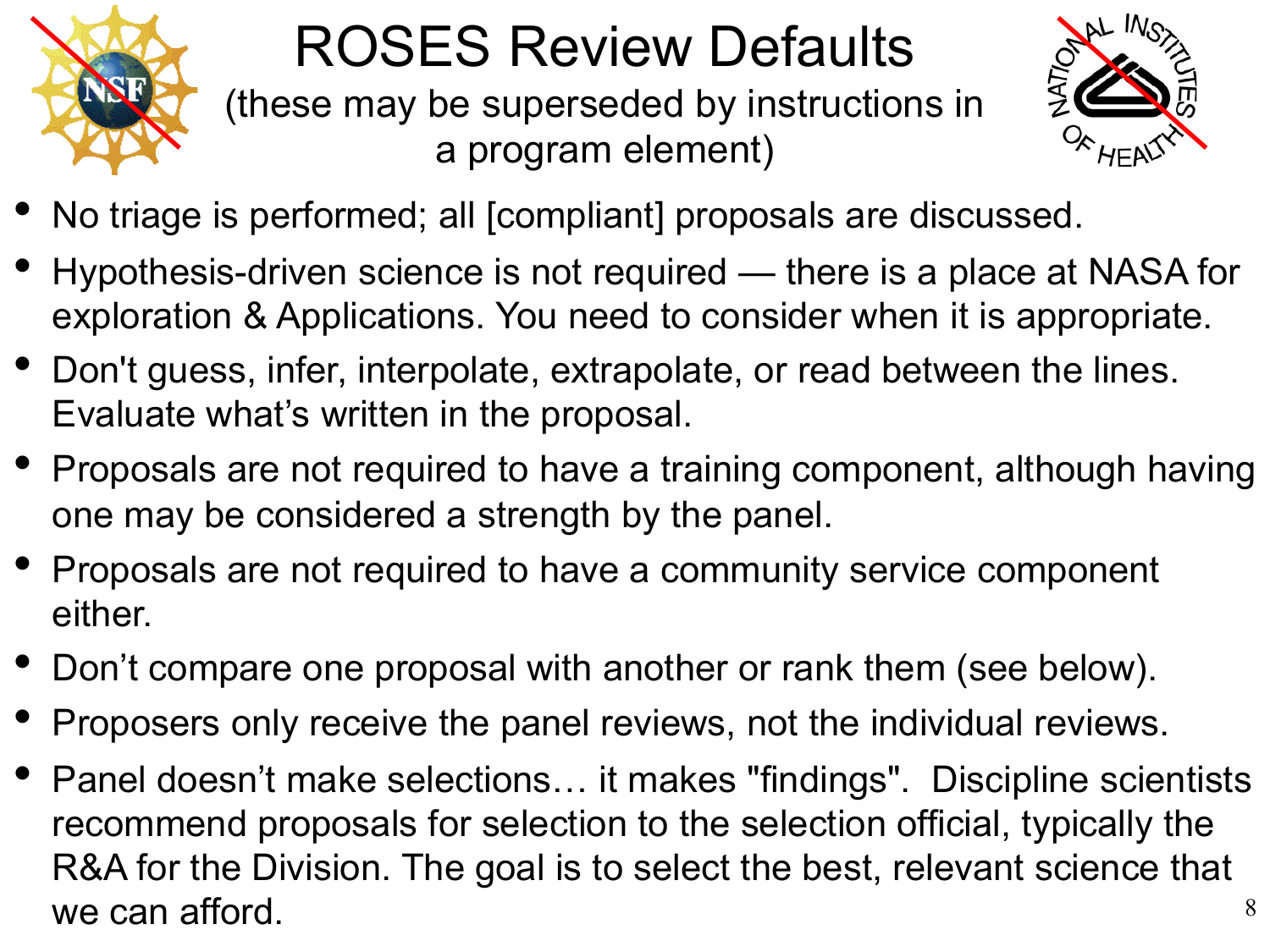

#### ROSES Review Defaults

(these may be superseded by instructions in a program element)



- No triage is performed; all [compliant] proposals are discussed.
- Hypothesis-driven science is not required there is a place at NASA for exploration & Applications. You need to consider when it is appropriate.
- Don't guess, infer, interpolate, extrapolate, or read between the lines. Evaluate what's written in the proposal.
- Proposals are not required to have a training component, although having one may be considered a strength by the panel.
- Proposals are not required to have a community service component either.
- Don't compare one proposal with another or rank them (see below).
- Proposers only receive the panel reviews, not the individual reviews.
- 8 • Panel doesn't make selections… it makes "findings". Discipline scientists recommend proposals for selection to the selection official, typically the R&A for the Division. The goal is to select the best, relevant science that we can afford.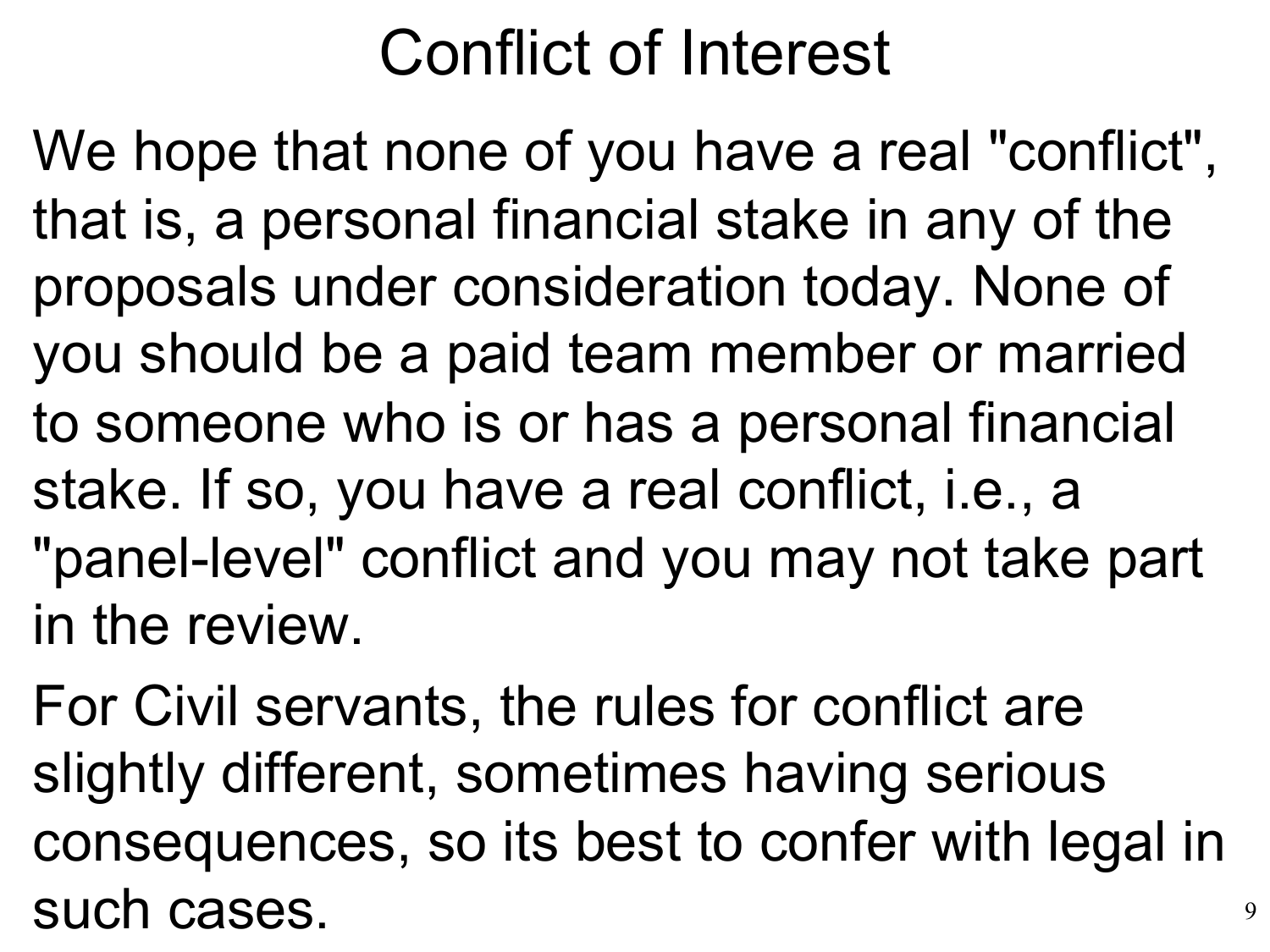#### Conflict of Interest

We hope that none of you have a real "conflict", that is, a personal financial stake in any of the proposals under consideration today. None of you should be a paid team member or married to someone who is or has a personal financial stake. If so, you have a real conflict, i.e., a "panel-level" conflict and you may not take part in the review.

For Civil servants, the rules for conflict are slightly different, sometimes having serious consequences, so its best to confer with legal in such cases.

9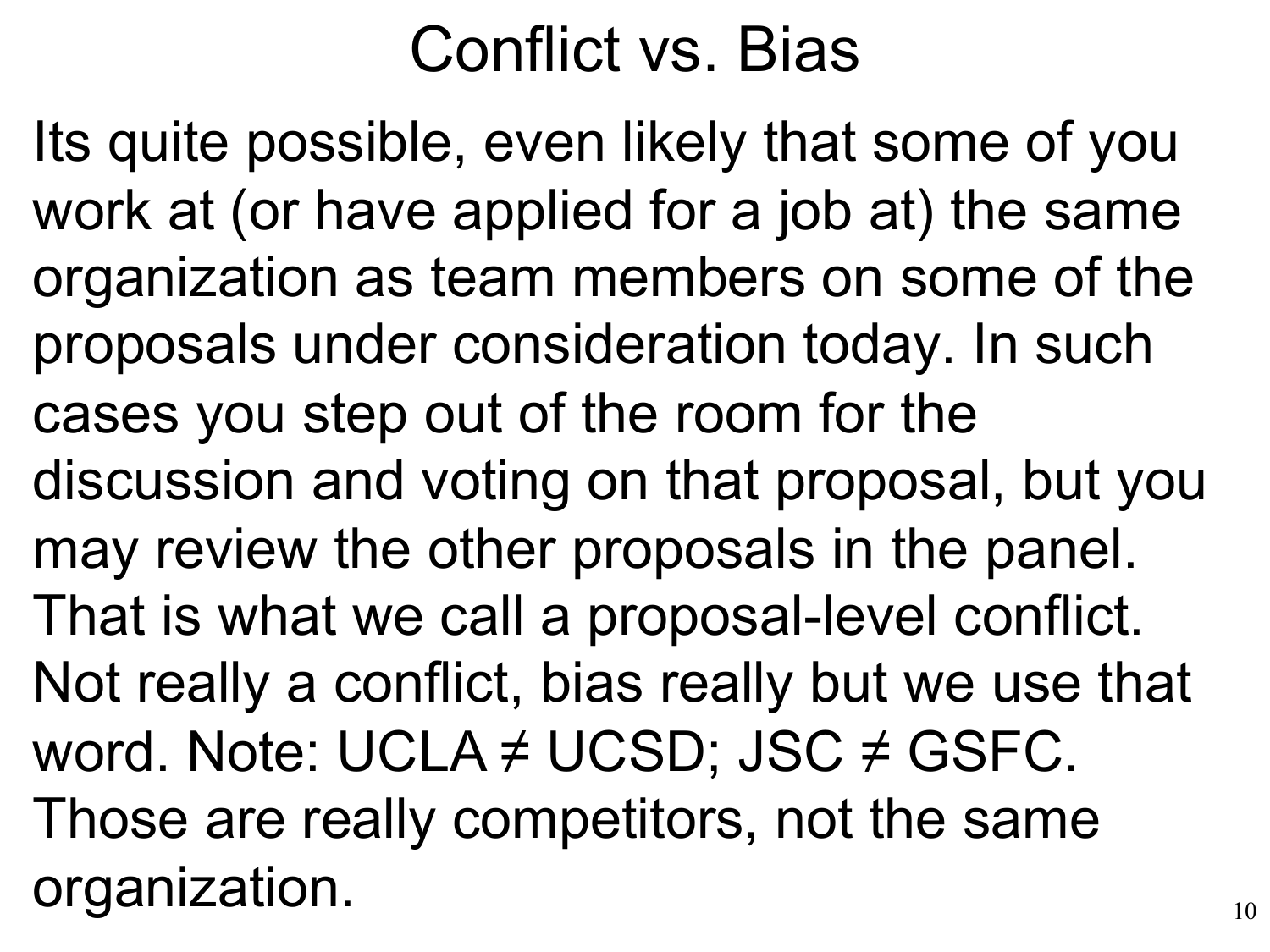#### Conflict vs. Bias

Its quite possible, even likely that some of you work at (or have applied for a job at) the same organization as team members on some of the proposals under consideration today. In such cases you step out of the room for the discussion and voting on that proposal, but you may review the other proposals in the panel. That is what we call a proposal-level conflict. Not really a conflict, bias really but we use that word. Note: UCLA  $\neq$  UCSD; JSC  $\neq$  GSFC. Those are really competitors, not the same organization.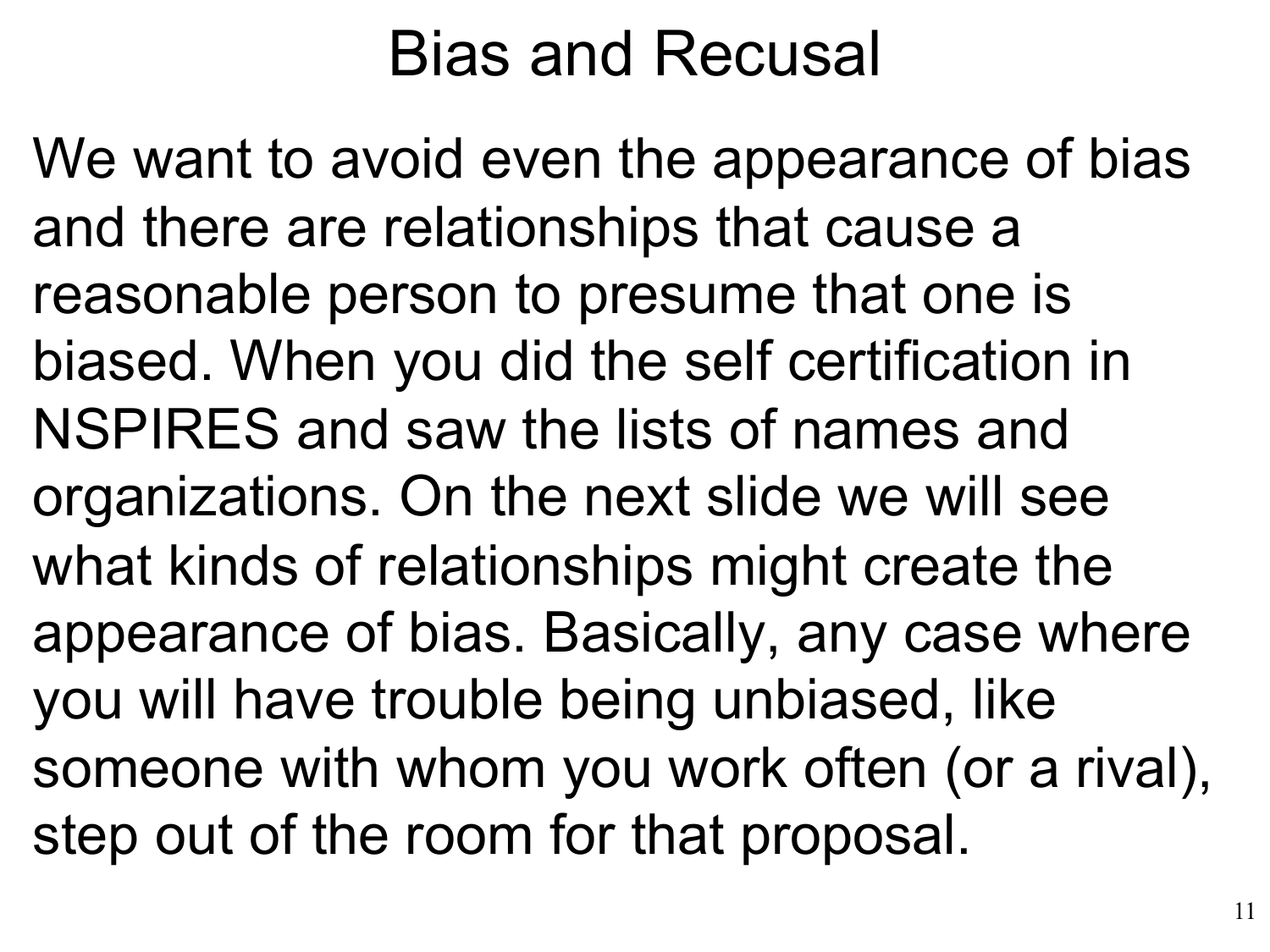#### Bias and Recusal

We want to avoid even the appearance of bias and there are relationships that cause a reasonable person to presume that one is biased. When you did the self certification in NSPIRES and saw the lists of names and organizations. On the next slide we will see what kinds of relationships might create the appearance of bias. Basically, any case where you will have trouble being unbiased, like someone with whom you work often (or a rival), step out of the room for that proposal.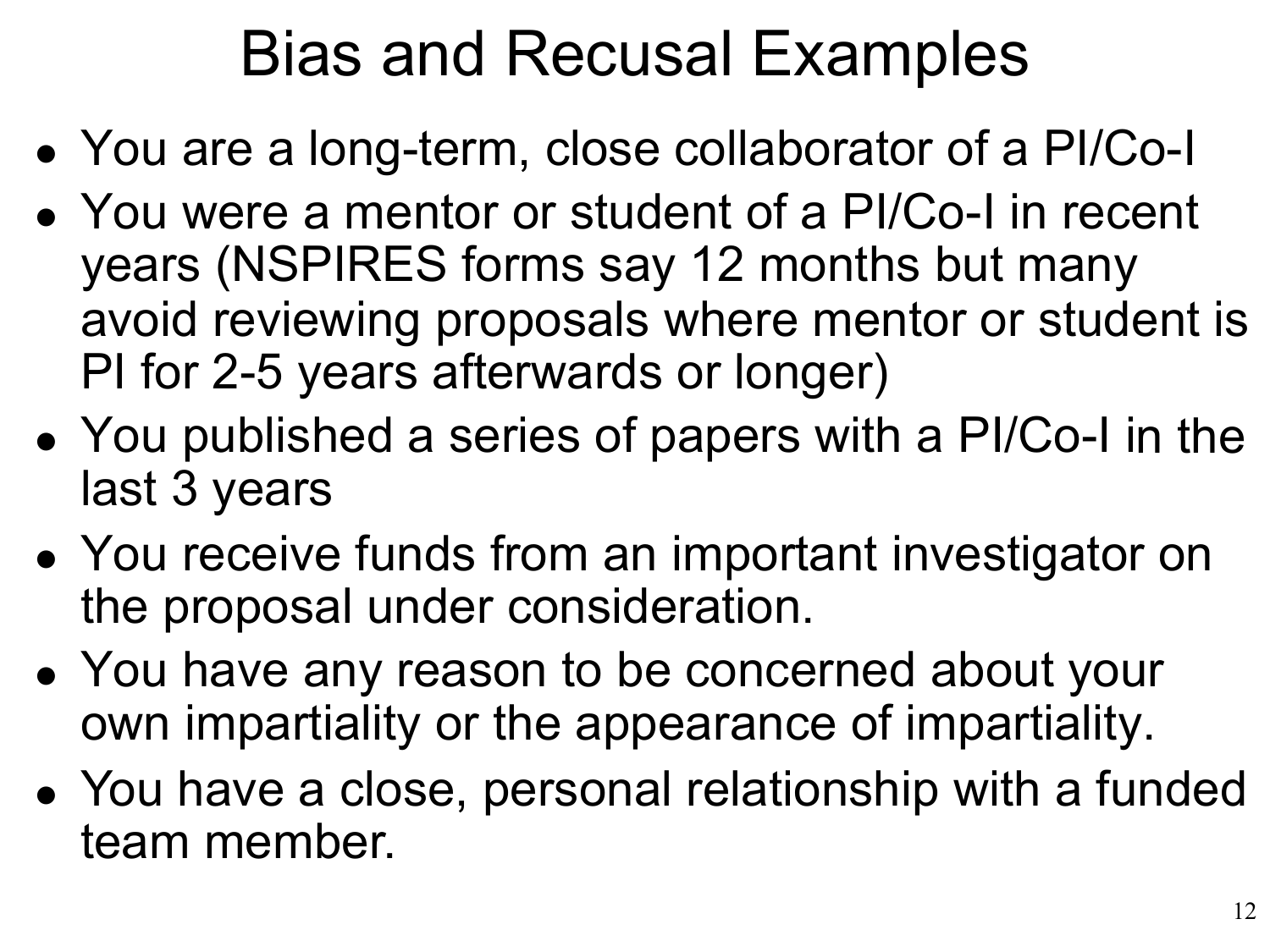#### Bias and Recusal Examples

- You are a long-term, close collaborator of a PI/Co-I •
- You were a mentor or student of a PI/Co-I in recent years (NSPIRES forms say 12 months but many avoid reviewing proposals where mentor or student is PI for 2-5 years afterwards or longer)
- You published a series of papers with a PI/Co-I in the last 3 years
- You receive funds from an important investigator on the proposal under consideration.
- You have any reason to be concerned about your own impartiality or the appearance of impartiality.
- You have a close, personal relationship with a funded •team member.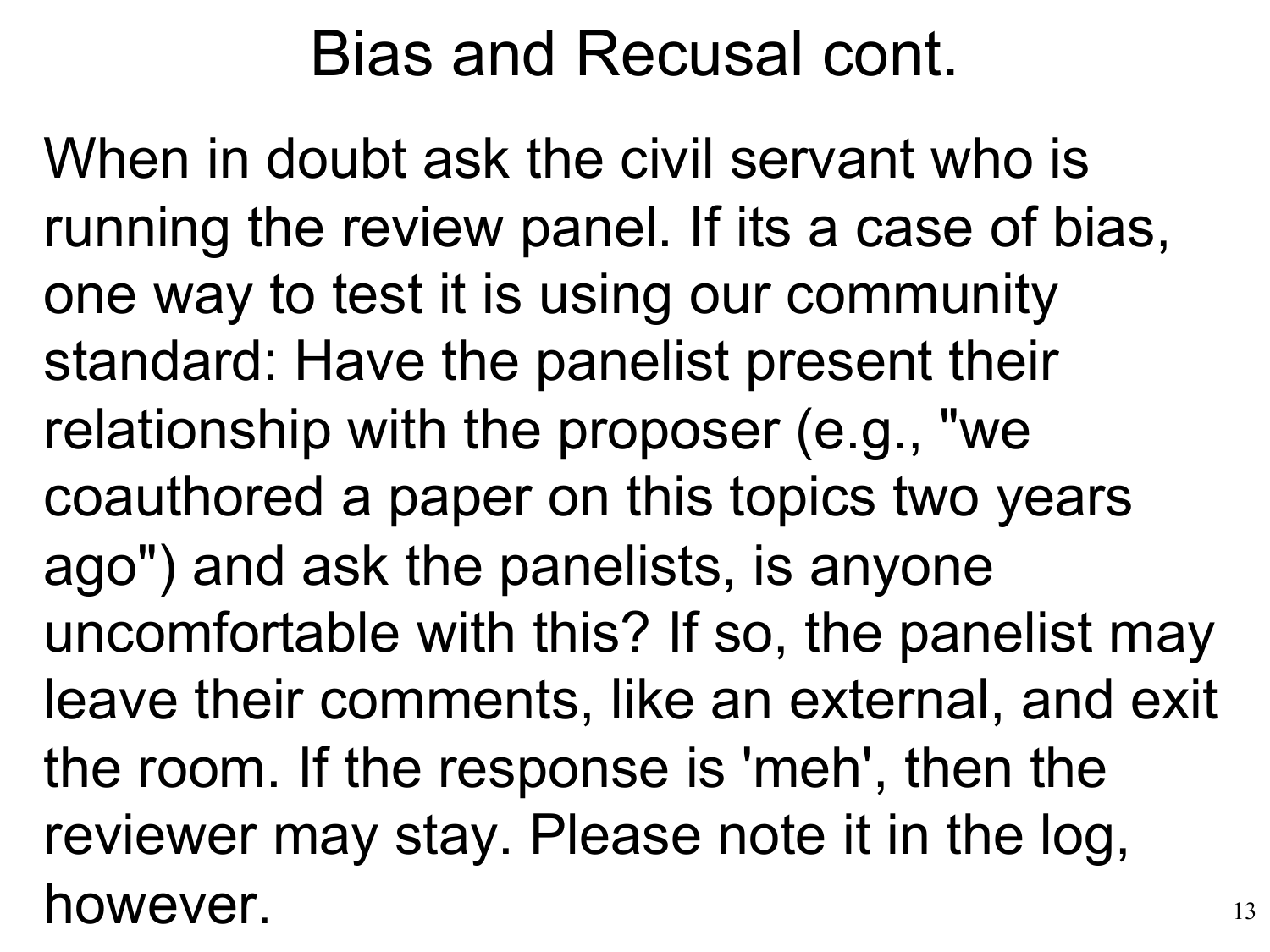#### Bias and Recusal cont.

When in doubt ask the civil servant who is running the review panel. If its a case of bias, one way to test it is using our community standard: Have the panelist present their relationship with the proposer (e.g., "we coauthored a paper on this topics two years ago") and ask the panelists, is anyone uncomfortable with this? If so, the panelist may leave their comments, like an external, and exit the room. If the response is 'meh', then the reviewer may stay. Please note it in the log, however.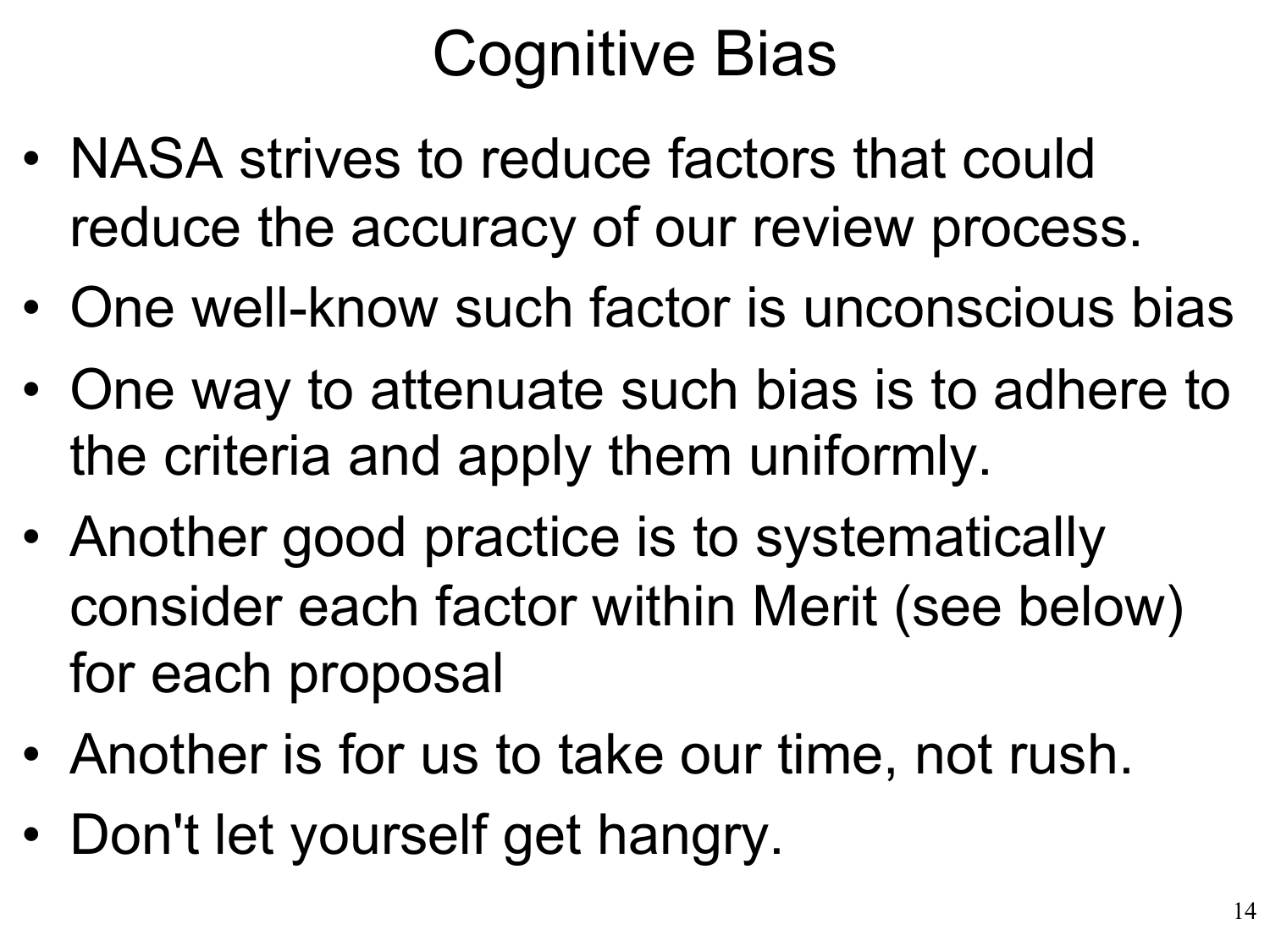#### Cognitive Bias

- NASA strives to reduce factors that could reduce the accuracy of our review process.
- One well-know such factor is unconscious bias
- One way to attenuate such bias is to adhere to the criteria and apply them uniformly.
- Another good practice is to systematically consider each factor within Merit (see below) for each proposal
- Another is for us to take our time, not rush.
- Don't let yourself get hangry.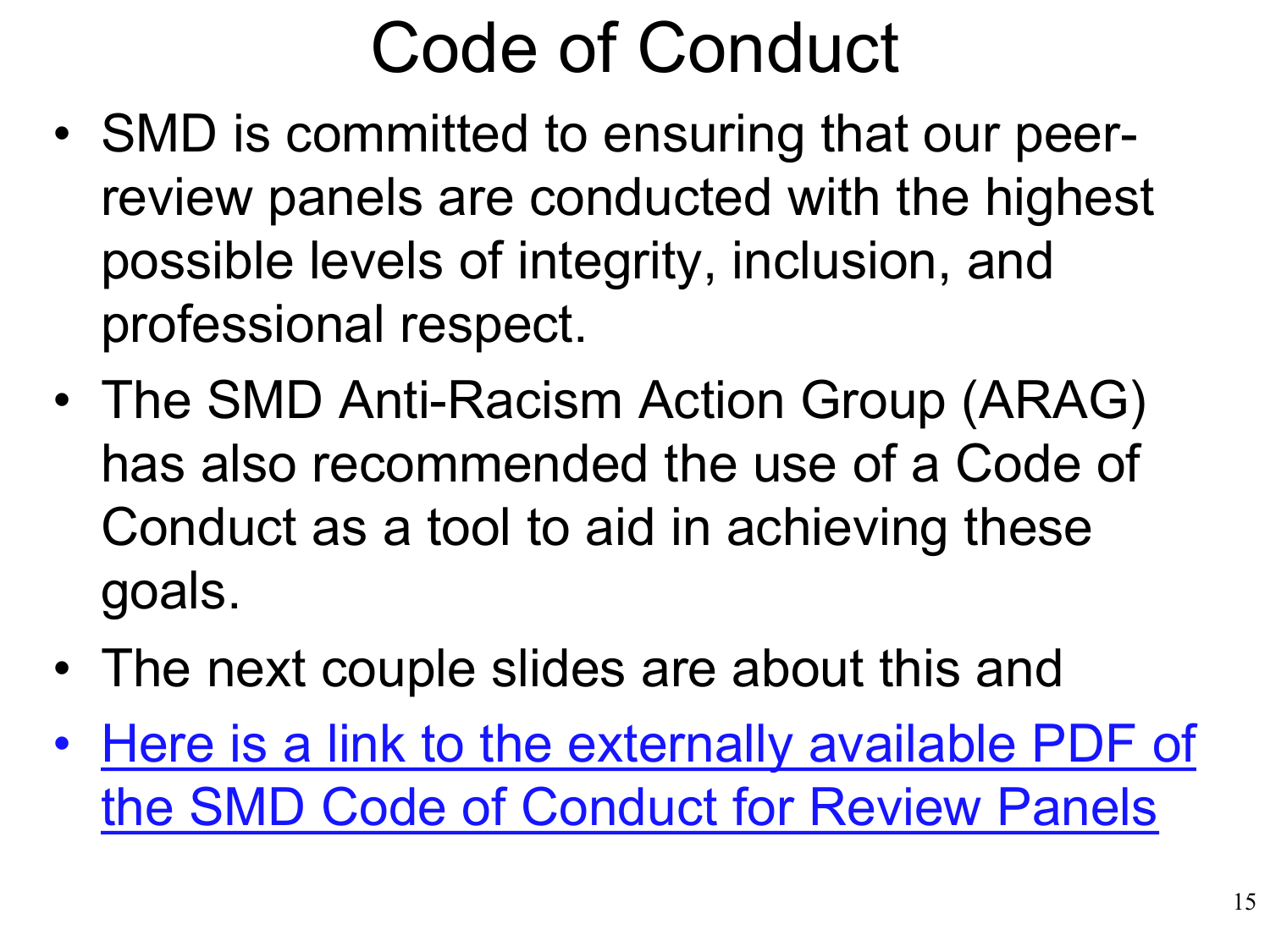### Code of Conduct

- SMD is committed to ensuring that our peerreview panels are conducted with the highest possible levels of integrity, inclusion, and professional respect.
- The SMD Anti-Racism Action Group (ARAG) has also recommended the use of a Code of Conduct as a tool to aid in achieving these goals.
- The next couple slides are about this and
- [Here is a link to the externally available PDF of](https://science.nasa.gov/science-red/s3fs-public/atoms/files/SMD%20Codes%20of%20Conduct%20for%20Review%20Panels_0.pdf)  the SMD Code of Conduct for Review Panels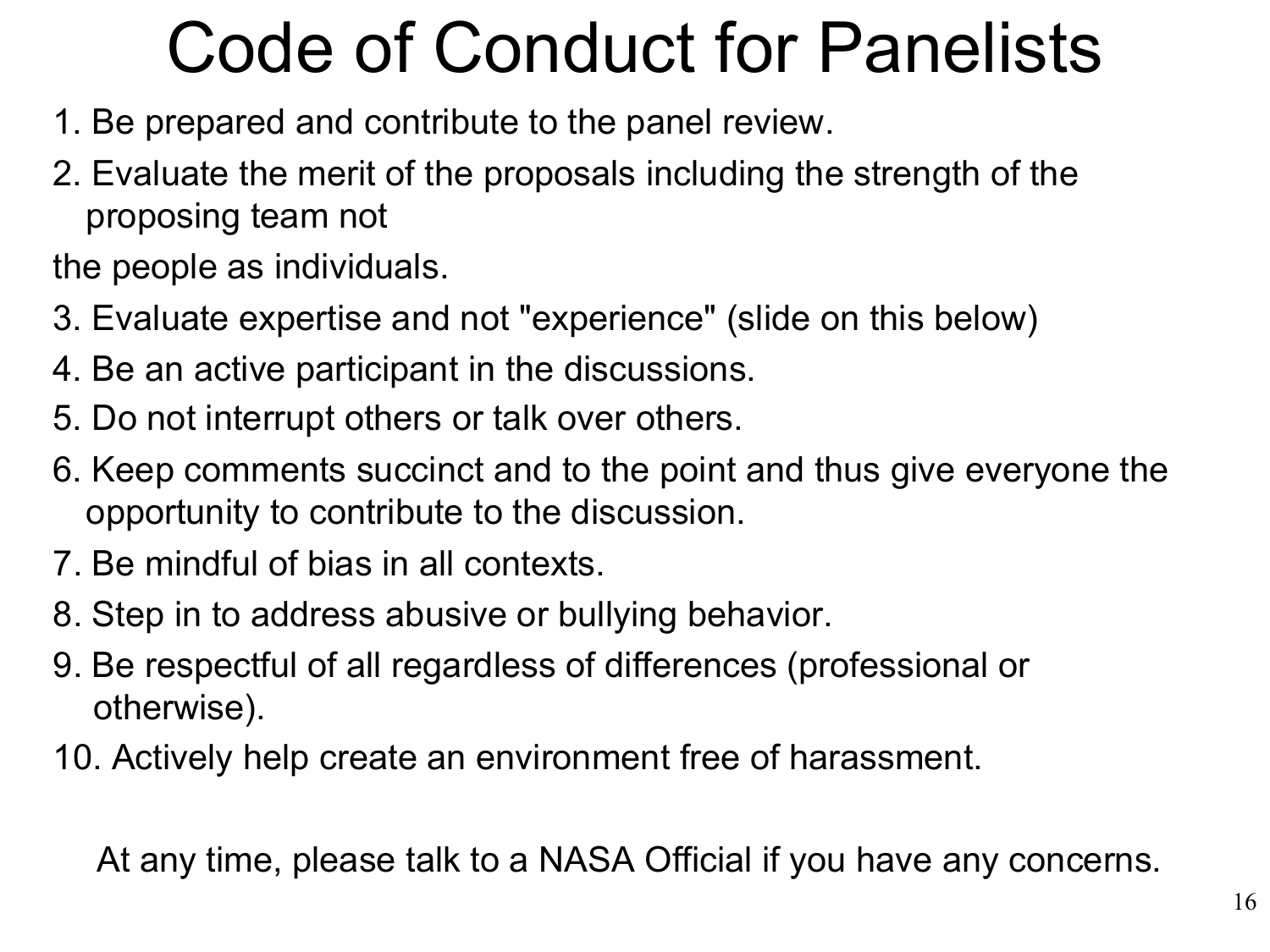### Code of Conduct for Panelists

- 1. Be prepared and contribute to the panel review.
- 2. Evaluate the merit of the proposals including the strength of the proposing team not

the people as individuals.

- 3. Evaluate expertise and not "experience" (slide on this below)
- 4. Be an active participant in the discussions.
- 5. Do not interrupt others or talk over others.
- 6. Keep comments succinct and to the point and thus give everyone the opportunity to contribute to the discussion.
- 7. Be mindful of bias in all contexts.
- 8. Step in to address abusive or bullying behavior.
- 9. Be respectful of all regardless of differences (professional or otherwise).
- 10. Actively help create an environment free of harassment.

At any time, please talk to a NASA Official if you have any concerns.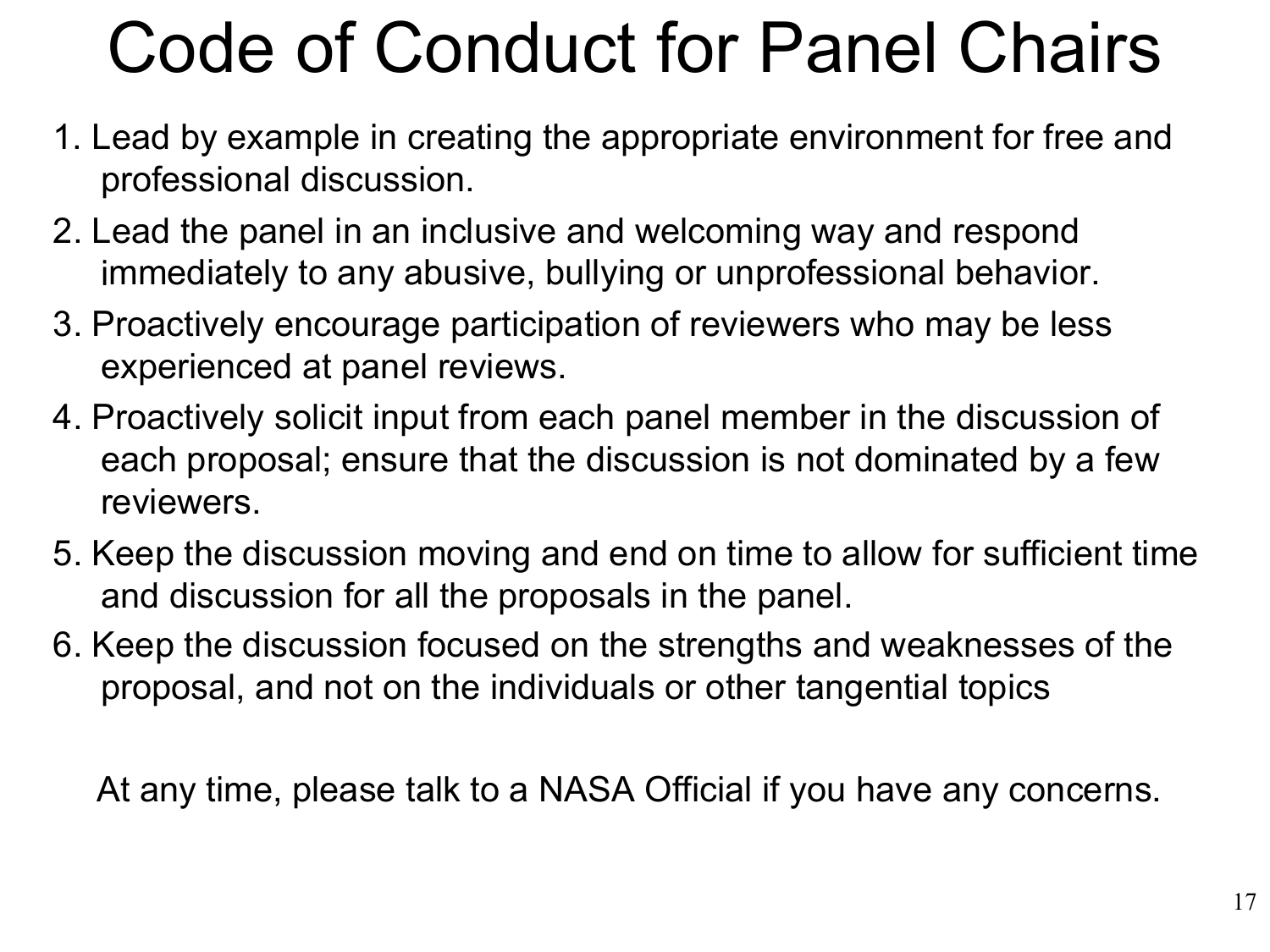### Code of Conduct for Panel Chairs

- 1. Lead by example in creating the appropriate environment for free and professional discussion.
- 2. Lead the panel in an inclusive and welcoming way and respond immediately to any abusive, bullying or unprofessional behavior.
- 3. Proactively encourage participation of reviewers who may be less experienced at panel reviews.
- 4. Proactively solicit input from each panel member in the discussion of each proposal; ensure that the discussion is not dominated by a few reviewers.
- 5. Keep the discussion moving and end on time to allow for sufficient time and discussion for all the proposals in the panel.
- 6. Keep the discussion focused on the strengths and weaknesses of the proposal, and not on the individuals or other tangential topics

At any time, please talk to a NASA Official if you have any concerns.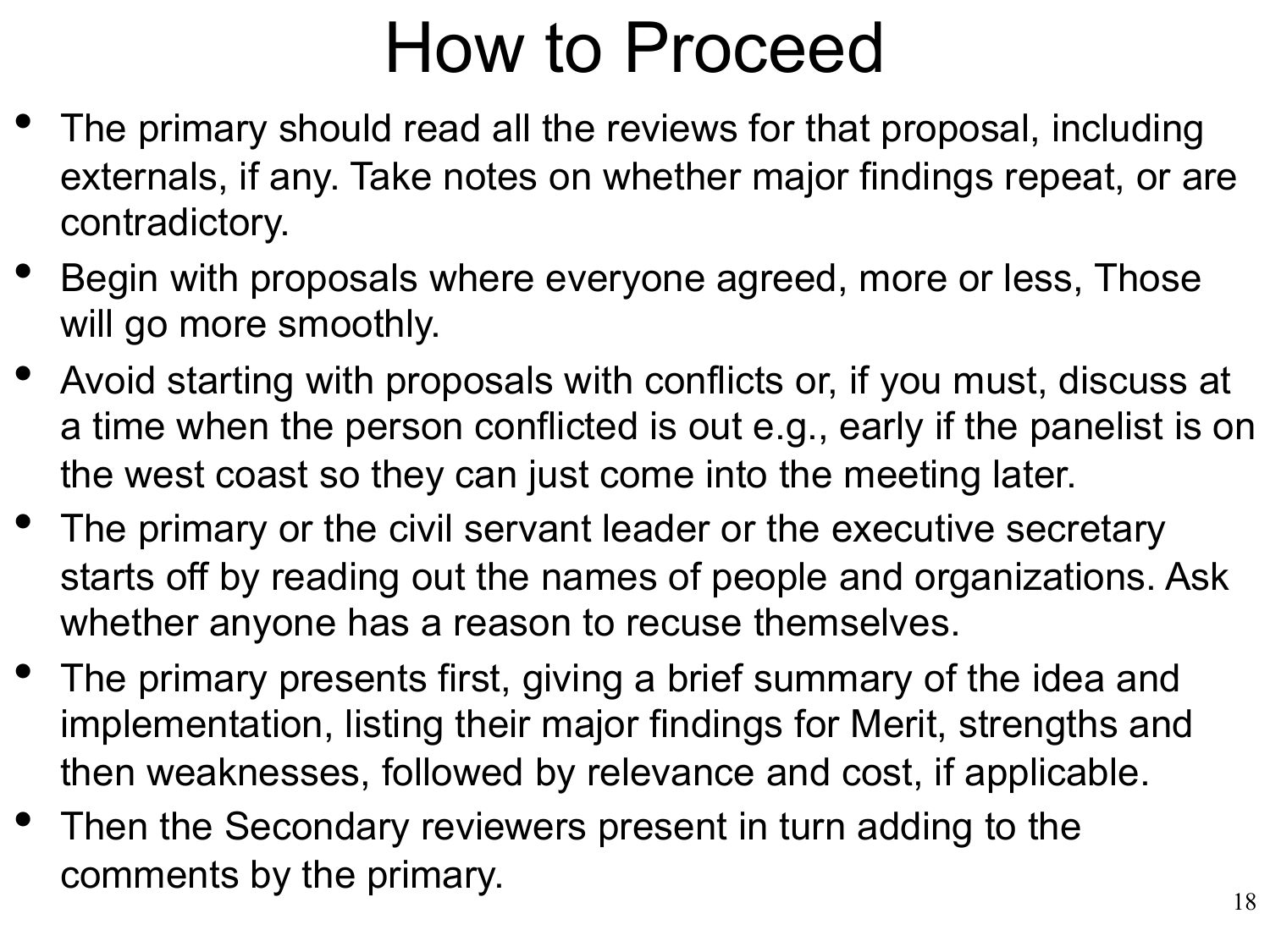#### How to Proceed

- The primary should read all the reviews for that proposal, including externals, if any. Take notes on whether major findings repeat, or are contradictory.
- Begin with proposals where everyone agreed, more or less, Those will go more smoothly.
- Avoid starting with proposals with conflicts or, if you must, discuss at a time when the person conflicted is out e.g., early if the panelist is on the west coast so they can just come into the meeting later.
- The primary or the civil servant leader or the executive secretary starts off by reading out the names of people and organizations. Ask whether anyone has a reason to recuse themselves.
- The primary presents first, giving a brief summary of the idea and implementation, listing their major findings for Merit, strengths and then weaknesses, followed by relevance and cost, if applicable.
- Then the Secondary reviewers present in turn adding to the comments by the primary.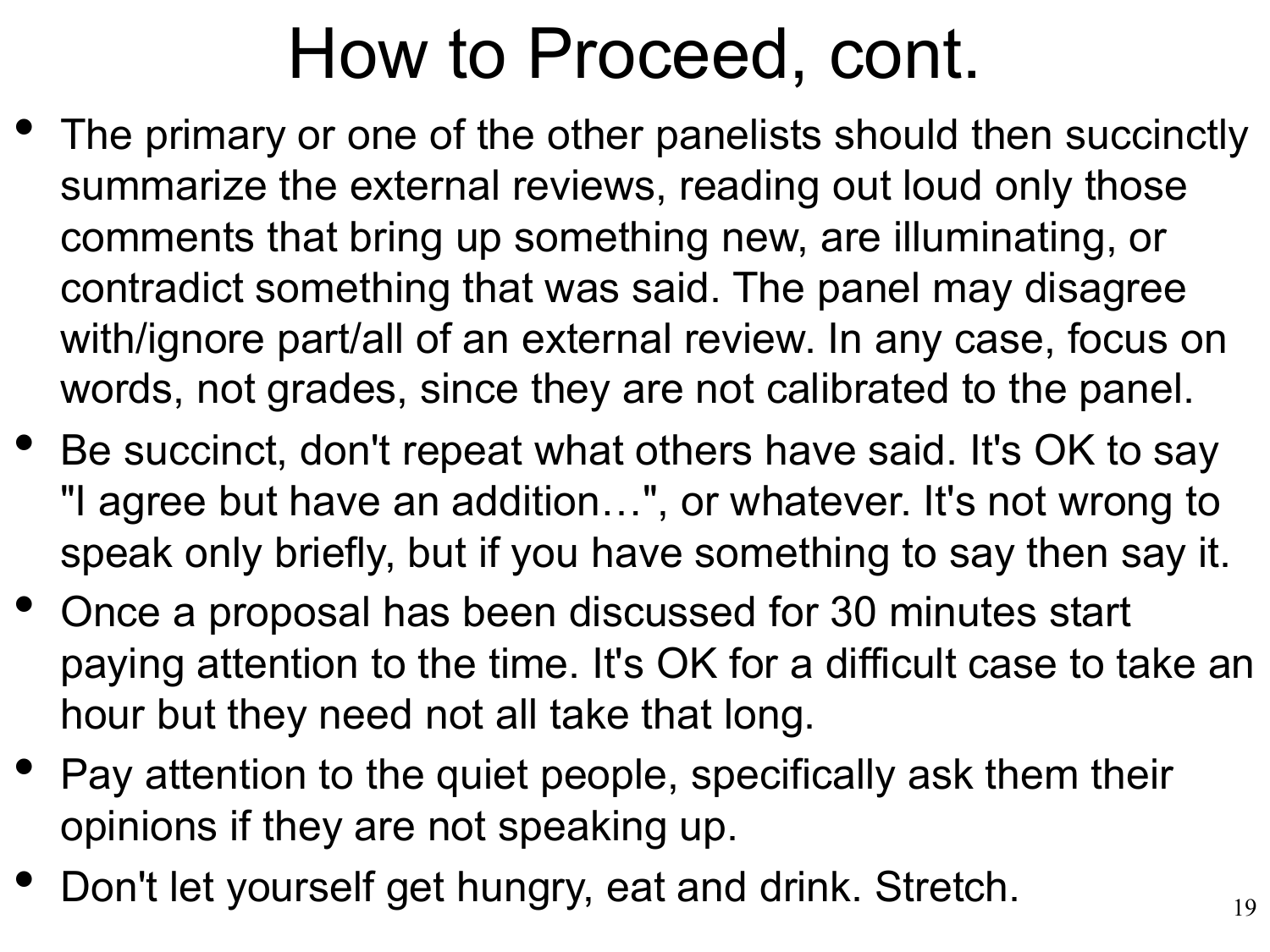#### How to Proceed, cont.

- The primary or one of the other panelists should then succinctly summarize the external reviews, reading out loud only those comments that bring up something new, are illuminating, or contradict something that was said. The panel may disagree with/ignore part/all of an external review. In any case, focus on words, not grades, since they are not calibrated to the panel.
- Be succinct, don't repeat what others have said. It's OK to say "I agree but have an addition…", or whatever. It's not wrong to speak only briefly, but if you have something to say then say it.
- Once a proposal has been discussed for 30 minutes start paying attention to the time. It's OK for a difficult case to take an hour but they need not all take that long.
- Pay attention to the quiet people, specifically ask them their opinions if they are not speaking up.
- Don't let yourself get hungry, eat and drink. Stretch.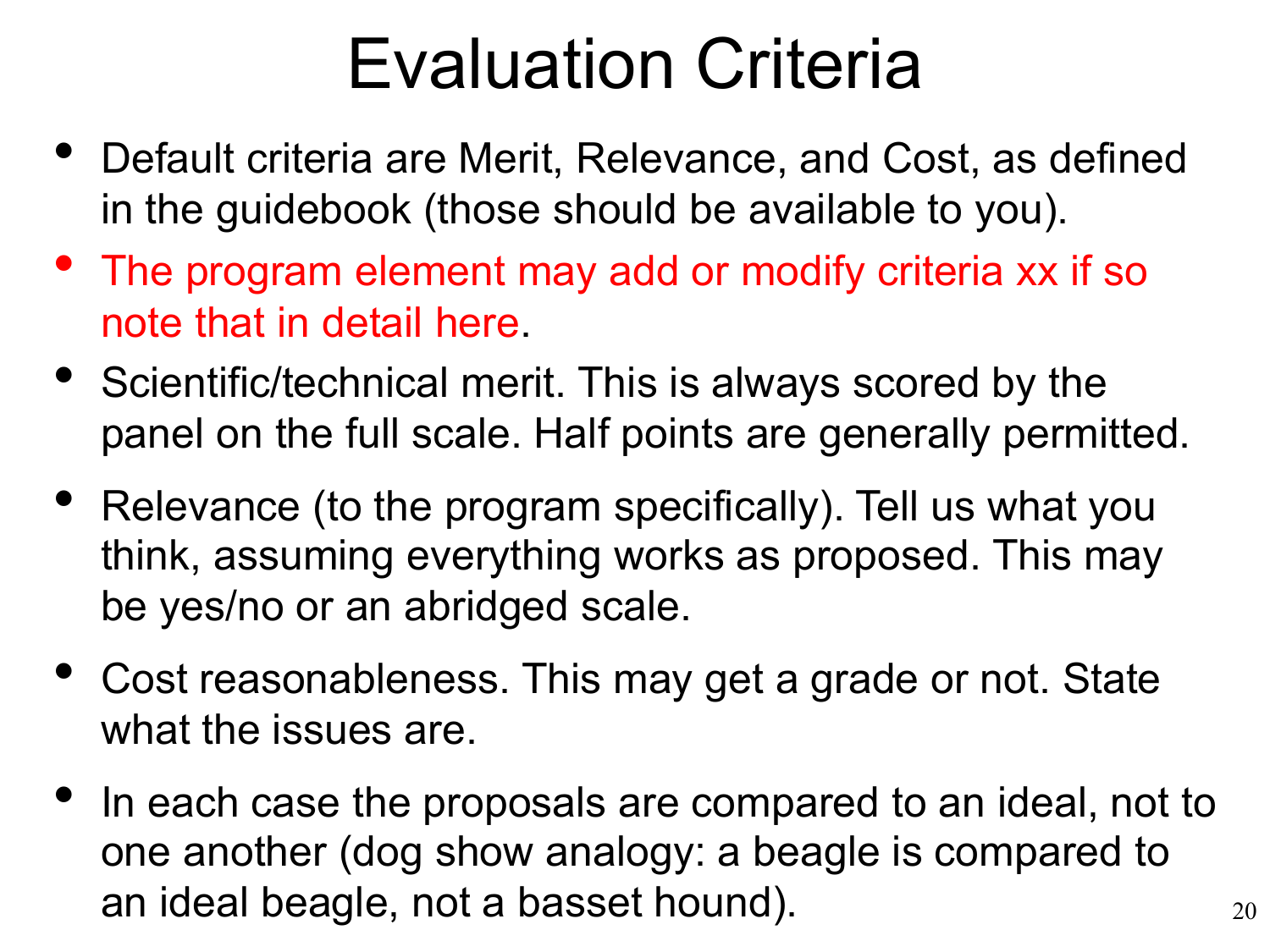#### Evaluation Criteria

- Default criteria are Merit, Relevance, and Cost, as defined in the guidebook (those should be available to you).
- The program element may add or modify criteria xx if so note that in detail here.
- Scientific/technical merit. This is always scored by the panel on the full scale. Half points are generally permitted.
- Relevance (to the program specifically). Tell us what you think, assuming everything works as proposed. This may be yes/no or an abridged scale.
- Cost reasonableness. This may get a grade or not. State what the issues are.
- In each case the proposals are compared to an ideal, not to one another (dog show analogy: a beagle is compared to an ideal beagle, not a basset hound).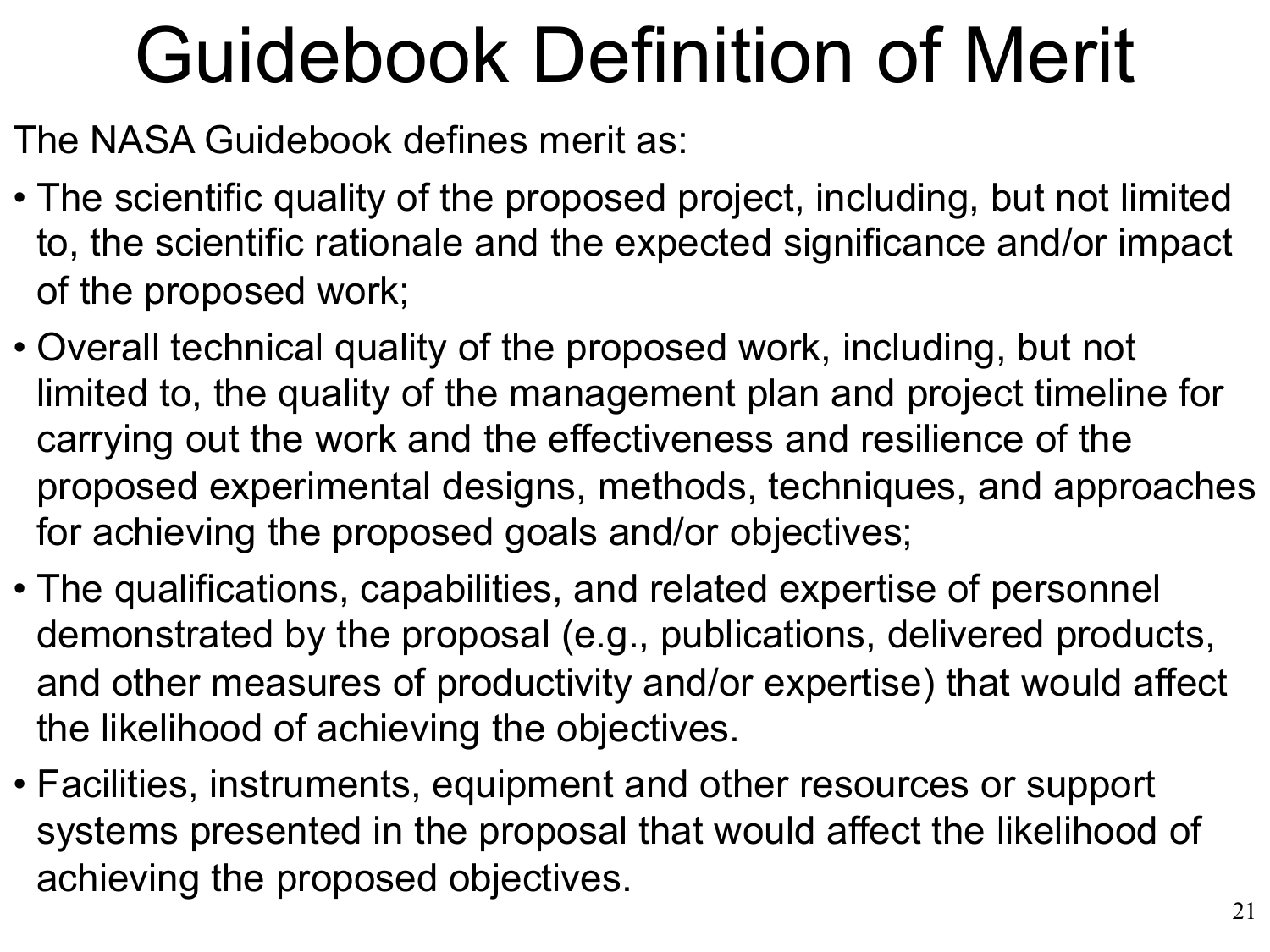# Guidebook Definition of Merit

The NASA Guidebook defines merit as:

- The scientific quality of the proposed project, including, but not limited to, the scientific rationale and the expected significance and/or impact of the proposed work;
- Overall technical quality of the proposed work, including, but not limited to, the quality of the management plan and project timeline for carrying out the work and the effectiveness and resilience of the proposed experimental designs, methods, techniques, and approaches for achieving the proposed goals and/or objectives;
- The qualifications, capabilities, and related expertise of personnel demonstrated by the proposal (e.g., publications, delivered products, and other measures of productivity and/or expertise) that would affect the likelihood of achieving the objectives.
- Facilities, instruments, equipment and other resources or support systems presented in the proposal that would affect the likelihood of achieving the proposed objectives.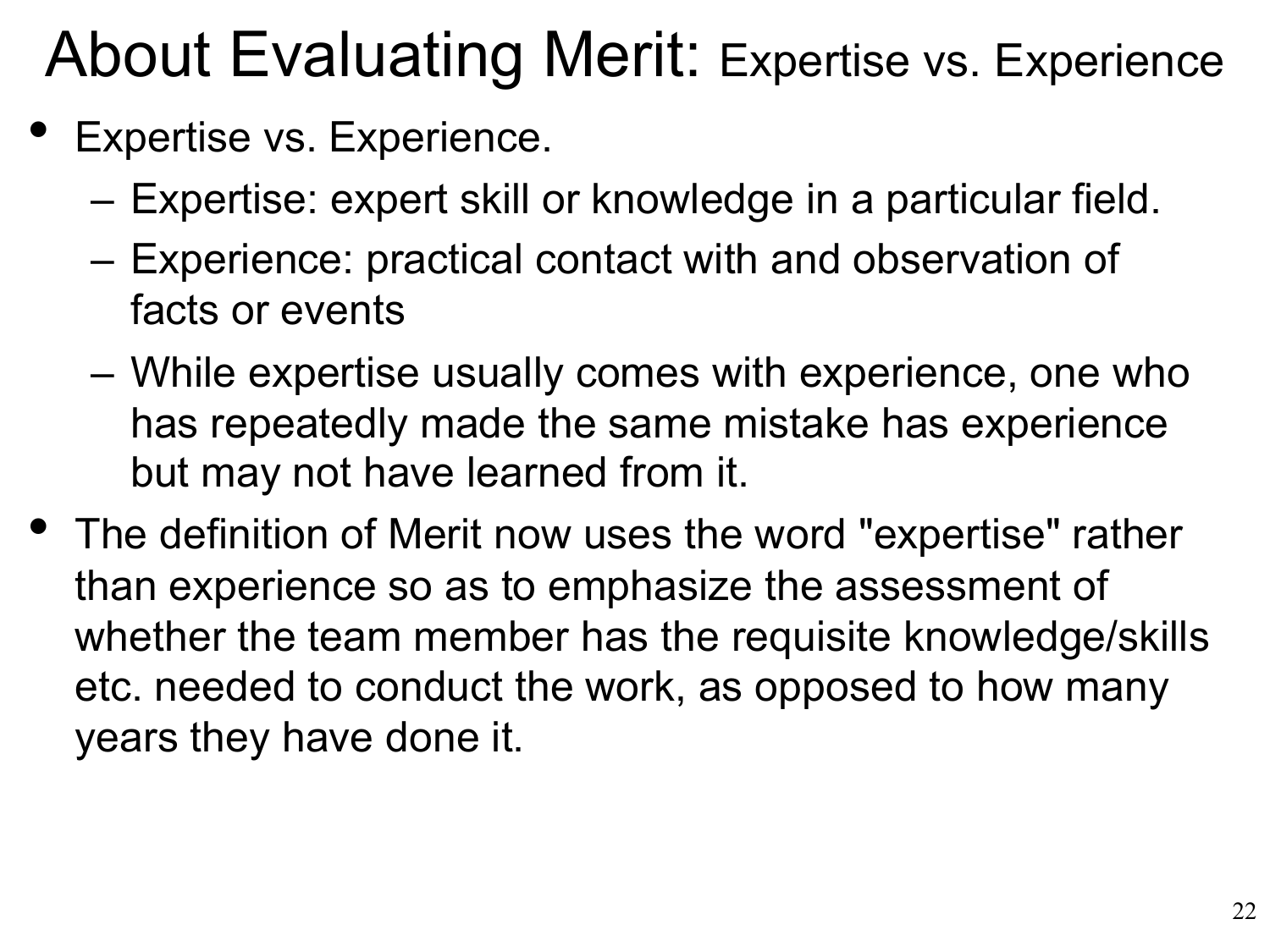#### About Evaluating Merit: Expertise vs. Experience

- Expertise vs. Experience.
	- Expertise: expert skill or knowledge in a particular field.
	- Experience: practical contact with and observation of facts or events
	- While expertise usually comes with experience, one who has repeatedly made the same mistake has experience but may not have learned from it.
- The definition of Merit now uses the word "expertise" rather than experience so as to emphasize the assessment of whether the team member has the requisite knowledge/skills etc. needed to conduct the work, as opposed to how many years they have done it.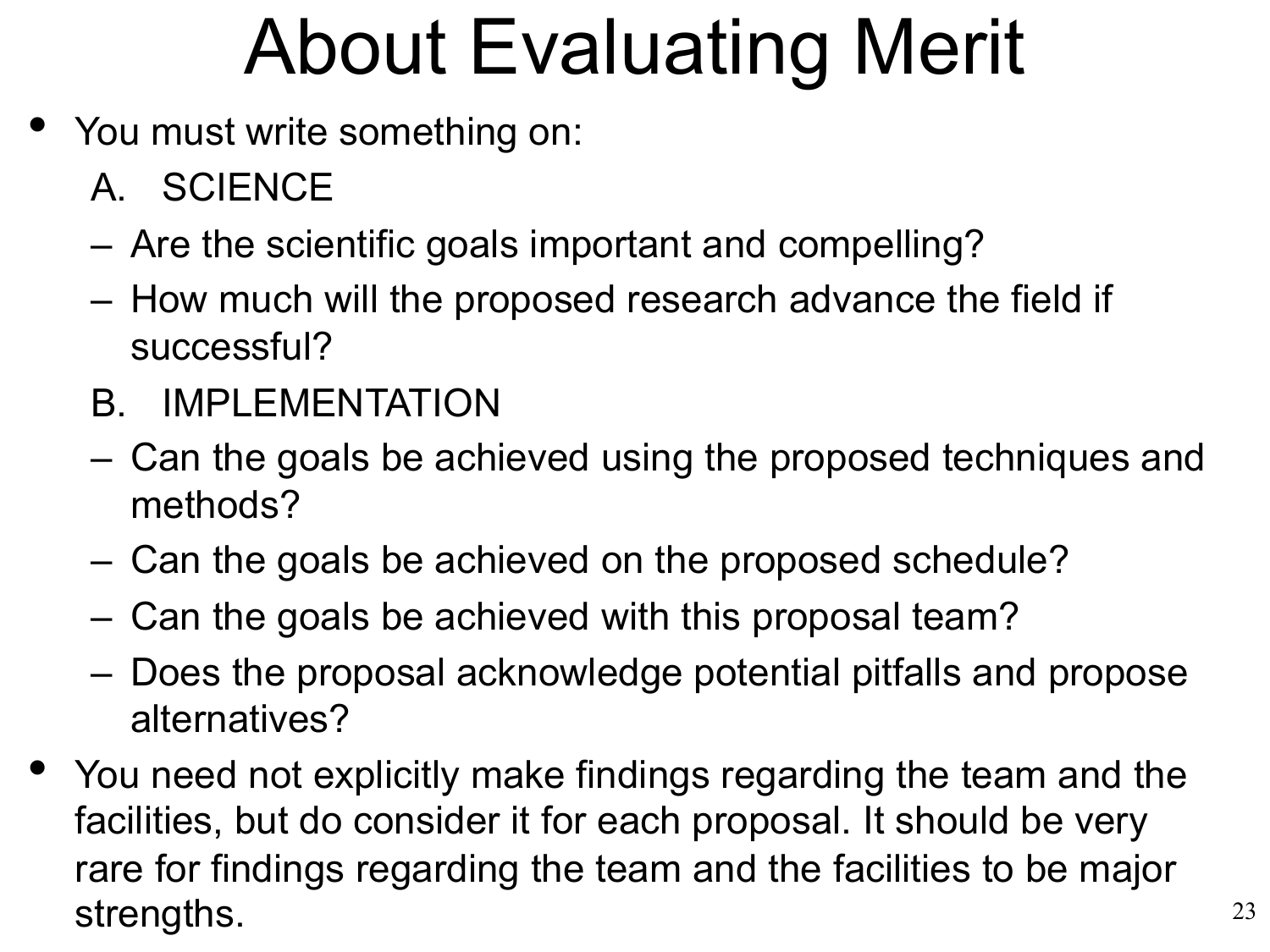# About Evaluating Merit

- You must write something on:
	- A. SCIENCE
	- Are the scientific goals important and compelling?
	- How much will the proposed research advance the field if successful?
	- B. IMPLEMENTATION
	- Can the goals be achieved using the proposed techniques and methods?
	- Can the goals be achieved on the proposed schedule?
	- Can the goals be achieved with this proposal team?
	- Does the proposal acknowledge potential pitfalls and propose alternatives?
- You need not explicitly make findings regarding the team and the facilities, but do consider it for each proposal. It should be very rare for findings regarding the team and the facilities to be major strengths.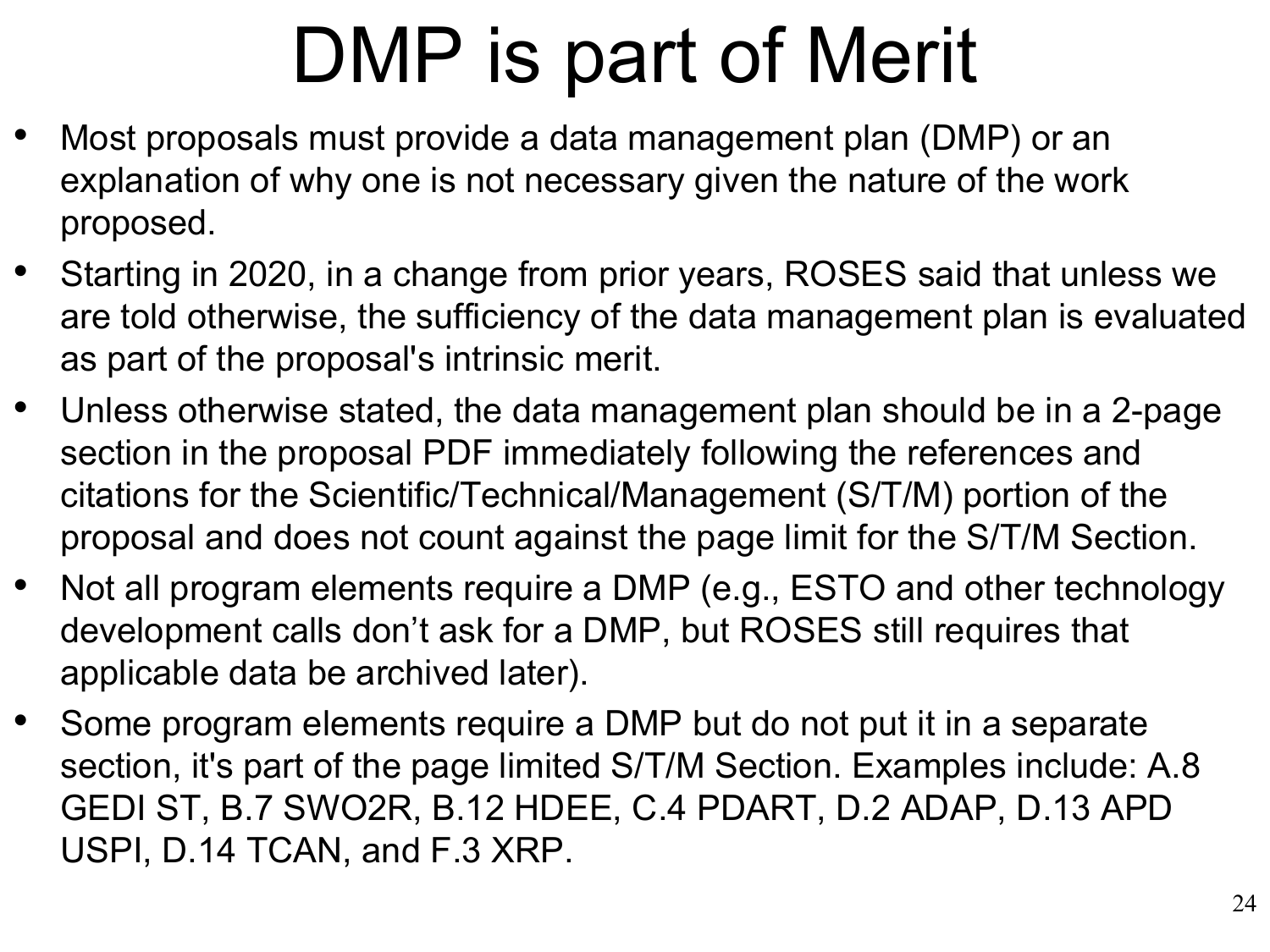# DMP is part of Merit

- Most proposals must provide a data management plan (DMP) or an explanation of why one is not necessary given the nature of the work proposed.
- Starting in 2020, in a change from prior years, ROSES said that unless we are told otherwise, the sufficiency of the data management plan is evaluated as part of the proposal's intrinsic merit.
- Unless otherwise stated, the data management plan should be in a 2-page section in the proposal PDF immediately following the references and citations for the Scientific/Technical/Management (S/T/M) portion of the proposal and does not count against the page limit for the S/T/M Section.
- Not all program elements require a DMP (e.g., ESTO and other technology development calls don't ask for a DMP, but ROSES still requires that applicable data be archived later).
- Some program elements require a DMP but do not put it in a separate section, it's part of the page limited S/T/M Section. Examples include: A.8 GEDI ST, B.7 SWO2R, B.12 HDEE, C.4 PDART, D.2 ADAP, D.13 APD USPI, D.14 TCAN, and F.3 XRP.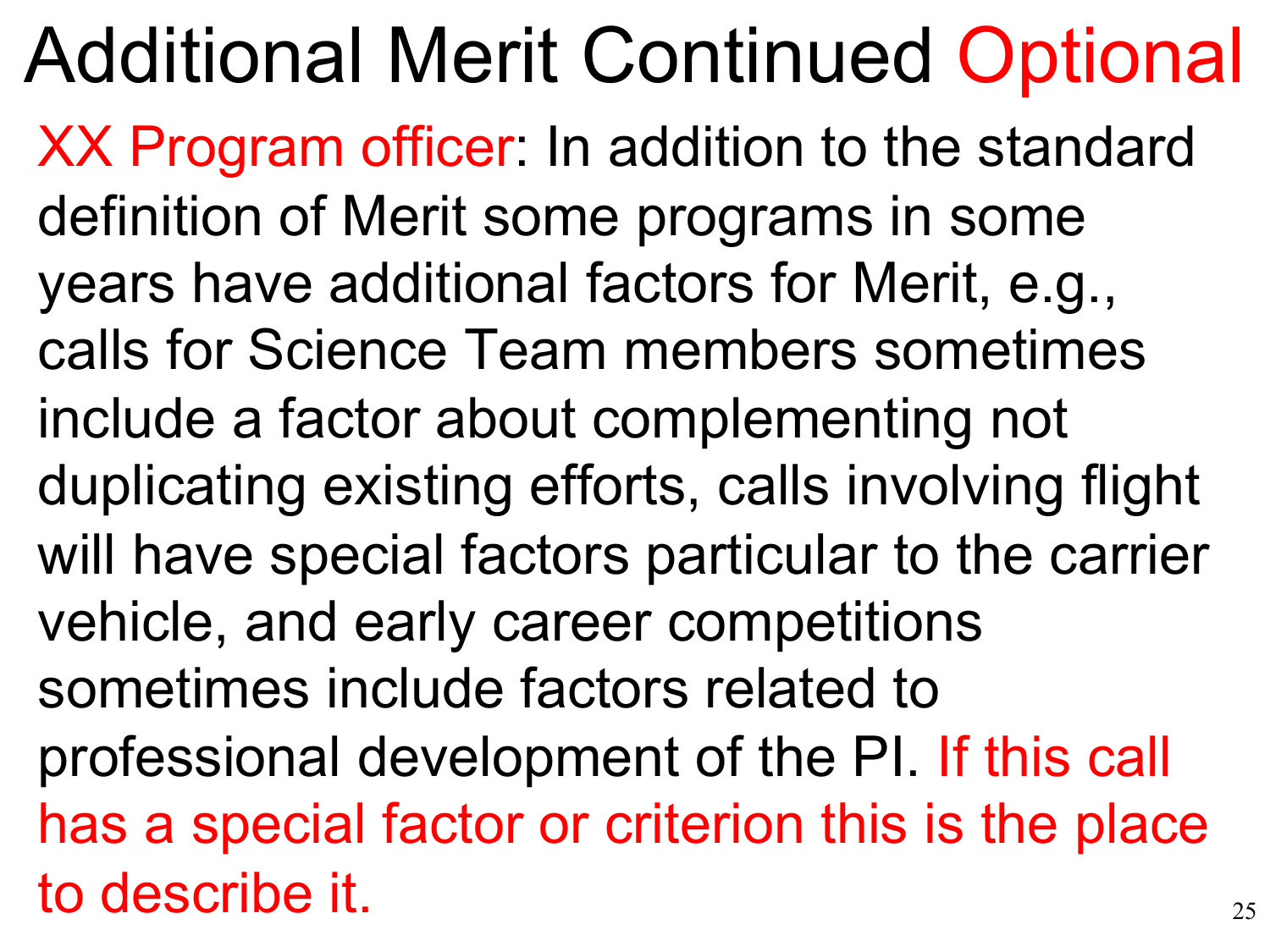25 Additional Merit Continued Optional XX Program officer: In addition to the standard definition of Merit some programs in some years have additional factors for Merit, e.g., calls for Science Team members sometimes include a factor about complementing not duplicating existing efforts, calls involving flight will have special factors particular to the carrier vehicle, and early career competitions sometimes include factors related to professional development of the PI. If this call has a special factor or criterion this is the place to describe it.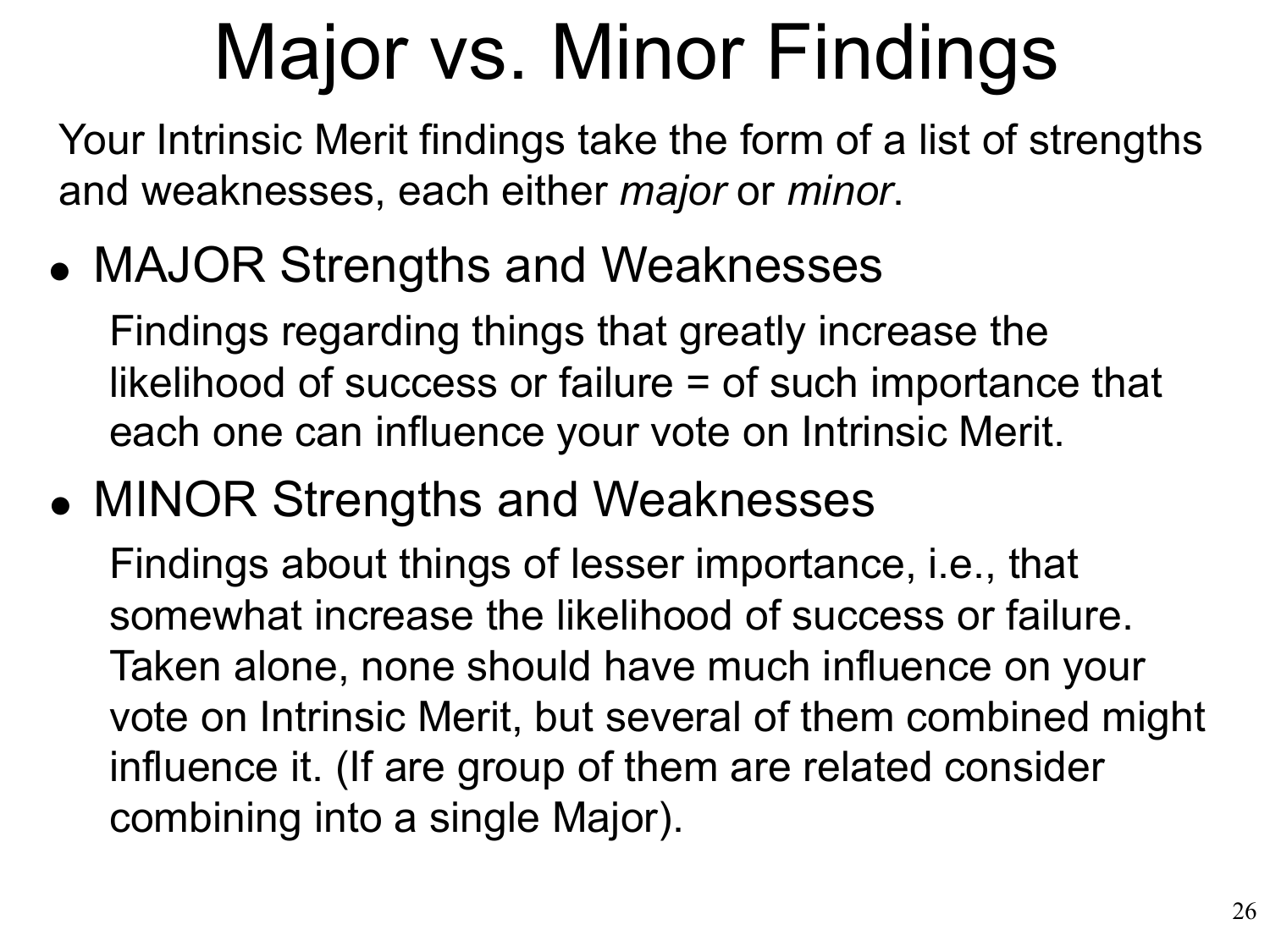# Major vs. Minor Findings

Your Intrinsic Merit findings take the form of a list of strengths and weaknesses, each either *major* or *minor*.

MAJOR Strengths and Weaknesses •

Findings regarding things that greatly increase the likelihood of success or failure = of such importance that each one can influence your vote on Intrinsic Merit.

MINOR Strengths and Weaknesses •

Findings about things of lesser importance, i.e., that somewhat increase the likelihood of success or failure. Taken alone, none should have much influence on your vote on Intrinsic Merit, but several of them combined might influence it. (If are group of them are related consider combining into a single Major).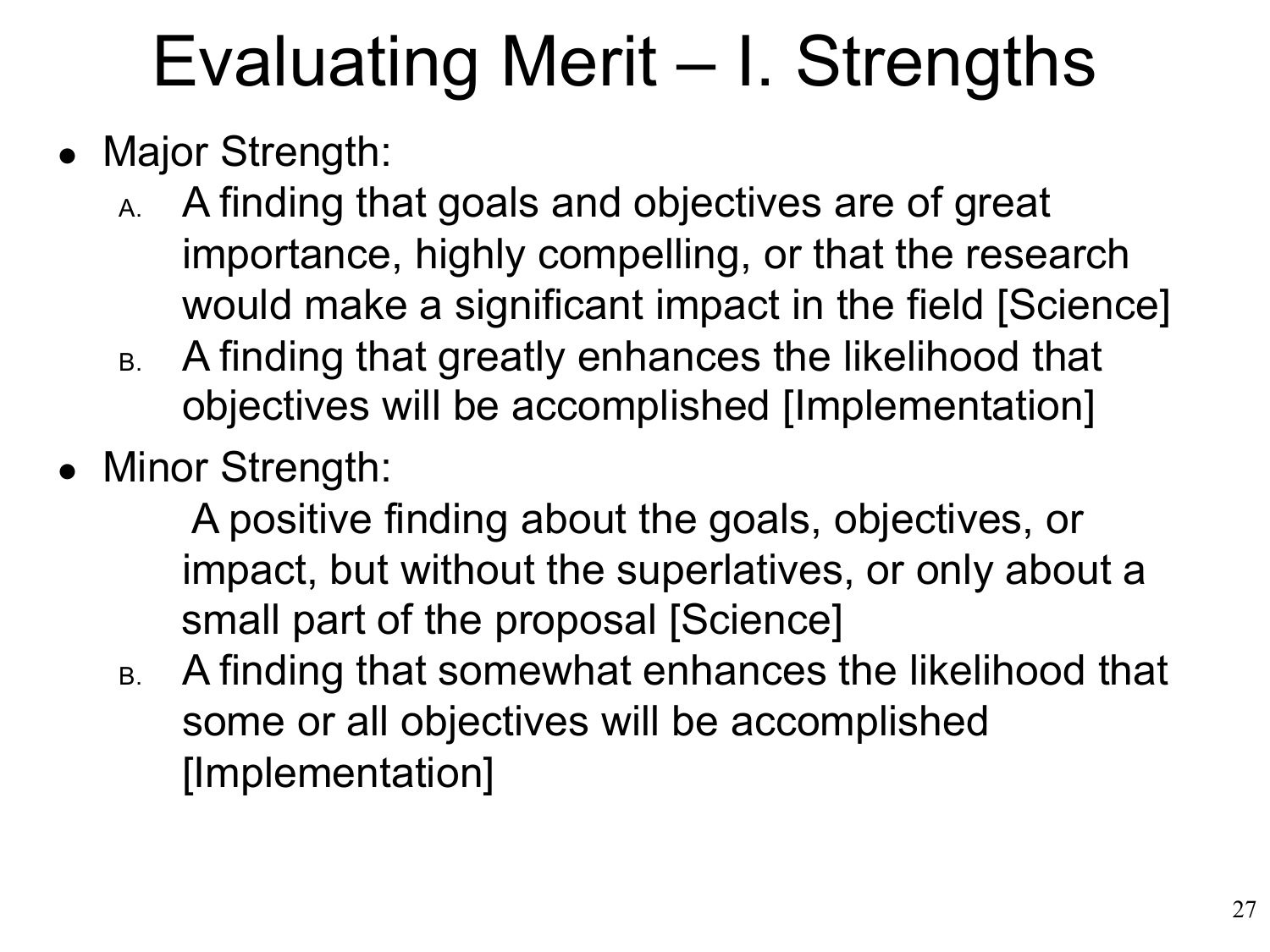### Evaluating Merit – I. Strengths

- Major Strength:
	- A. A finding that goals and objectives are of great importance, highly compelling, or that the research would make a significant impact in the field [Science]
	- B. A finding that greatly enhances the likelihood that objectives will be accomplished [Implementation]
- Minor Strength:

A positive finding about the goals, objectives, or impact, but without the superlatives, or only about a small part of the proposal [Science]

B. A finding that somewhat enhances the likelihood that some or all objectives will be accomplished [Implementation]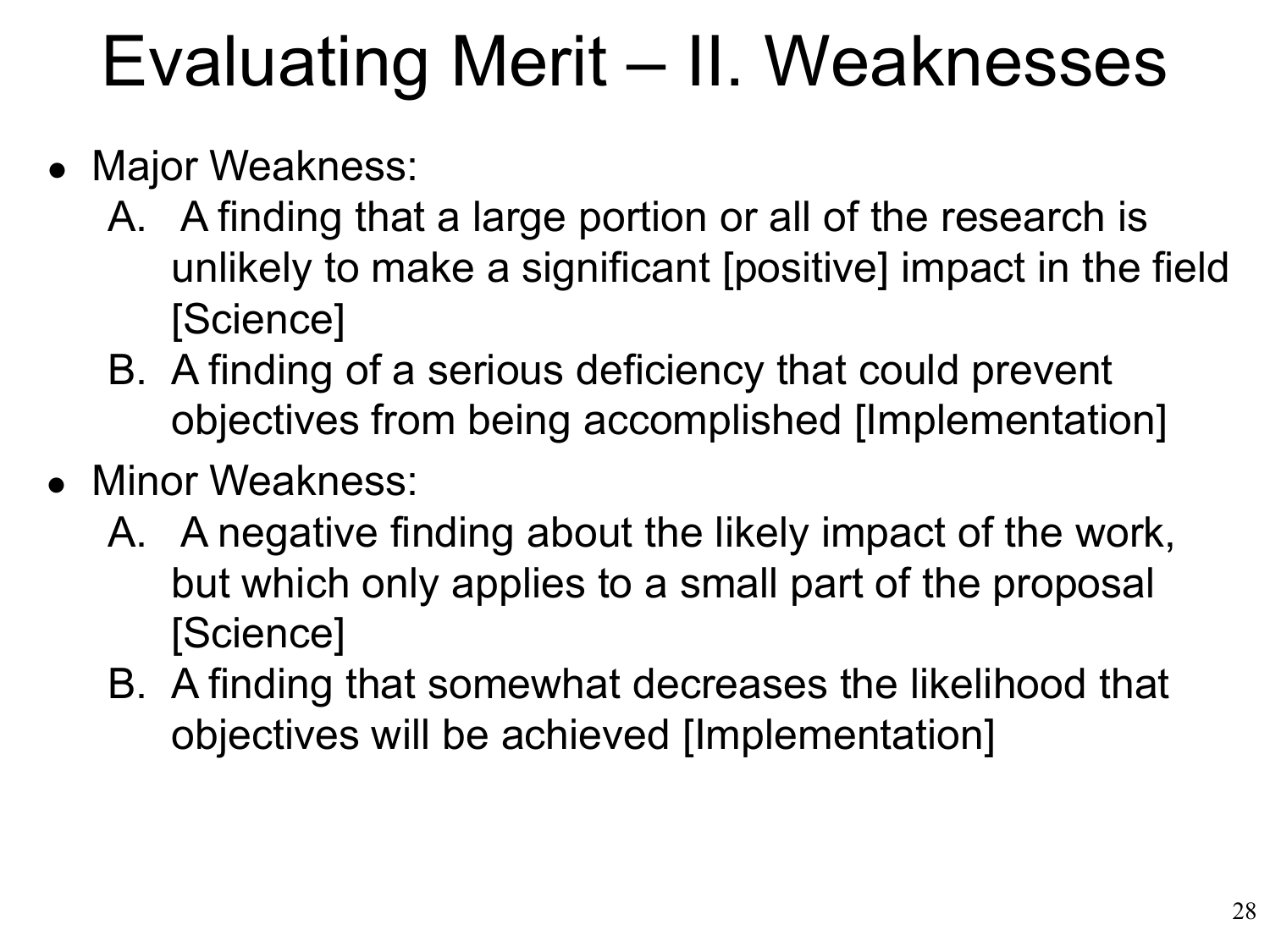### Evaluating Merit – II. Weaknesses

- Major Weakness:
	- A. A finding that a large portion or all of the research is unlikely to make a significant [positive] impact in the field [Science]
	- B. A finding of a serious deficiency that could prevent objectives from being accomplished [Implementation]
- Minor Weakness:
	- A. A negative finding about the likely impact of the work, but which only applies to a small part of the proposal [Science]
	- B. A finding that somewhat decreases the likelihood that objectives will be achieved [Implementation]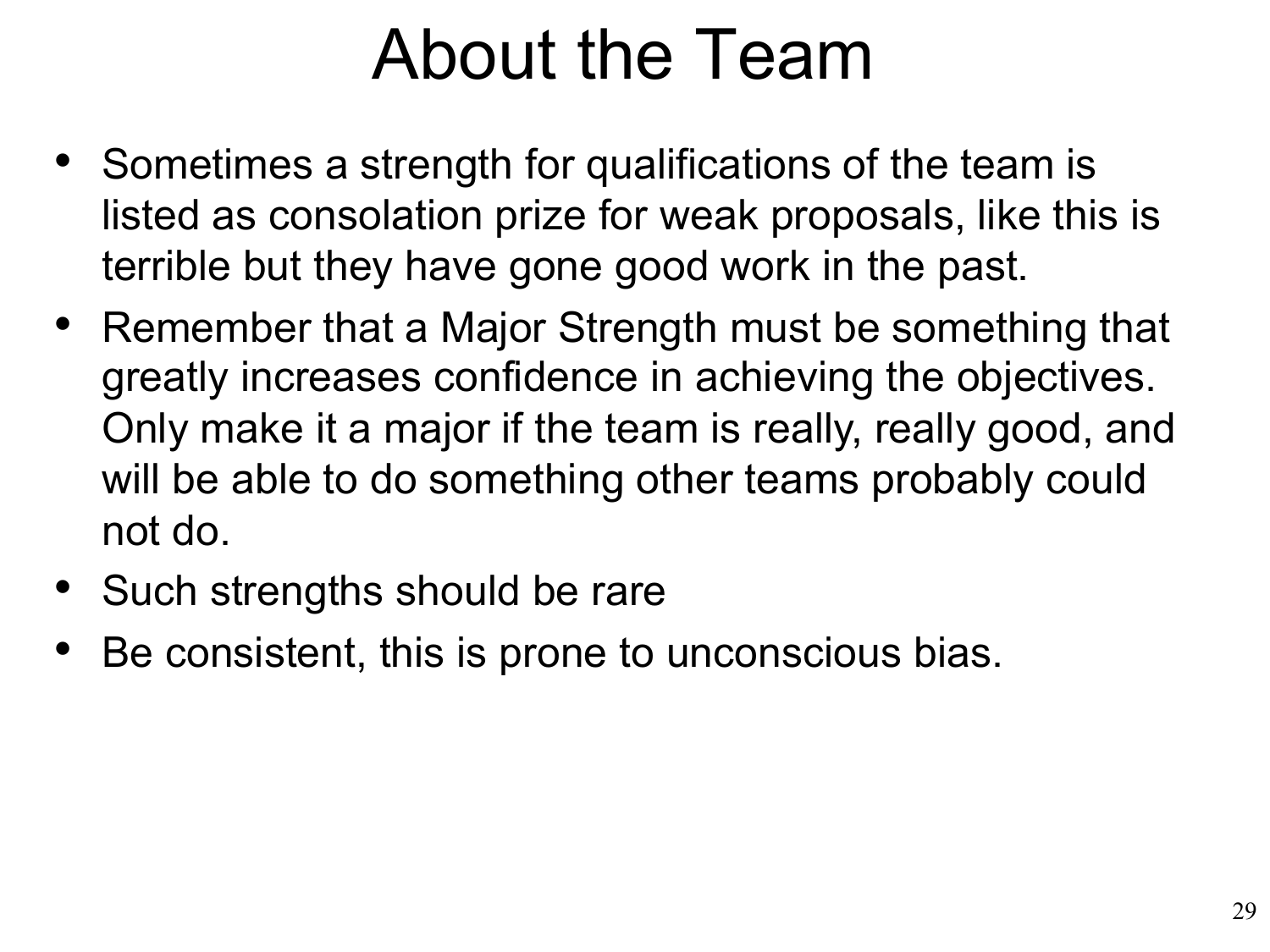#### About the Team

- Sometimes a strength for qualifications of the team is listed as consolation prize for weak proposals, like this is terrible but they have gone good work in the past.
- Remember that a Major Strength must be something that greatly increases confidence in achieving the objectives. Only make it a major if the team is really, really good, and will be able to do something other teams probably could not do.
- Such strengths should be rare
- Be consistent, this is prone to unconscious bias.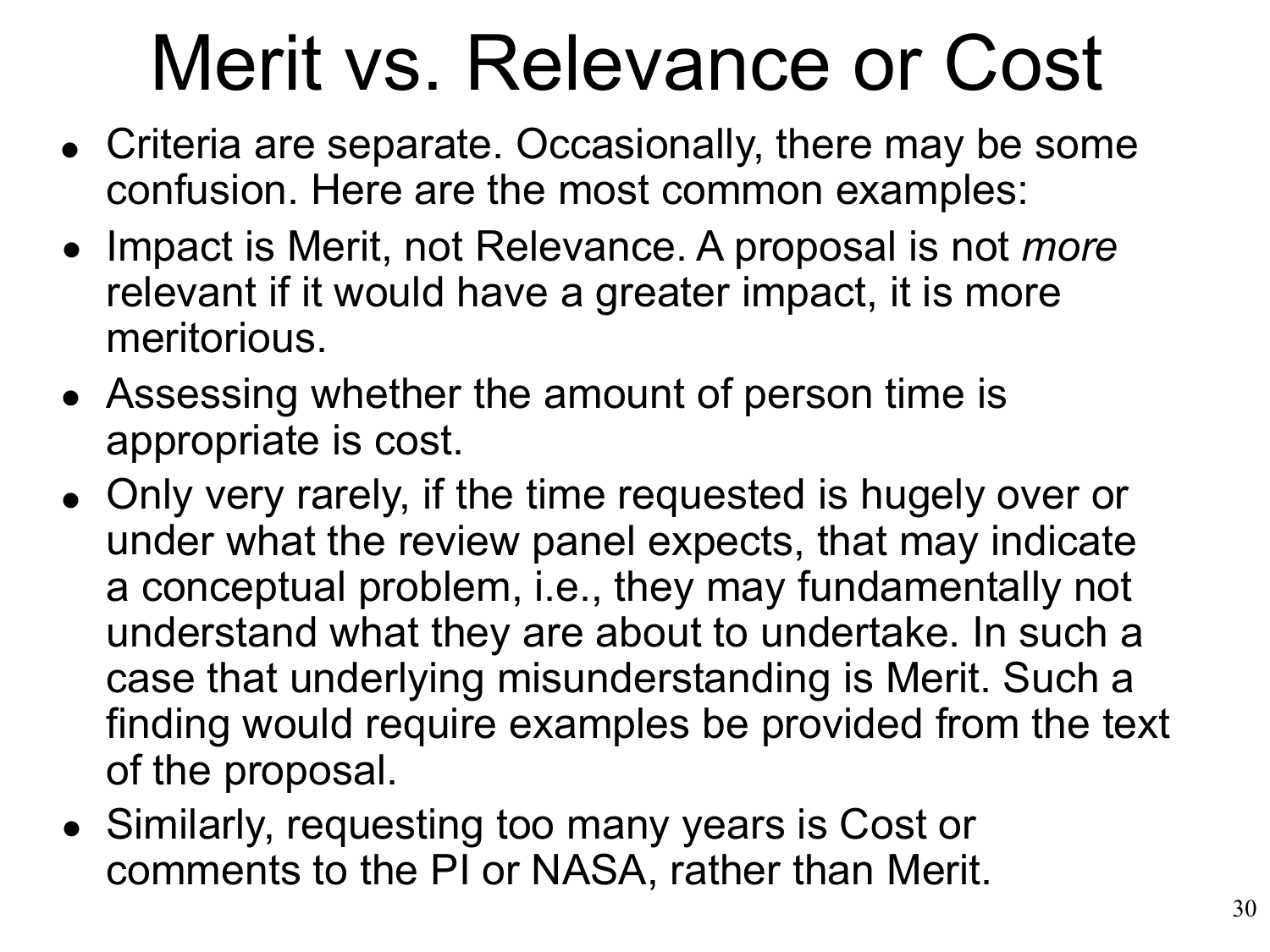# Merit vs. Relevance or Cost

- Criteria are separate. Occasionally, there may be some confusion. Here are the most common examples:
- **Impact is Merit, not Relevance. A proposal is not** *more* relevant if it would have a greater impact, it is more meritorious.
- Assessing whether the amount of person time is appropriate is cost.
- Only very rarely, if the time requested is hugely over or under what the review panel expects, that may indicate a conceptual problem, i.e., they may fundamentally not understand what they are about to undertake. In such a case that underlying misunderstanding is Merit. Such a finding would require examples be provided from the text of the proposal.
- Similarly, requesting too many years is Cost or •comments to the PI or NASA, rather than Merit.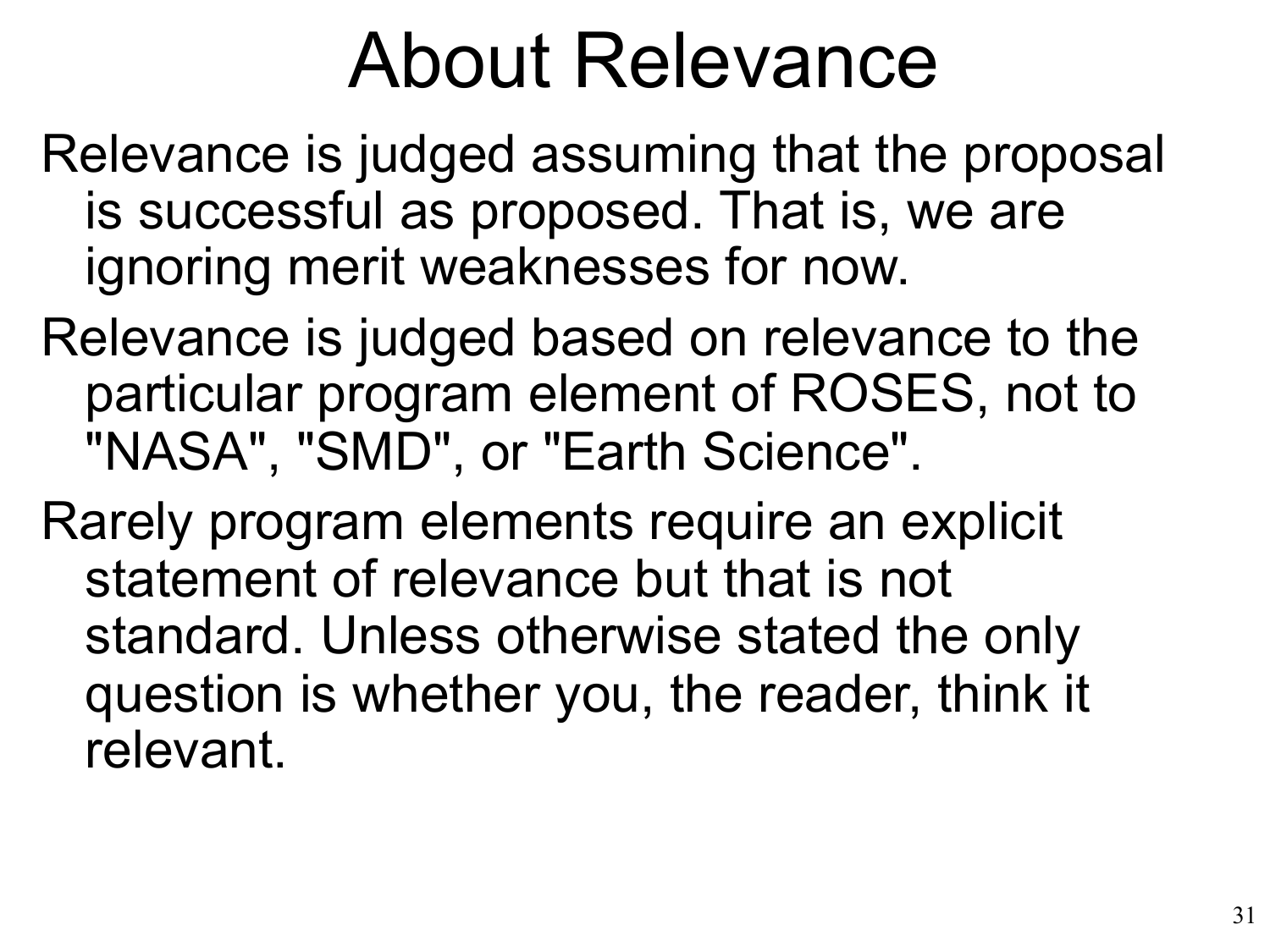### About Relevance

Relevance is judged assuming that the proposal is successful as proposed. That is, we are ignoring merit weaknesses for now.

Relevance is judged based on relevance to the particular program element of ROSES, not to "NASA", "SMD", or "Earth Science".

Rarely program elements require an explicit statement of relevance but that is not standard. Unless otherwise stated the only question is whether you, the reader, think it relevant.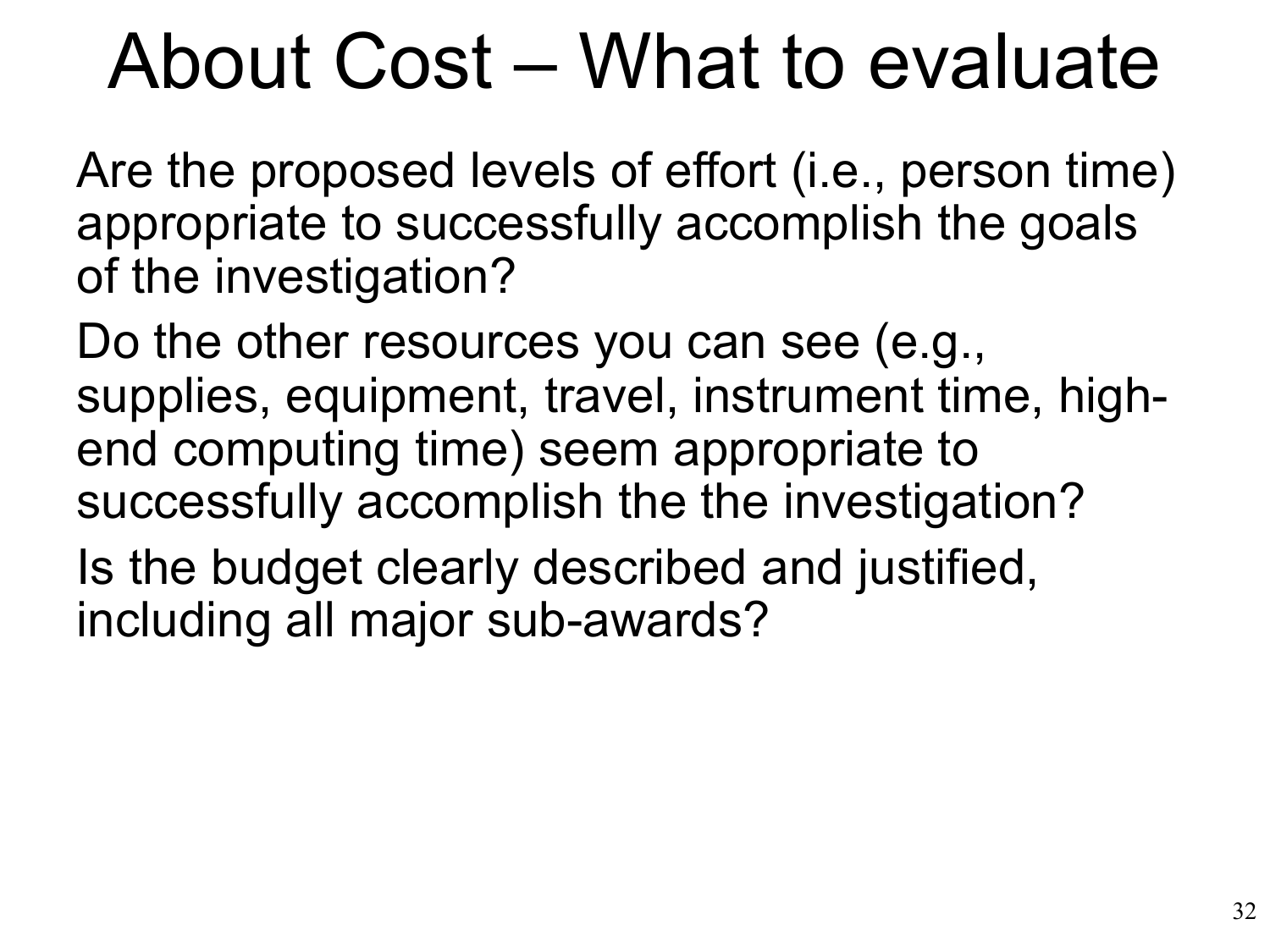### About Cost – What to evaluate

Are the proposed levels of effort (i.e., person time) appropriate to successfully accomplish the goals of the investigation?

Do the other resources you can see (e.g., supplies, equipment, travel, instrument time, highend computing time) seem appropriate to successfully accomplish the the investigation?

Is the budget clearly described and justified, including all major sub-awards?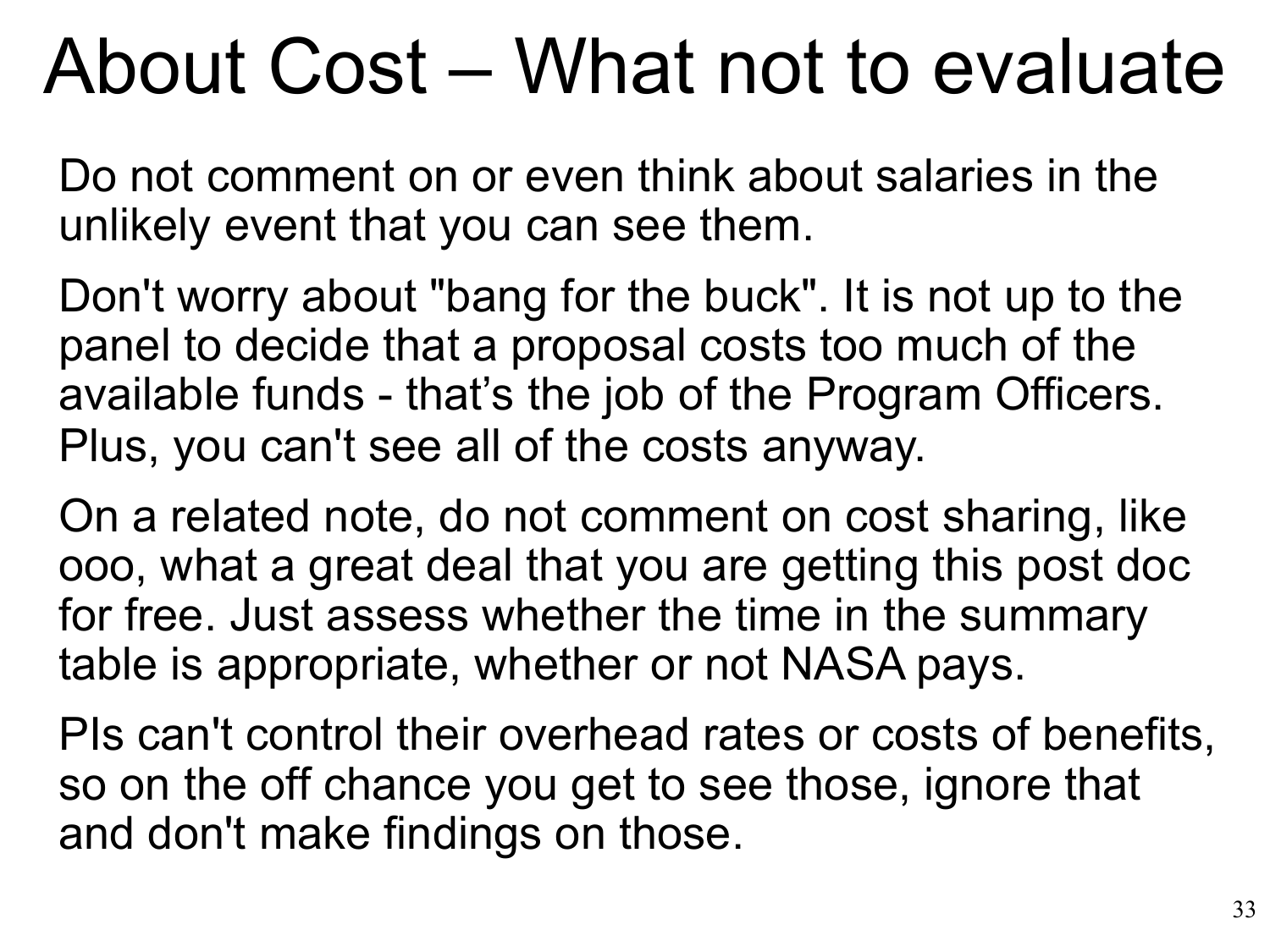### About Cost – What not to evaluate

Do not comment on or even think about salaries in the unlikely event that you can see them.

Don't worry about "bang for the buck". It is not up to the panel to decide that a proposal costs too much of the available funds - that's the job of the Program Officers. Plus, you can't see all of the costs anyway.

On a related note, do not comment on cost sharing, like ooo, what a great deal that you are getting this post doc for free. Just assess whether the time in the summary table is appropriate, whether or not NASA pays.

PIs can't control their overhead rates or costs of benefits, so on the off chance you get to see those, ignore that and don't make findings on those.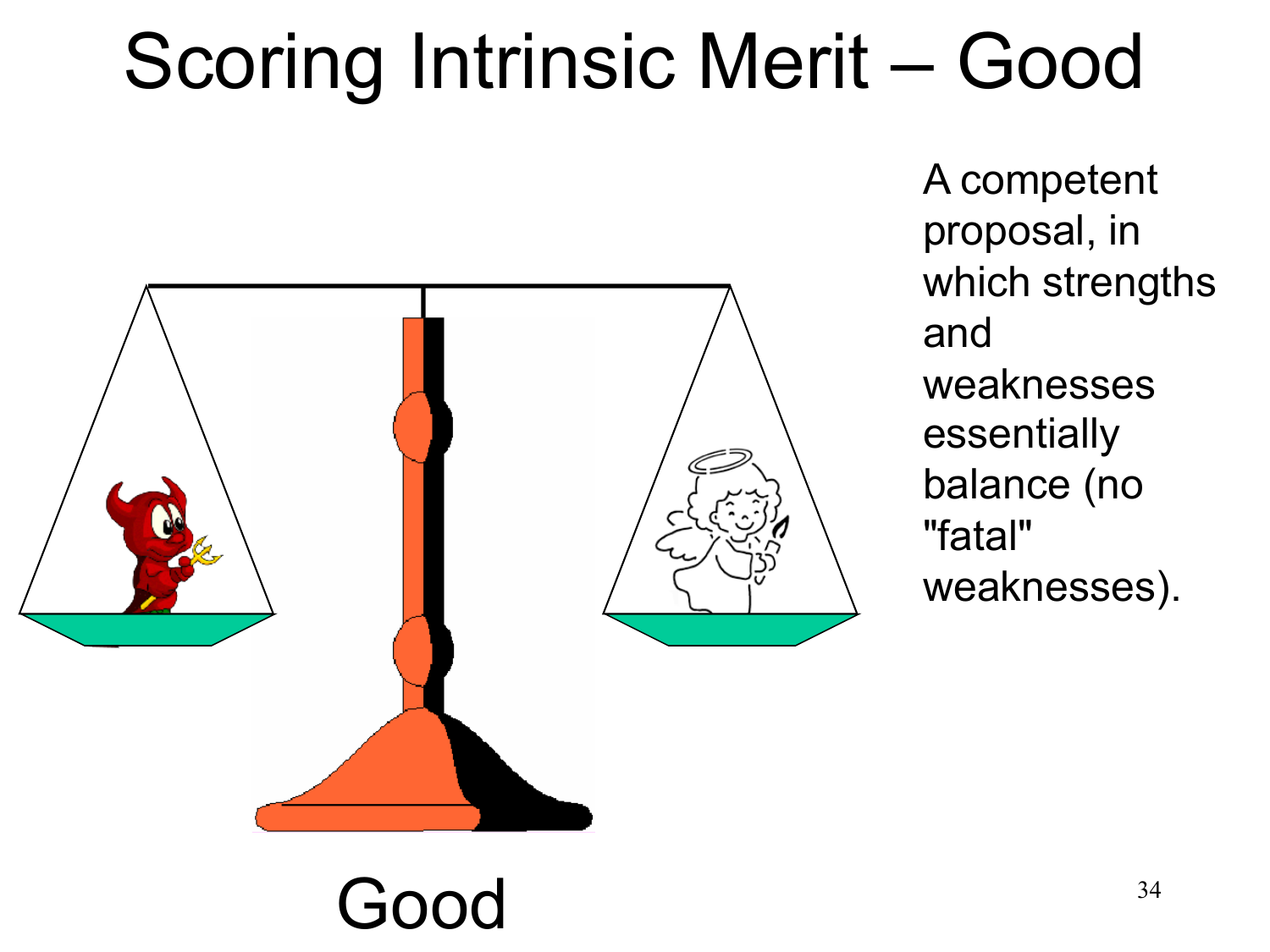# Scoring Intrinsic Merit – Good



A competent proposal, in which strengths and weaknesses essentially balance (no "fatal" weaknesses).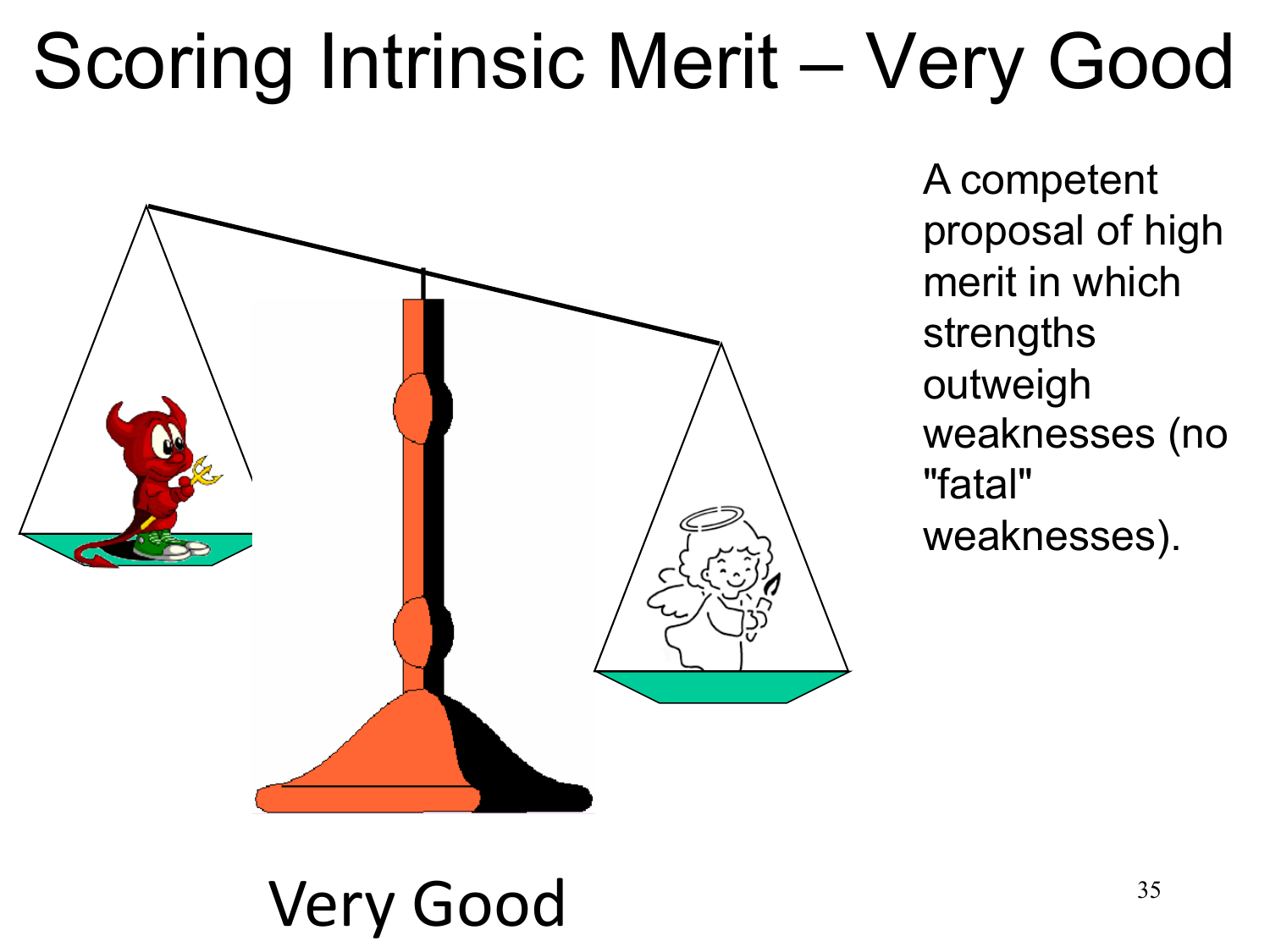# Scoring Intrinsic Merit – Very Good



A competent proposal of high merit in which strengths outweigh weaknesses (no "fatal" weaknesses).

#### Very Good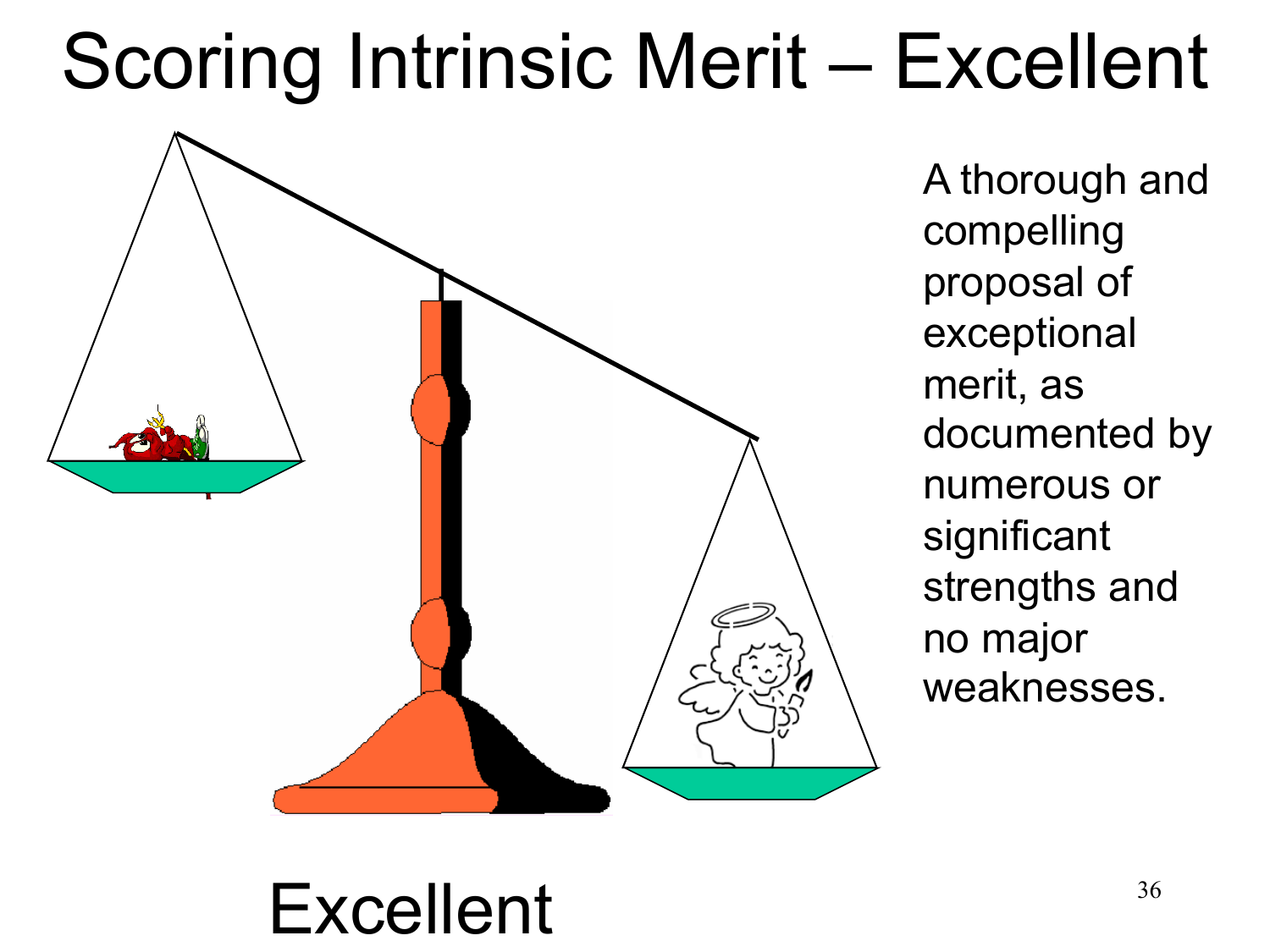## Scoring Intrinsic Merit – Excellent



A thorough and compelling proposal of exceptional merit, as documented by numerous or significant strengths and no major weaknesses.

#### Excellent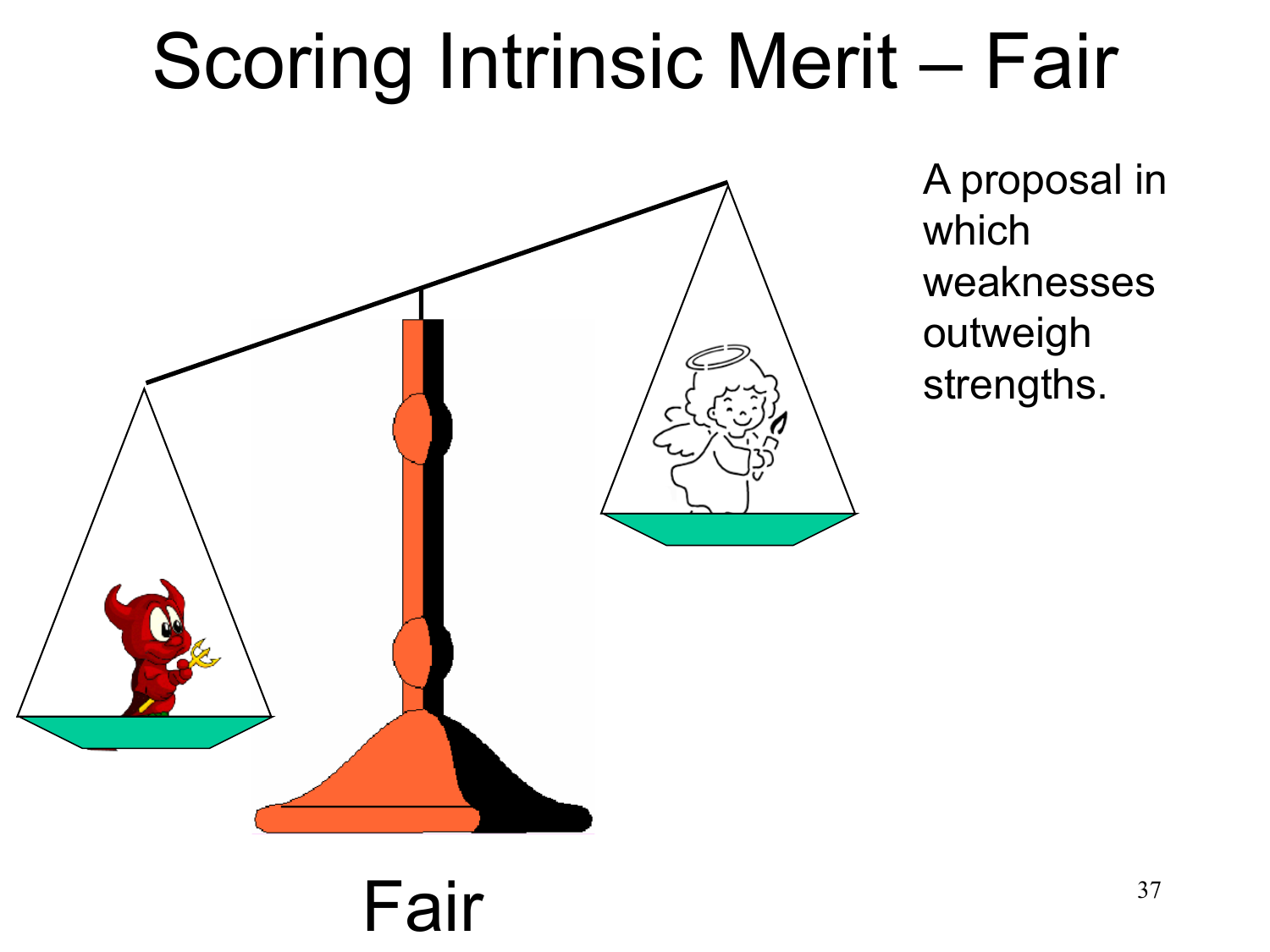## Scoring Intrinsic Merit – Fair



A proposal in which weaknesses outweigh strengths.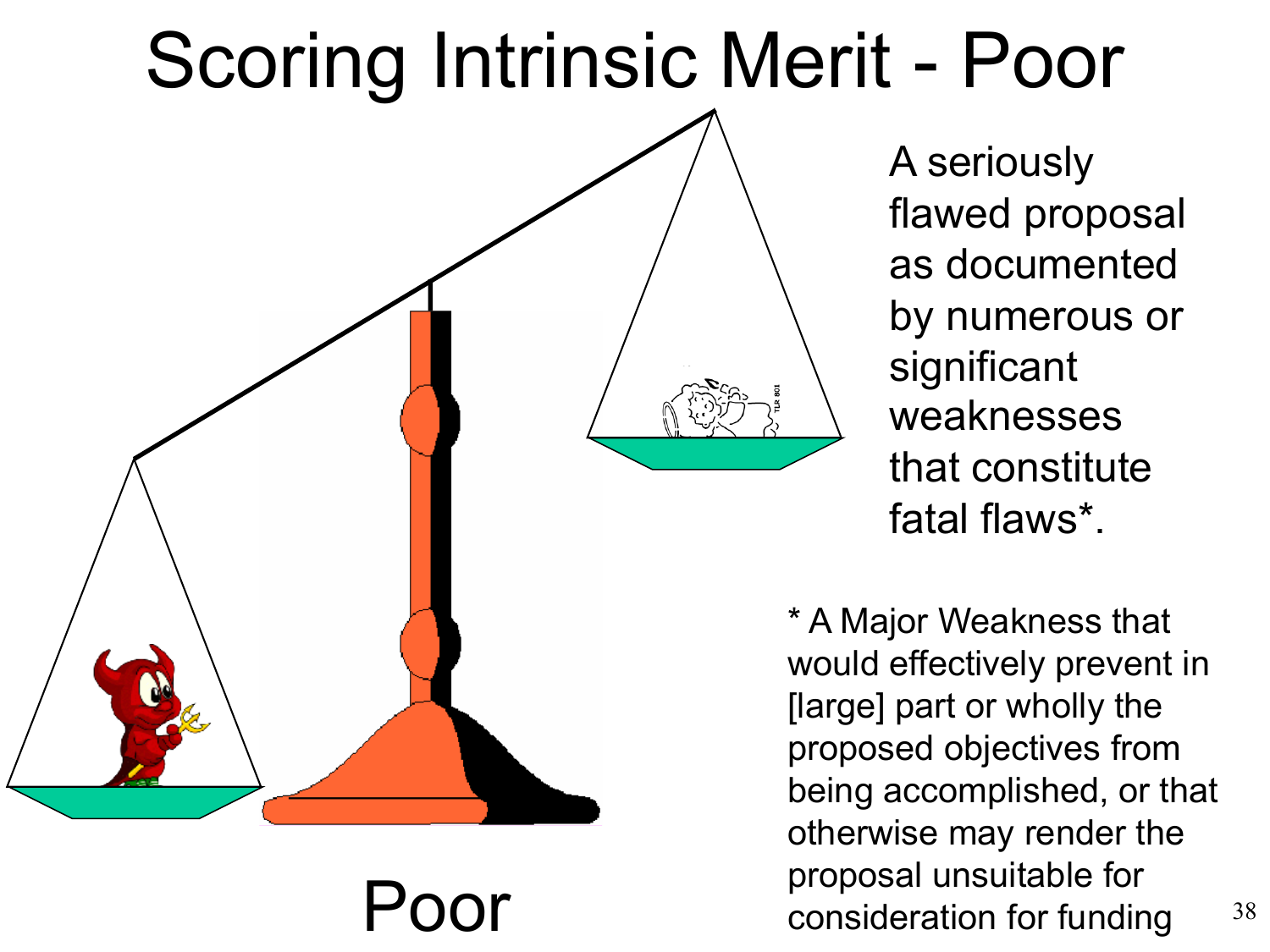### Scoring Intrinsic Merit - Poor



A seriously flawed proposal as documented by numerous or significant weaknesses that constitute fatal flaws\*.

\* A Major Weakness that would effectively prevent in [large] part or wholly the proposed objectives from being accomplished, or that otherwise may render the proposal unsuitable for<br>consideration for funding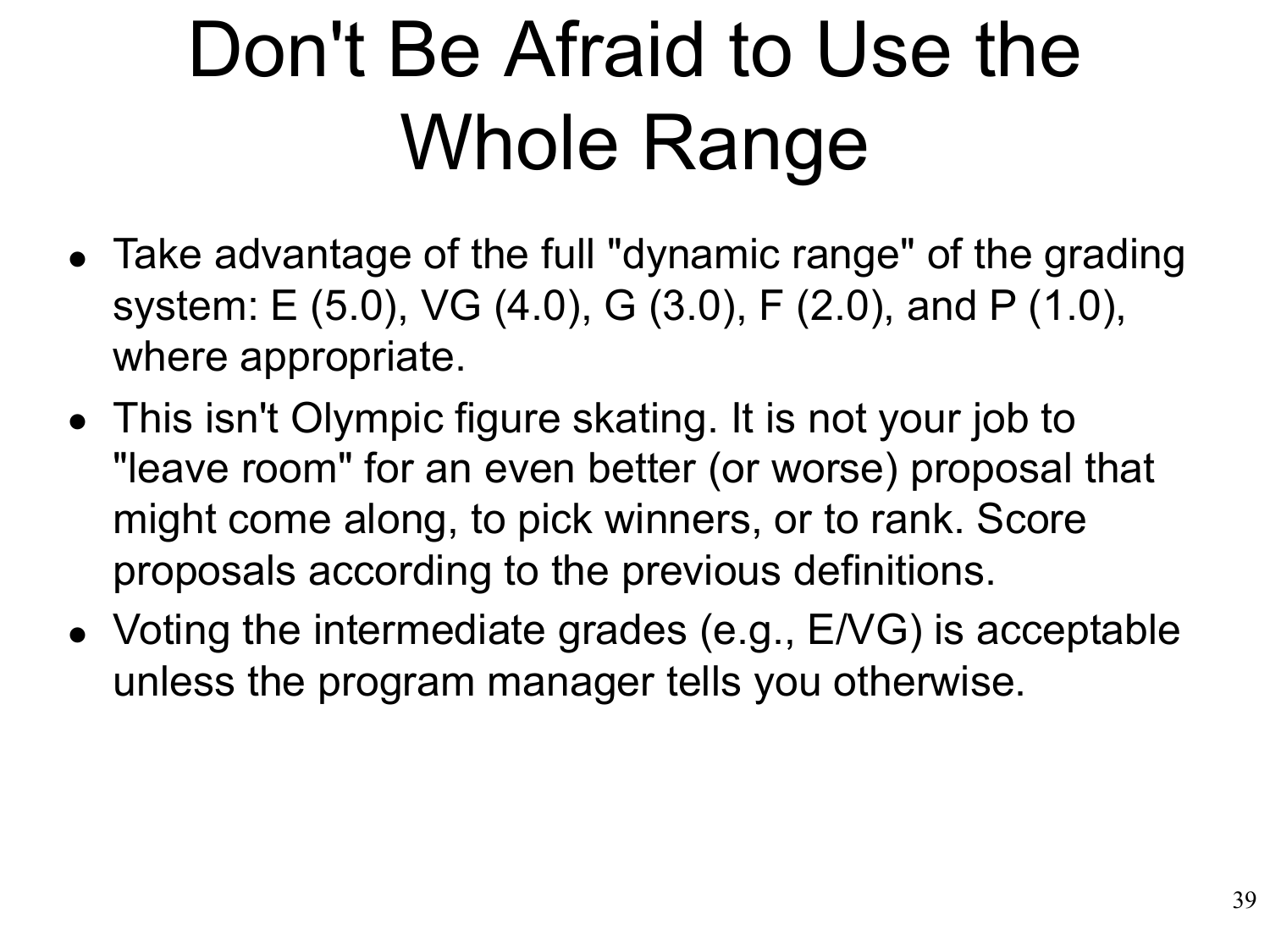# Don't Be Afraid to Use the Whole Range

- Take advantage of the full "dynamic range" of the grading system: E (5.0), VG (4.0), G (3.0), F (2.0), and P (1.0), where appropriate.
- This isn't Olympic figure skating. It is not your job to "leave room" for an even better (or worse) proposal that might come along, to pick winners, or to rank. Score proposals according to the previous definitions.
- Voting the intermediate grades (e.g., E/VG) is acceptable •unless the program manager tells you otherwise.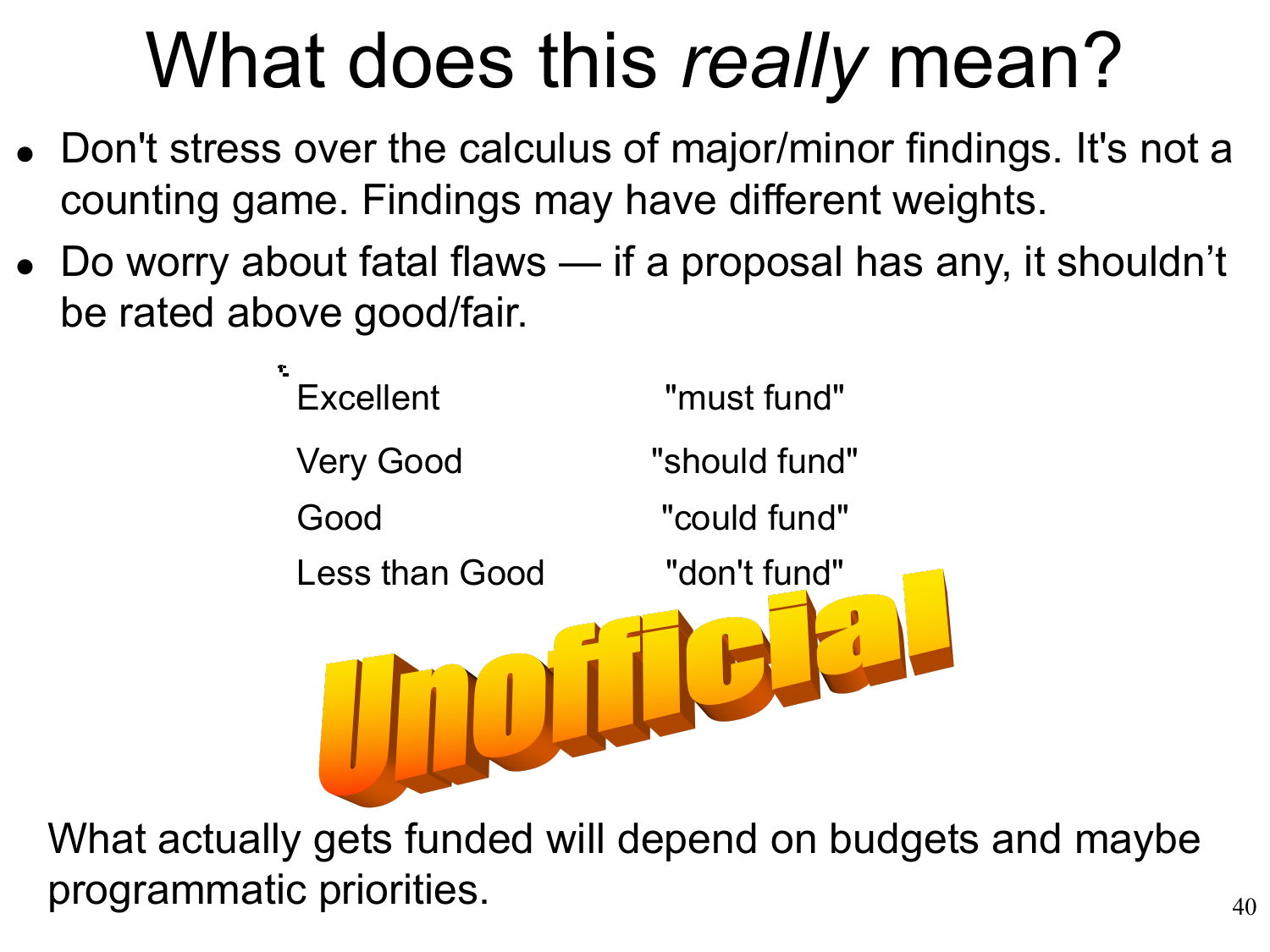# What does this *really* mean?

- Don't stress over the calculus of major/minor findings. It's not a counting game. Findings may have different weights.
- Do worry about fatal flaws if a proposal has any, it shouldn't •be rated above good/fair.



What actually gets funded will depend on budgets and maybe programmatic priorities.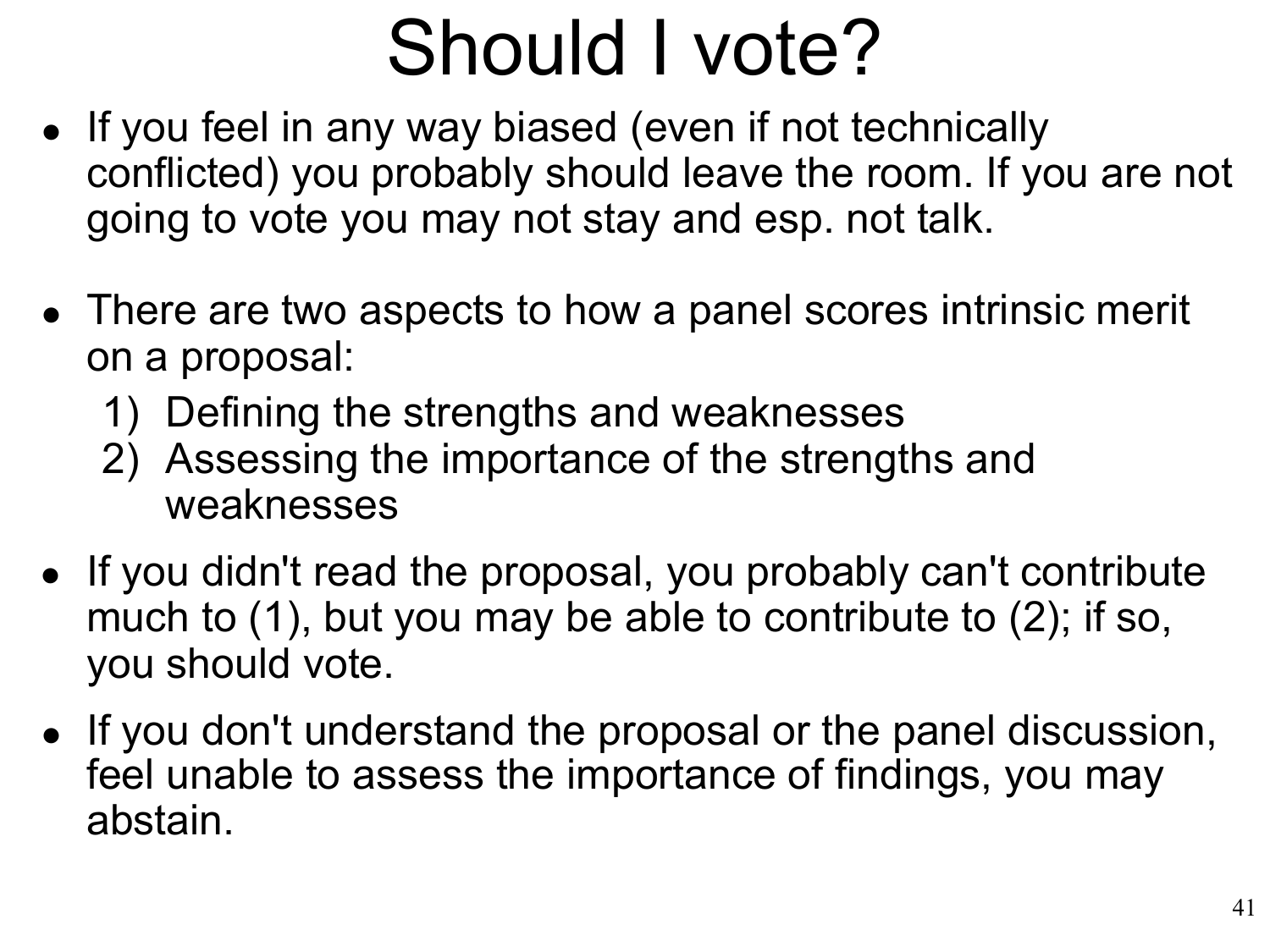# Should I vote?

- If you feel in any way biased (even if not technically conflicted) you probably should leave the room. If you are not going to vote you may not stay and esp. not talk.
- There are two aspects to how a panel scores intrinsic merit on a proposal:
	- 1) Defining the strengths and weaknesses
	- 2) Assessing the importance of the strengths and weaknesses
- If you didn't read the proposal, you probably can't contribute much to (1), but you may be able to contribute to (2); if so, you should vote.
- If you don't understand the proposal or the panel discussion, feel unable to assess the importance of findings, you may abstain.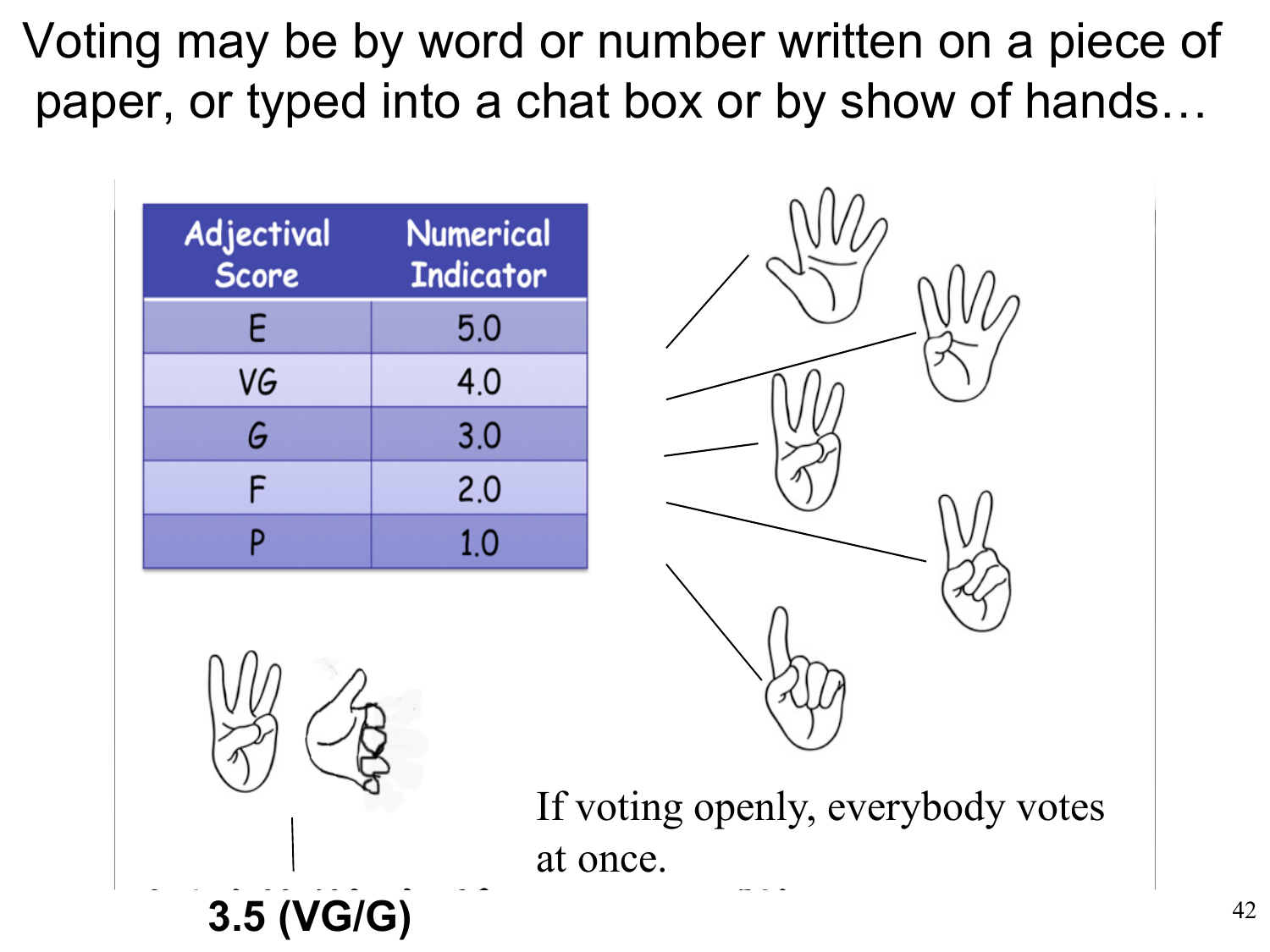paper, or typed into a chat box or by show of hands... Voting may be by word or number written on a piece of

| Adjectival<br>Score | <b>Numerical</b><br><b>Indicator</b> |  |  |
|---------------------|--------------------------------------|--|--|
| E                   | 5.0                                  |  |  |
| VG                  | 4.0                                  |  |  |
| G                   | 3.0                                  |  |  |
| F                   | 2.0                                  |  |  |
|                     | 1.0                                  |  |  |





If voting openly, everybody votes at once.

**3.5 (VG/G)**  $^{42}$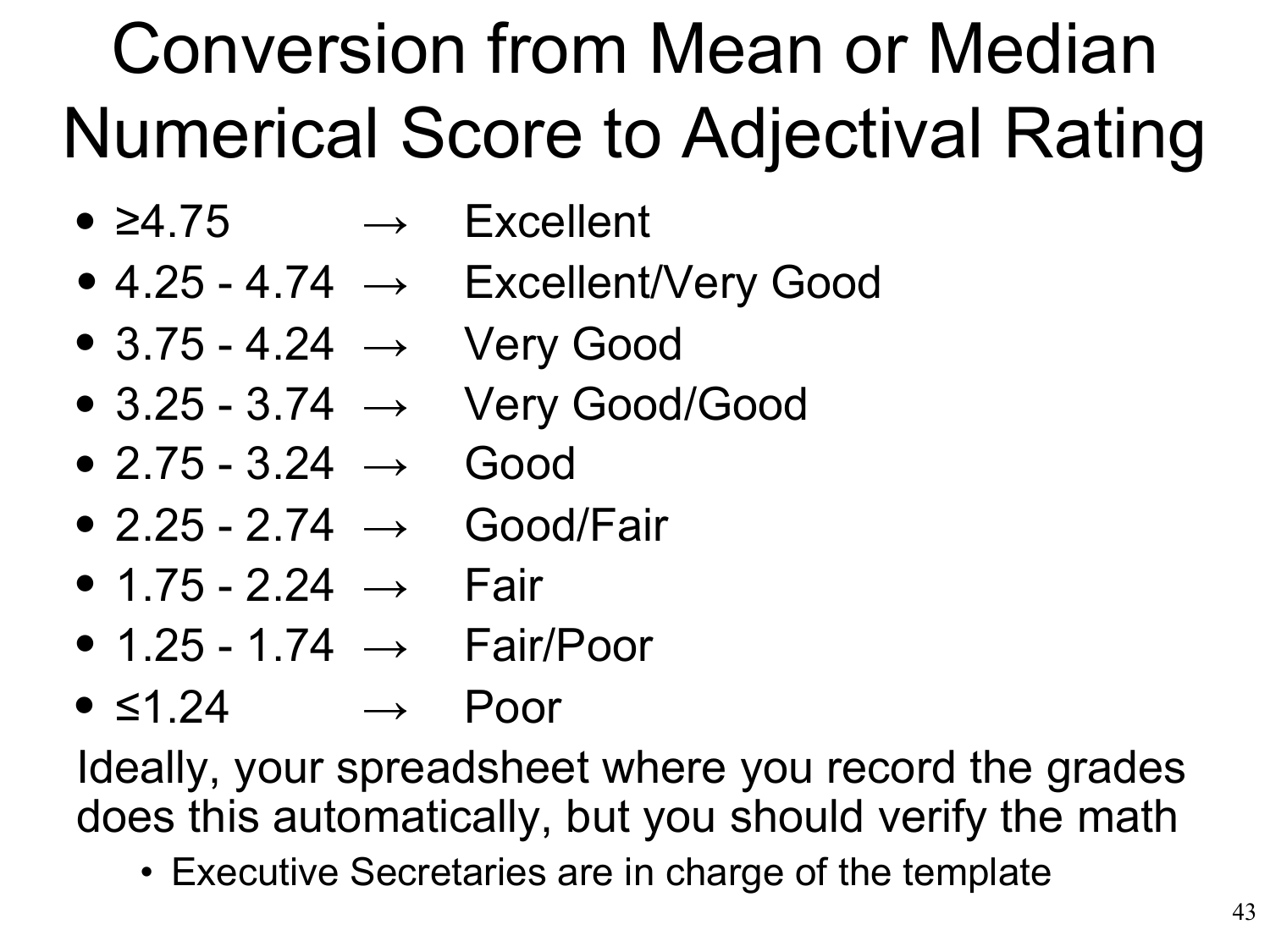## Conversion from Mean or Median Numerical Score to Adjectival Rating

- $\rightarrow$  Excellent •  $\geq 4.75$
- $\bullet$  4.25 4.74  $\rightarrow$  Excellent/Very Good
- 3.75 4.24 → Very Good
- 3.25 3.74 → Very Good/Good
- $\bullet$  2.75 3.24  $\rightarrow$  Good
- $\bullet$  2.25 2.74  $\rightarrow$  Good/Fair
- $\bullet$  1.75 2.24  $\rightarrow$  Fair
- 1.25 1.74  $\rightarrow$  Fair/Poor
- ≤1.24 → Poor •

Ideally, your spreadsheet where you record the grades does this automatically, but you should verify the math

• Executive Secretaries are in charge of the template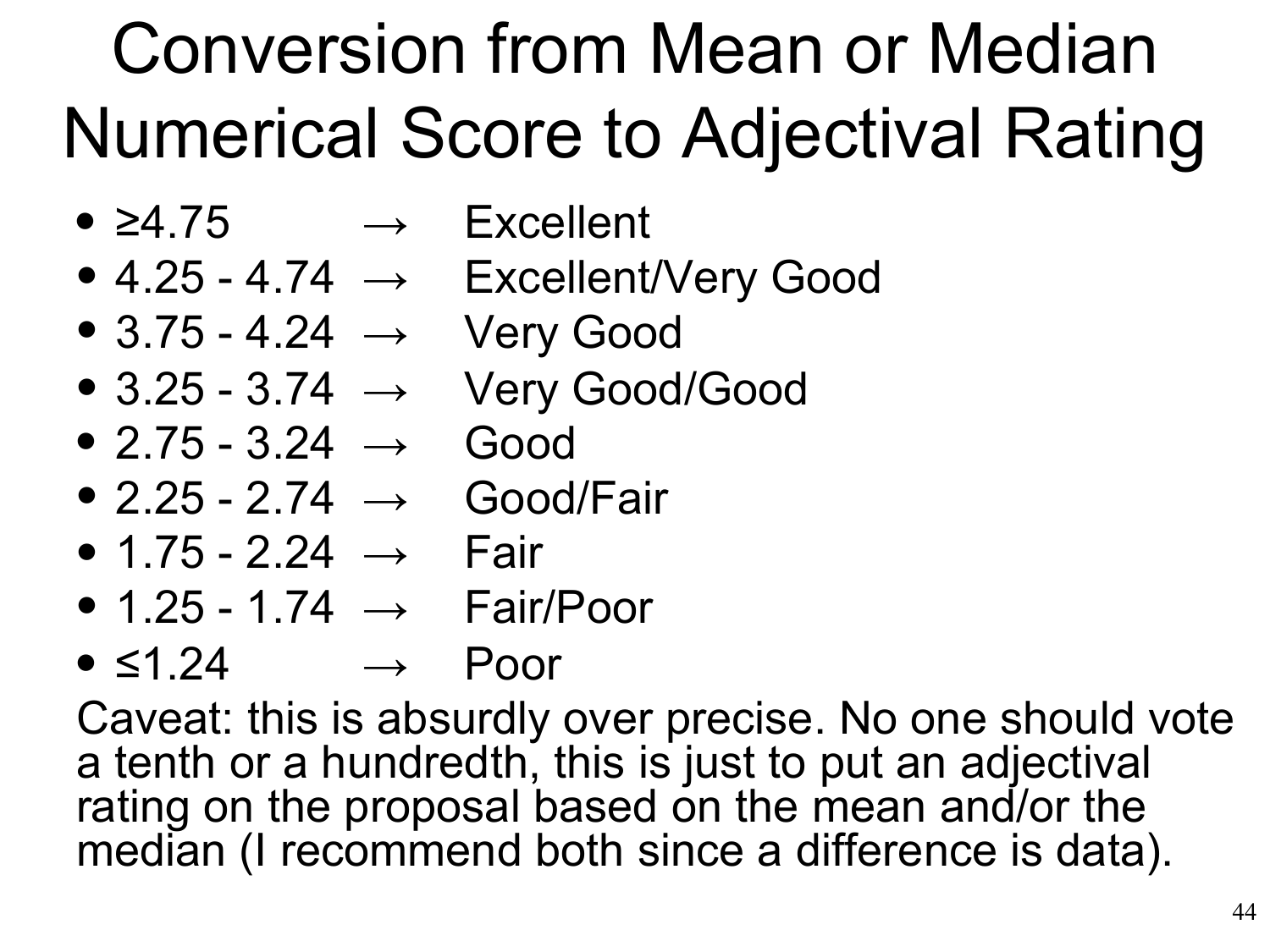## Conversion from Mean or Median Numerical Score to Adjectival Rating

- ≥4.75 → Excellent •
- $\bullet$  4.25 4.74  $\rightarrow$  Excellent/Very Good
- $\bullet$  3.75 4.24  $\rightarrow$  Very Good
- $\bullet$  3.25 3.74  $\rightarrow$  Very Good/Good
- $\bullet$  2.75 3.24  $\rightarrow$  Good
- 2.25 2.74 → Good/Fair
- $\bullet$  1.75 2.24  $\rightarrow$  Fair
- 1.25 1.74  $\rightarrow$  Fair/Poor
- ≤1.24 → Poor •

Caveat: this is absurdly over precise. No one should vote a tenth or a hundredth, this is just to put an adjectival rating on the proposal based on the mean and/or the median (I recommend both since a difference is data).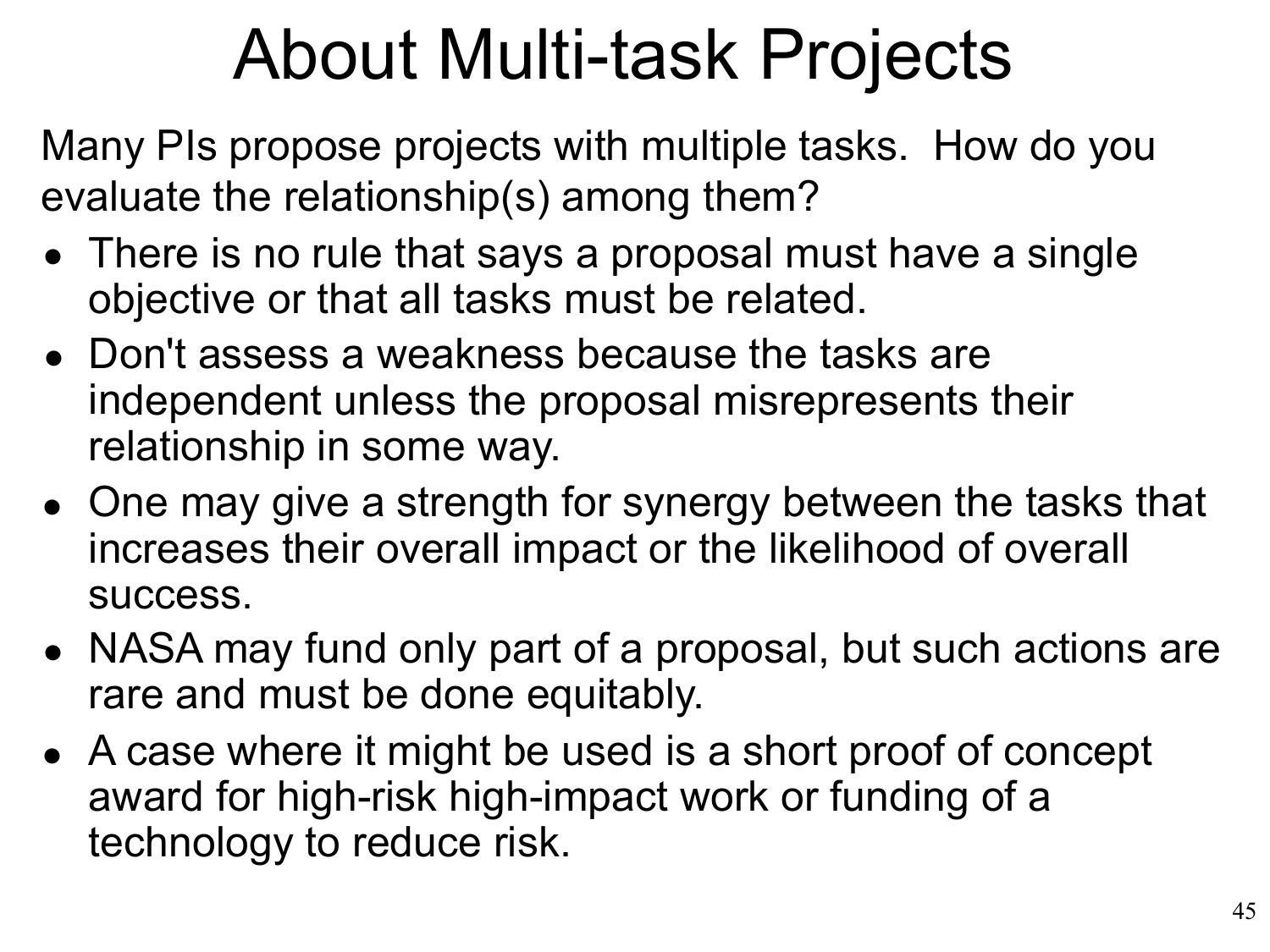### About Multi-task Projects

Many PIs propose projects with multiple tasks. How do you evaluate the relationship(s) among them?

- There is no rule that says a proposal must have a single objective or that all tasks must be related.
- Don't assess a weakness because the tasks are independent unless the proposal misrepresents their relationship in some way.
- One may give a strength for synergy between the tasks that increases their overall impact or the likelihood of overall success.
- NASA may fund only part of a proposal, but such actions are rare and must be done equitably.
- A case where it might be used is a short proof of concept •award for high-risk high-impact work or funding of a technology to reduce risk.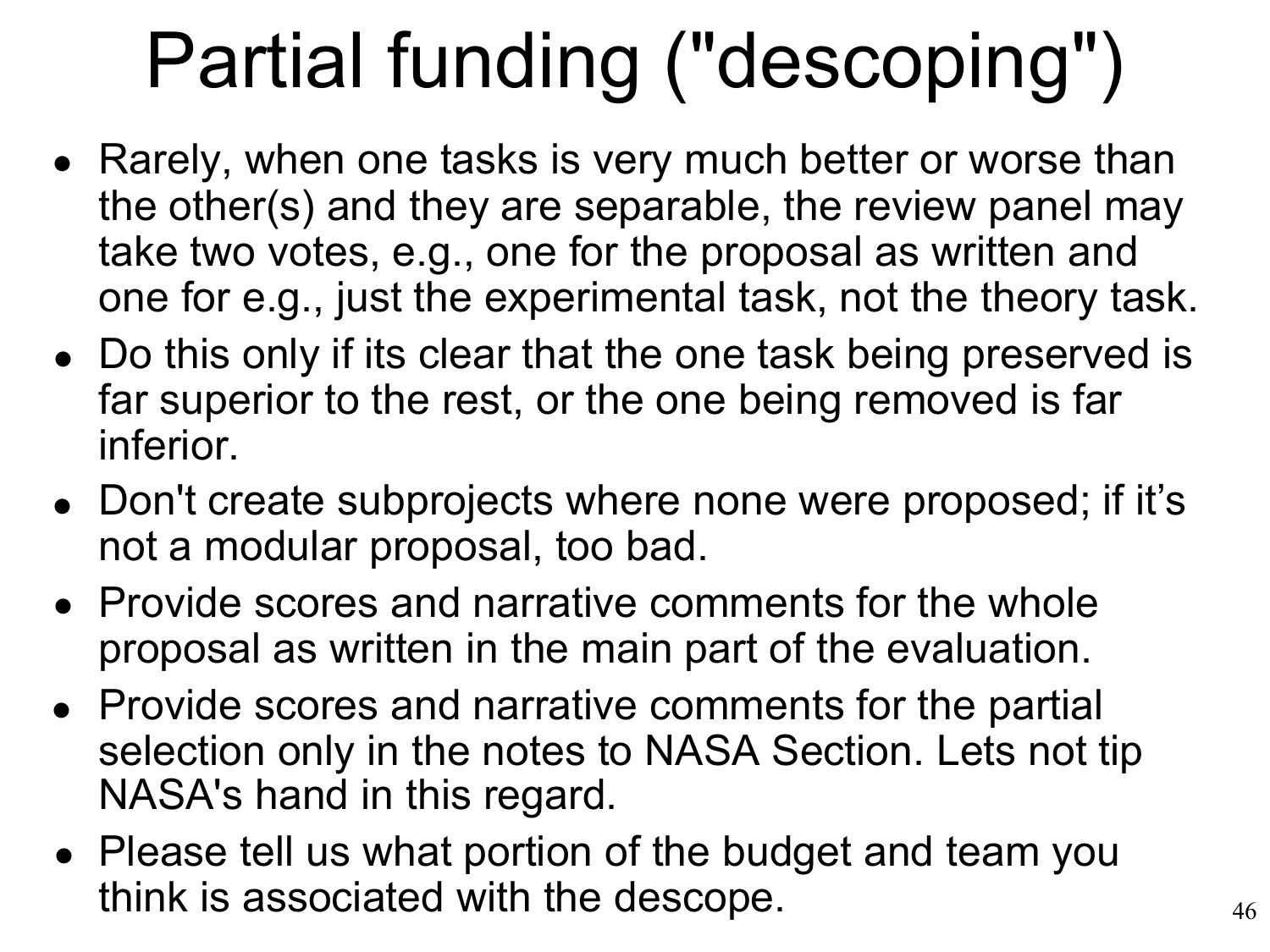# Partial funding ("descoping")

- Rarely, when one tasks is very much better or worse than the other(s) and they are separable, the review panel may take two votes, e.g., one for the proposal as written and one for e.g., just the experimental task, not the theory task.
- Do this only if its clear that the one task being preserved is far superior to the rest, or the one being removed is far inferior.
- Don't create subprojects where none were proposed; if it's not a modular proposal, too bad.
- Provide scores and narrative comments for the whole proposal as written in the main part of the evaluation.
- Provide scores and narrative comments for the partial selection only in the notes to NASA Section. Lets not tip NASA's hand in this regard.
- Please tell us what portion of the budget and team you •think is associated with the descope.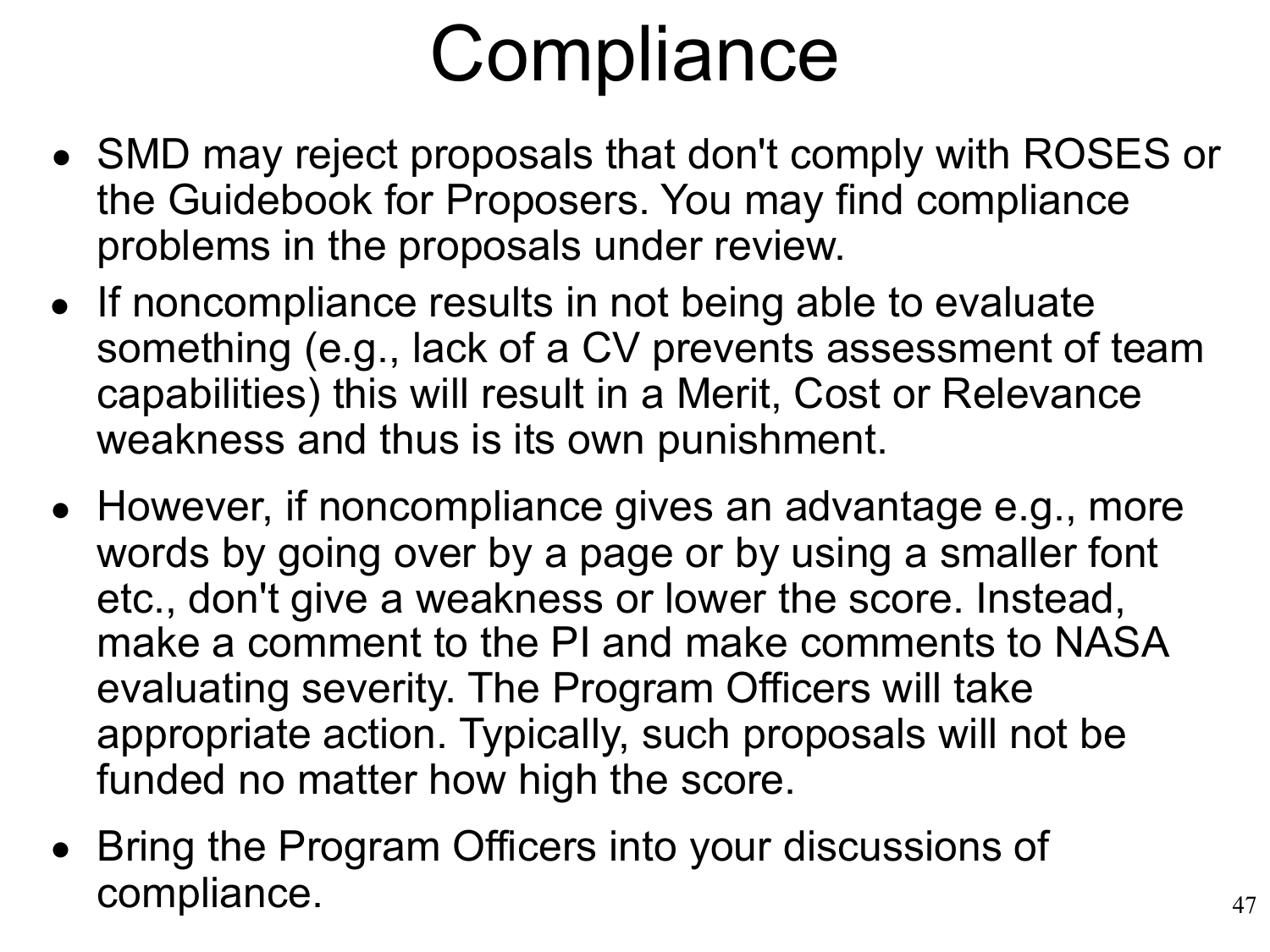# **Compliance**

- SMD may reject proposals that don't comply with ROSES or the Guidebook for Proposers. You may find compliance problems in the proposals under review.
- If noncompliance results in not being able to evaluate something (e.g., lack of a CV prevents assessment of team capabilities) this will result in a Merit, Cost or Relevance weakness and thus is its own punishment.
- However, if noncompliance gives an advantage e.g., more words by going over by a page or by using a smaller font etc., don't give a weakness or lower the score. Instead, make a comment to the PI and make comments to NASA evaluating severity. The Program Officers will take appropriate action. Typically, such proposals will not be funded no matter how high the score.
- Bring the Program Officers into your discussions of compliance.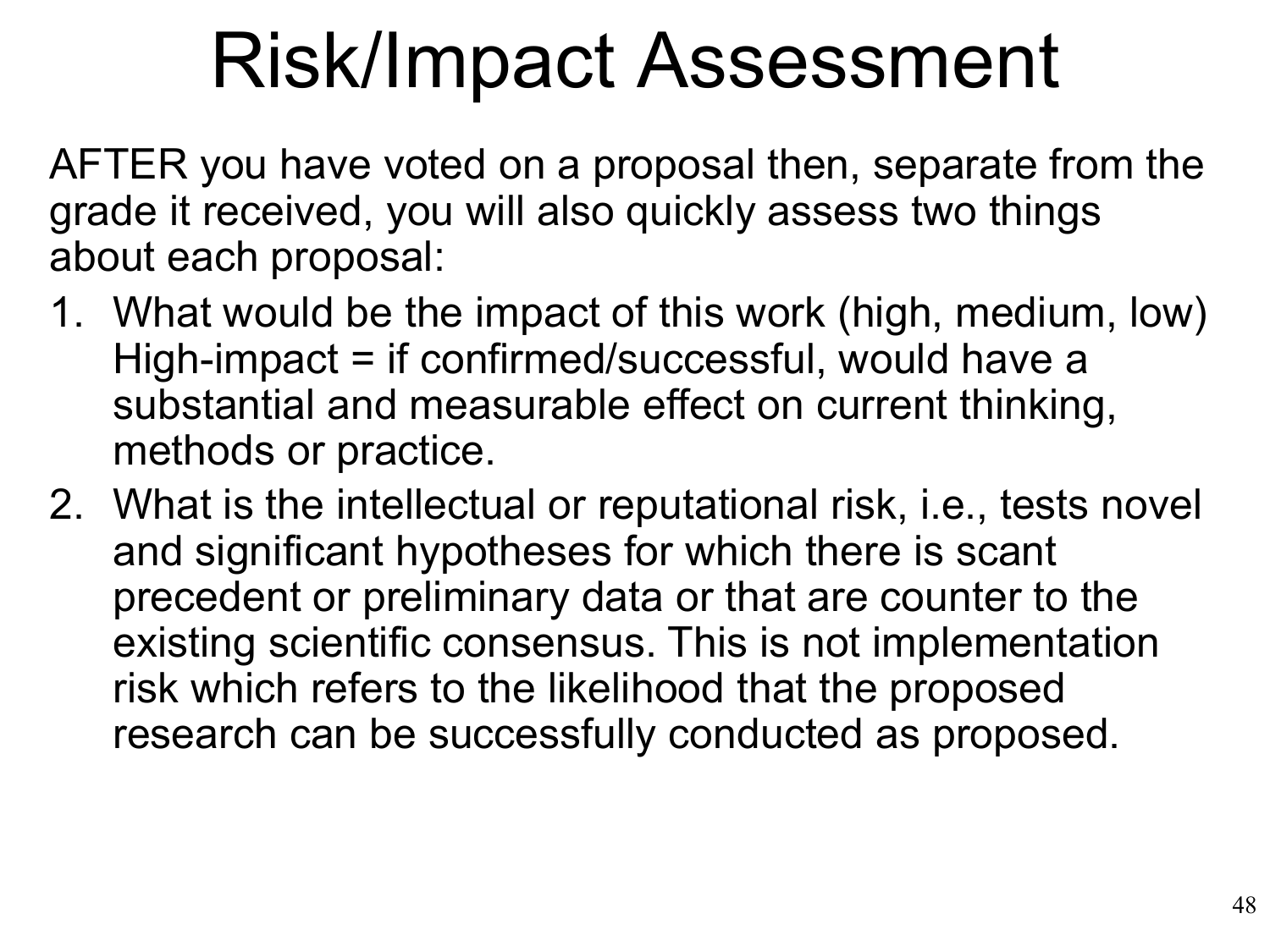## Risk/Impact Assessment

AFTER you have voted on a proposal then, separate from the grade it received, you will also quickly assess two things about each proposal:

- 1. What would be the impact of this work (high, medium, low) High-impact = if confirmed/successful, would have a substantial and measurable effect on current thinking, methods or practice.
- 2. What is the intellectual or reputational risk, i.e., tests novel and significant hypotheses for which there is scant precedent or preliminary data or that are counter to the existing scientific consensus. This is not implementation risk which refers to the likelihood that the proposed research can be successfully conducted as proposed.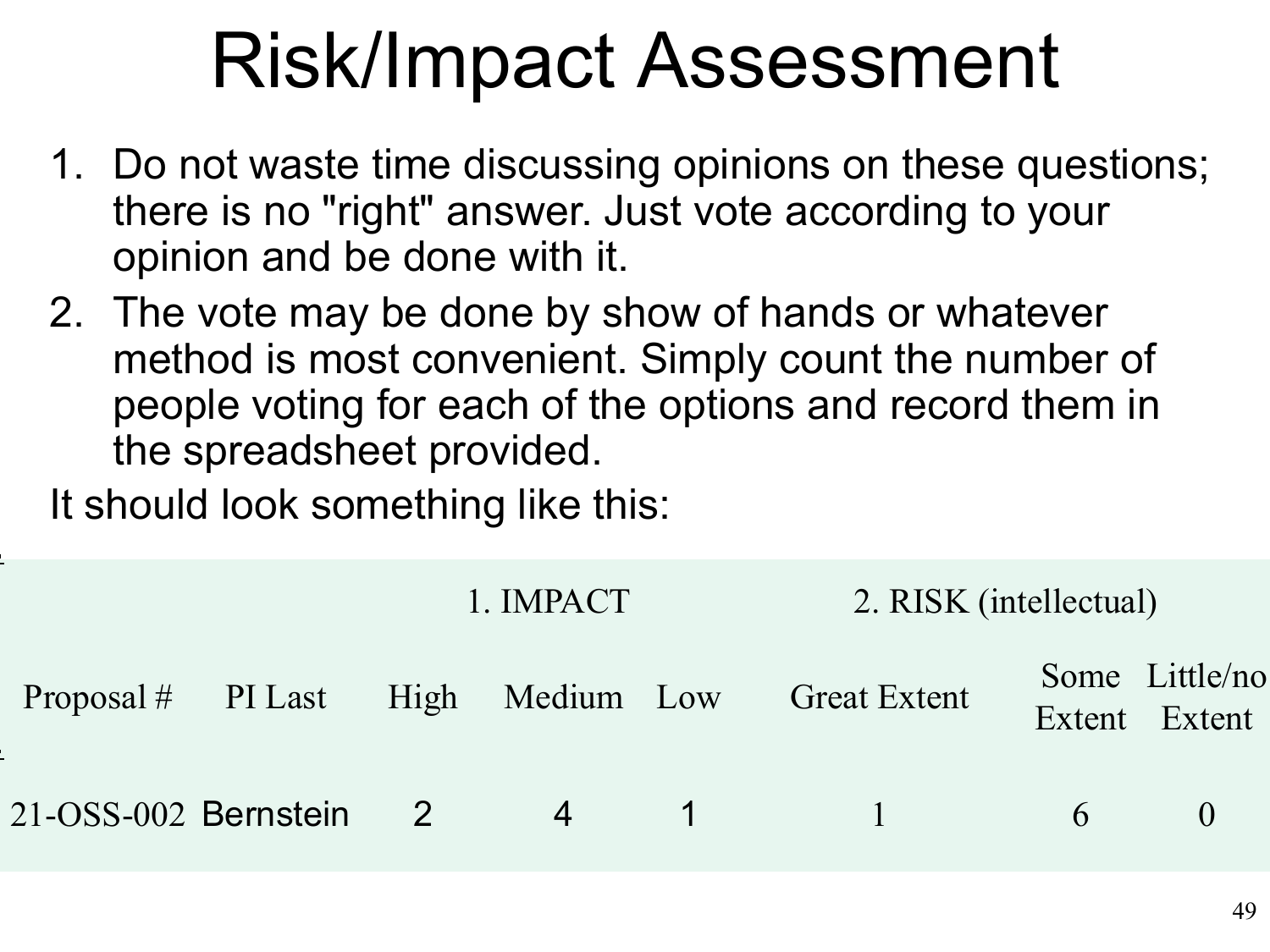## Risk/Impact Assessment

- 1. Do not waste time discussing opinions on these questions; there is no "right" answer. Just vote according to your opinion and be done with it.
- 2. The vote may be done by show of hands or whatever method is most convenient. Simply count the number of people voting for each of the options and record them in the spreadsheet provided.

It should look something like this:

|                      | 1. IMPACT |                |                 | 2. RISK (intellectual)                          |                |                                 |
|----------------------|-----------|----------------|-----------------|-------------------------------------------------|----------------|---------------------------------|
|                      |           |                |                 | Proposal # PI Last High Medium Low Great Extent |                | Some Little/no<br>Extent Extent |
| 21-OSS-002 Bernstein | 2         | $\overline{4}$ | $\sim$ 1 $\sim$ | $\sqrt{2}$ 1.12                                 | 6 <sup>1</sup> |                                 |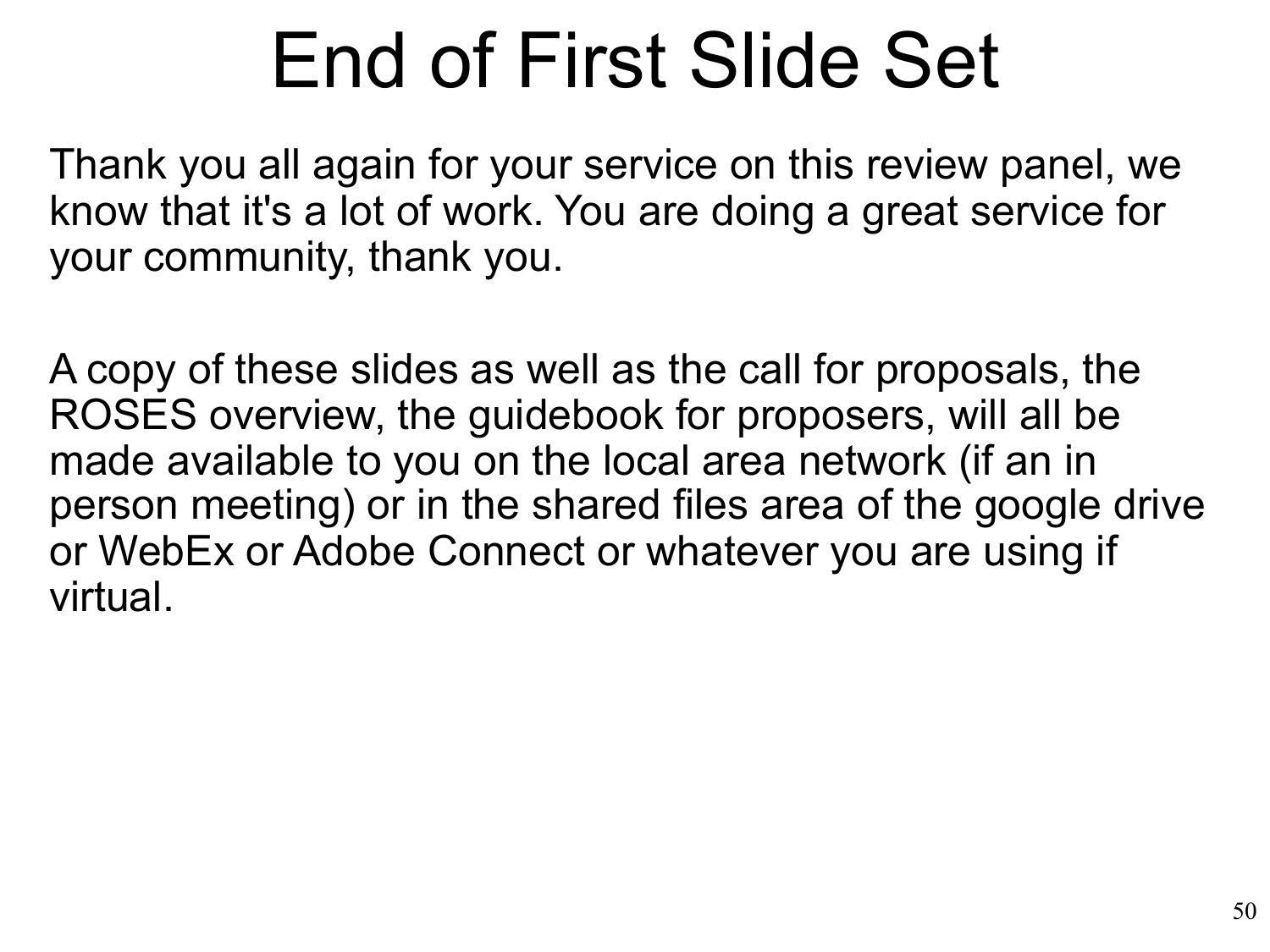## End of First Slide Set

Thank you all again for your service on this review panel, we know that it's a lot of work. You are doing a great service for your community, thank you.

A copy of these slides as well as the call for proposals, the ROSES overview, the guidebook for proposers, will all be made available to you on the local area network (if an in person meeting) or in the shared files area of the google drive or WebEx or Adobe Connect or whatever you are using if virtual.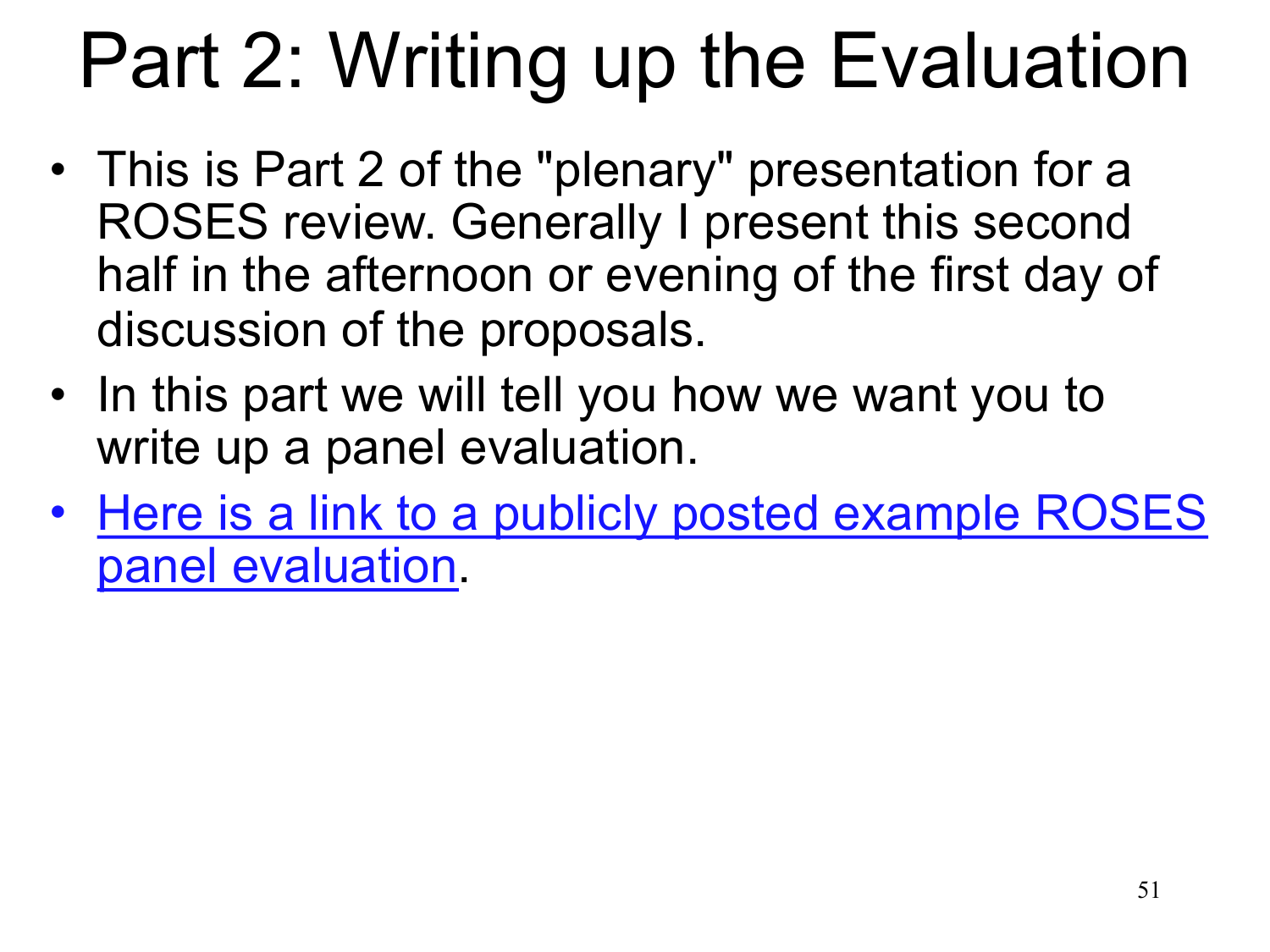# Part 2: Writing up the Evaluation

- This is Part 2 of the "plenary" presentation for a ROSES review. Generally I present this second half in the afternoon or evening of the first day of discussion of the proposals.
- In this part we will tell you how we want you to write up a panel evaluation.
- [Here is a link to a publicly posted example ROSES](https://smd-prod.s3.amazonaws.com/science-pink/s3fs-public/atoms/files/Example%20ROSES%20Panel%20evaluation.pdf)  panel evaluation.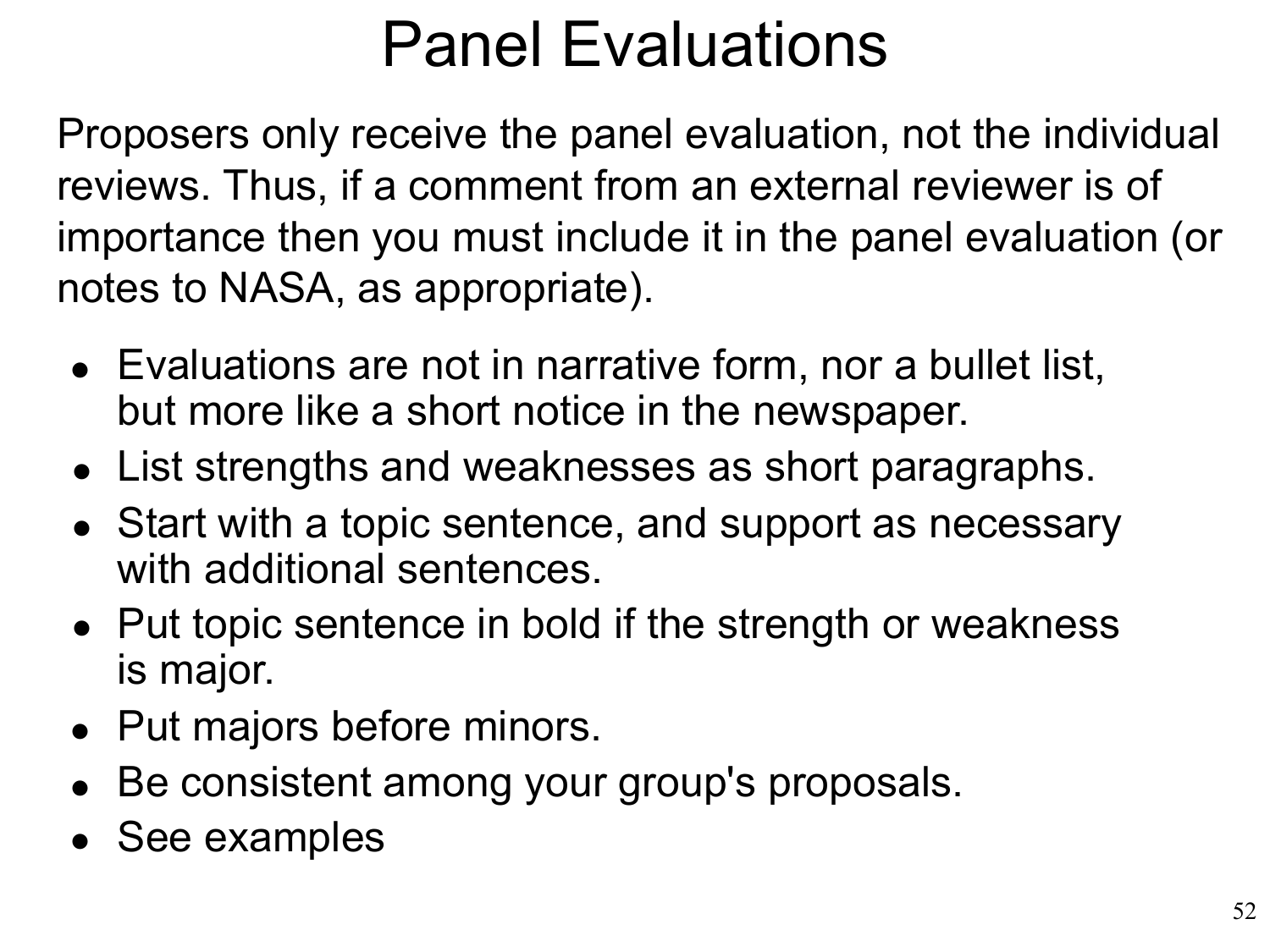#### Panel Evaluations

Proposers only receive the panel evaluation, not the individual reviews. Thus, if a comment from an external reviewer is of importance then you must include it in the panel evaluation (or notes to NASA, as appropriate).

- Evaluations are not in narrative form, nor a bullet list, but more like a short notice in the newspaper.
- List strengths and weaknesses as short paragraphs. •
- Start with a topic sentence, and support as necessary with additional sentences.
- Put topic sentence in bold if the strength or weakness is major.
- Put majors before minors.
- Be consistent among your group's proposals. •
- See examples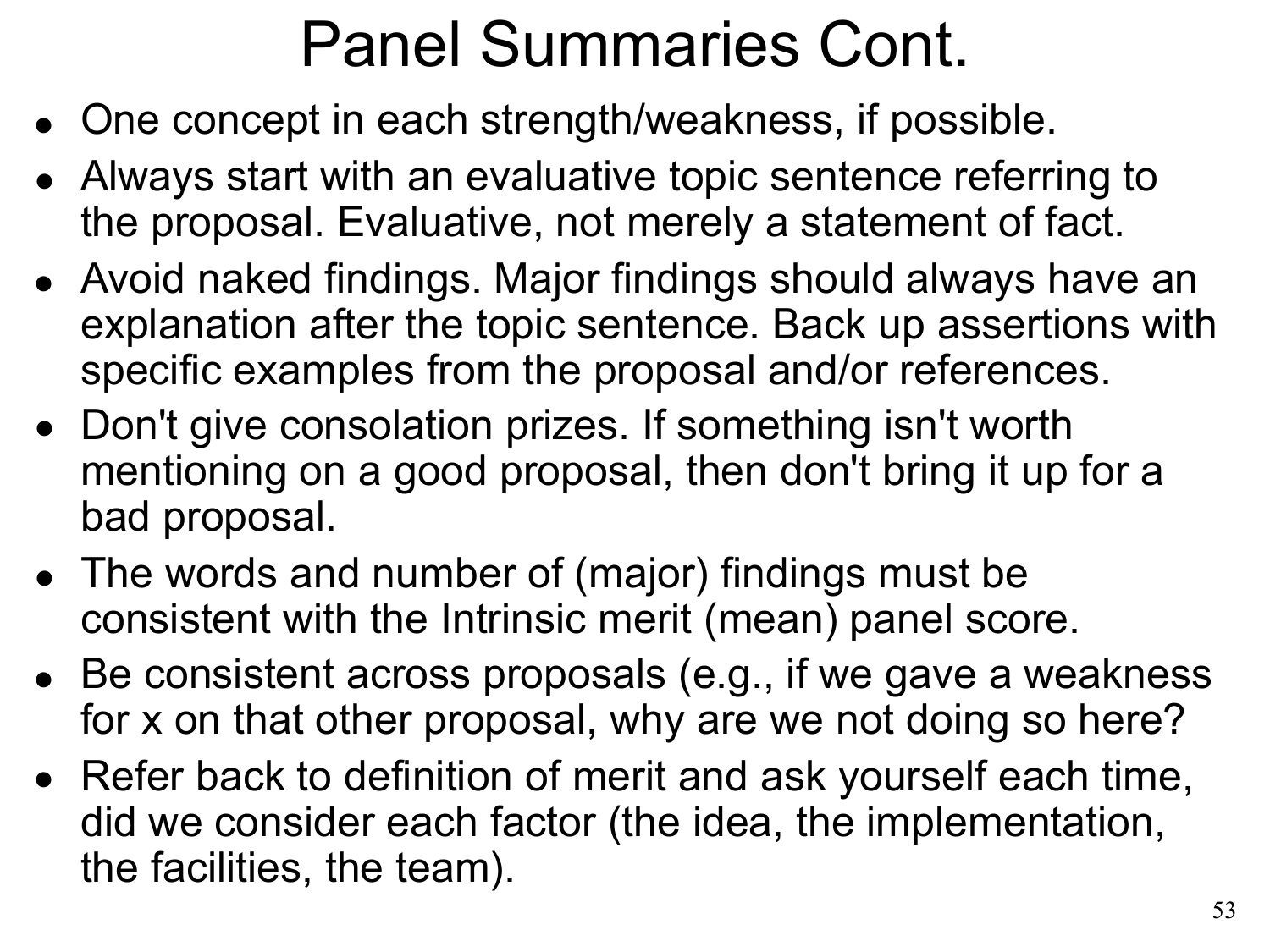#### Panel Summaries Cont.

- One concept in each strength/weakness, if possible. •
- Always start with an evaluative topic sentence referring to the proposal. Evaluative, not merely a statement of fact.
- Avoid naked findings. Major findings should always have an explanation after the topic sentence. Back up assertions with specific examples from the proposal and/or references.
- Don't give consolation prizes. If something isn't worth mentioning on a good proposal, then don't bring it up for a bad proposal.
- The words and number of (major) findings must be consistent with the Intrinsic merit (mean) panel score.
- Be consistent across proposals (e.g., if we gave a weakness for x on that other proposal, why are we not doing so here?
- Refer back to definition of merit and ask yourself each time, •did we consider each factor (the idea, the implementation, the facilities, the team).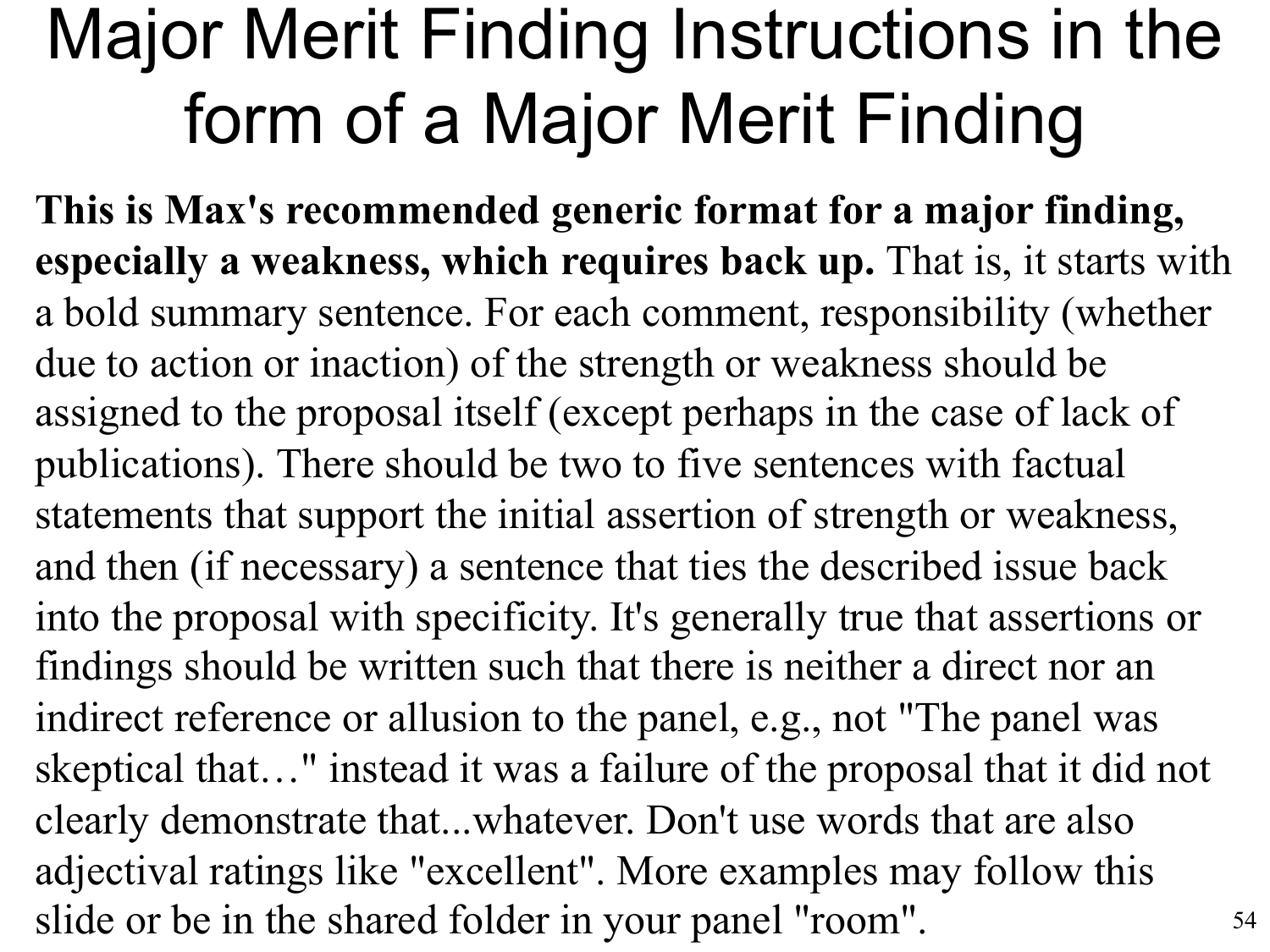#### Major Merit Finding Instructions in the form of a Major Merit Finding

54 **This is Max's recommended generic format for a major finding, especially a weakness, which requires back up.** That is, it starts with a bold summary sentence. For each comment, responsibility (whether due to action or inaction) of the strength or weakness should be assigned to the proposal itself (except perhaps in the case of lack of publications). There should be two to five sentences with factual statements that support the initial assertion of strength or weakness, and then (if necessary) a sentence that ties the described issue back into the proposal with specificity. It's generally true that assertions or findings should be written such that there is neither a direct nor an indirect reference or allusion to the panel, e.g., not "The panel was skeptical that…" instead it was a failure of the proposal that it did not clearly demonstrate that...whatever. Don't use words that are also adjectival ratings like "excellent". More examples may follow this slide or be in the shared folder in your panel "room".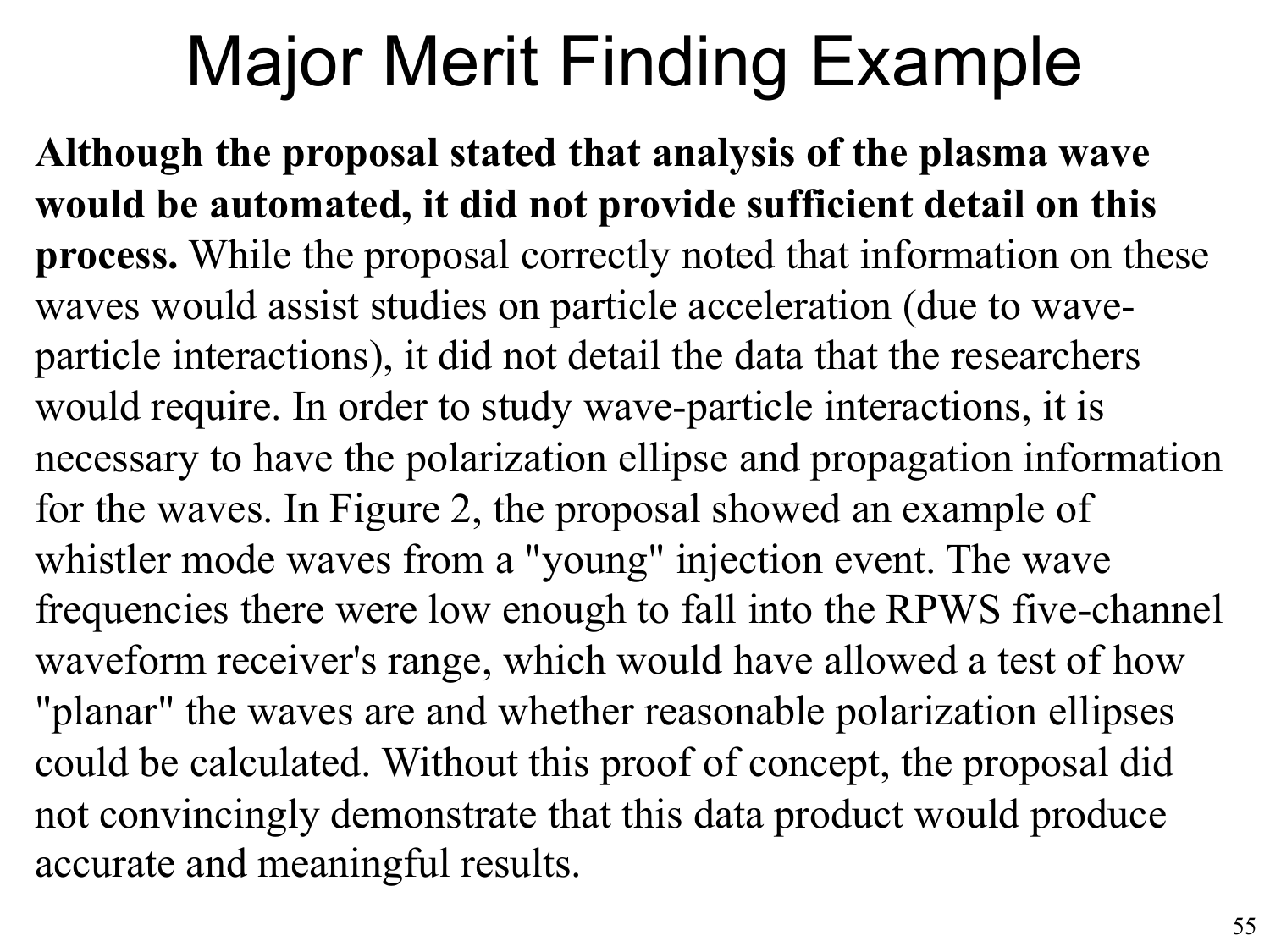### Major Merit Finding Example

**Although the proposal stated that analysis of the plasma wave would be automated, it did not provide sufficient detail on this process.** While the proposal correctly noted that information on these waves would assist studies on particle acceleration (due to waveparticle interactions), it did not detail the data that the researchers would require. In order to study wave-particle interactions, it is necessary to have the polarization ellipse and propagation information for the waves. In Figure 2, the proposal showed an example of whistler mode waves from a "young" injection event. The wave frequencies there were low enough to fall into the RPWS five-channel waveform receiver's range, which would have allowed a test of how "planar" the waves are and whether reasonable polarization ellipses could be calculated. Without this proof of concept, the proposal did not convincingly demonstrate that this data product would produce accurate and meaningful results.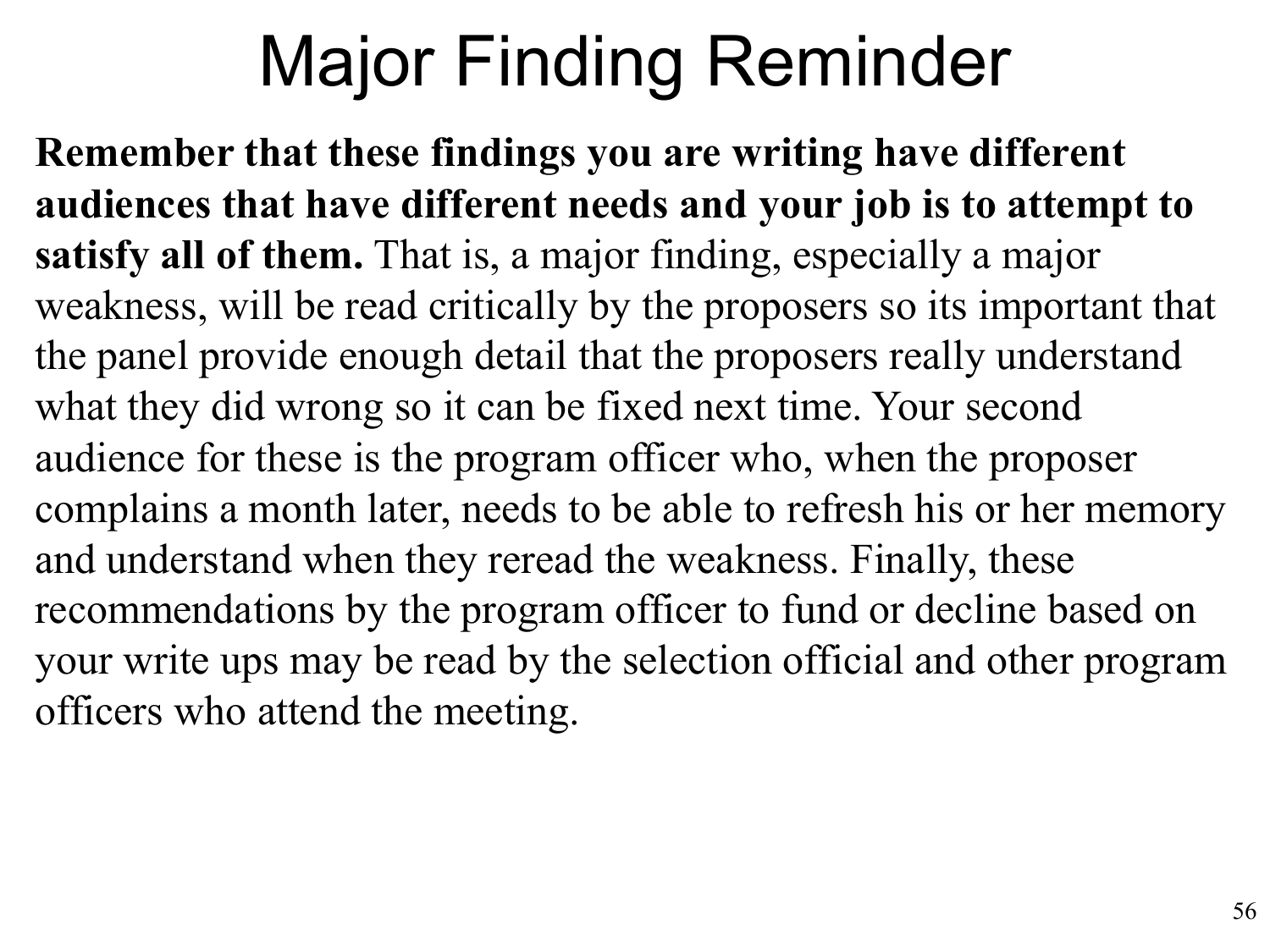### Major Finding Reminder

**Remember that these findings you are writing have different audiences that have different needs and your job is to attempt to satisfy all of them.** That is, a major finding, especially a major weakness, will be read critically by the proposers so its important that the panel provide enough detail that the proposers really understand what they did wrong so it can be fixed next time. Your second audience for these is the program officer who, when the proposer complains a month later, needs to be able to refresh his or her memory and understand when they reread the weakness. Finally, these recommendations by the program officer to fund or decline based on your write ups may be read by the selection official and other program officers who attend the meeting.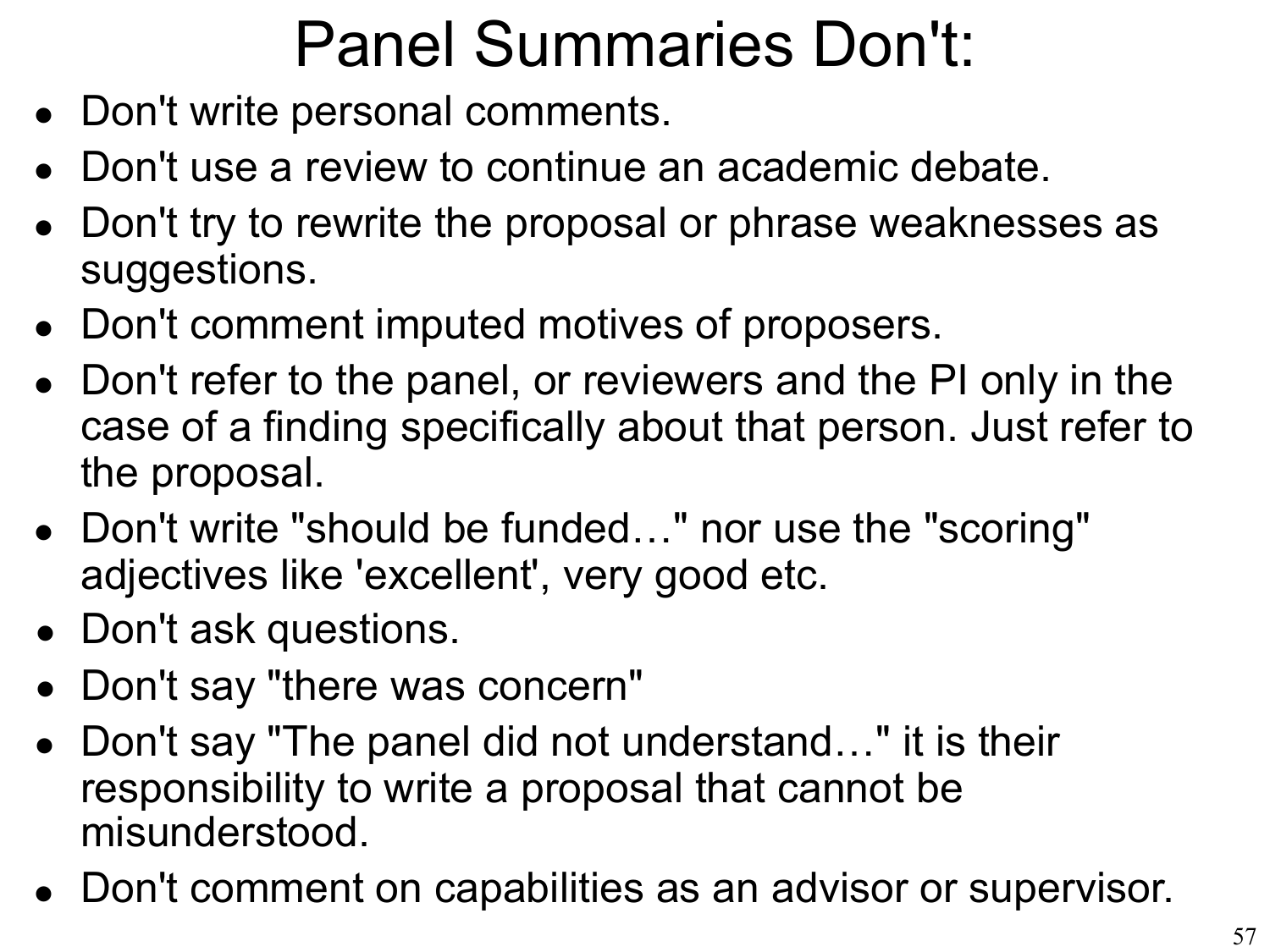#### Panel Summaries Don't:

- Don't write personal comments. •
- Don't use a review to continue an academic debate. •
- Don't try to rewrite the proposal or phrase weaknesses as suggestions.
- Don't comment imputed motives of proposers. •
- Don't refer to the panel, or reviewers and the PI only in the case of a finding specifically about that person. Just refer to the proposal.
- Don't write "should be funded…" nor use the "scoring" adjectives like 'excellent', very good etc.
- Don't ask questions.
- Don't say "there was concern"
- Don't say "The panel did not understand…" it is their responsibility to write a proposal that cannot be misunderstood.
- Don't comment on capabilities as an advisor or supervisor. •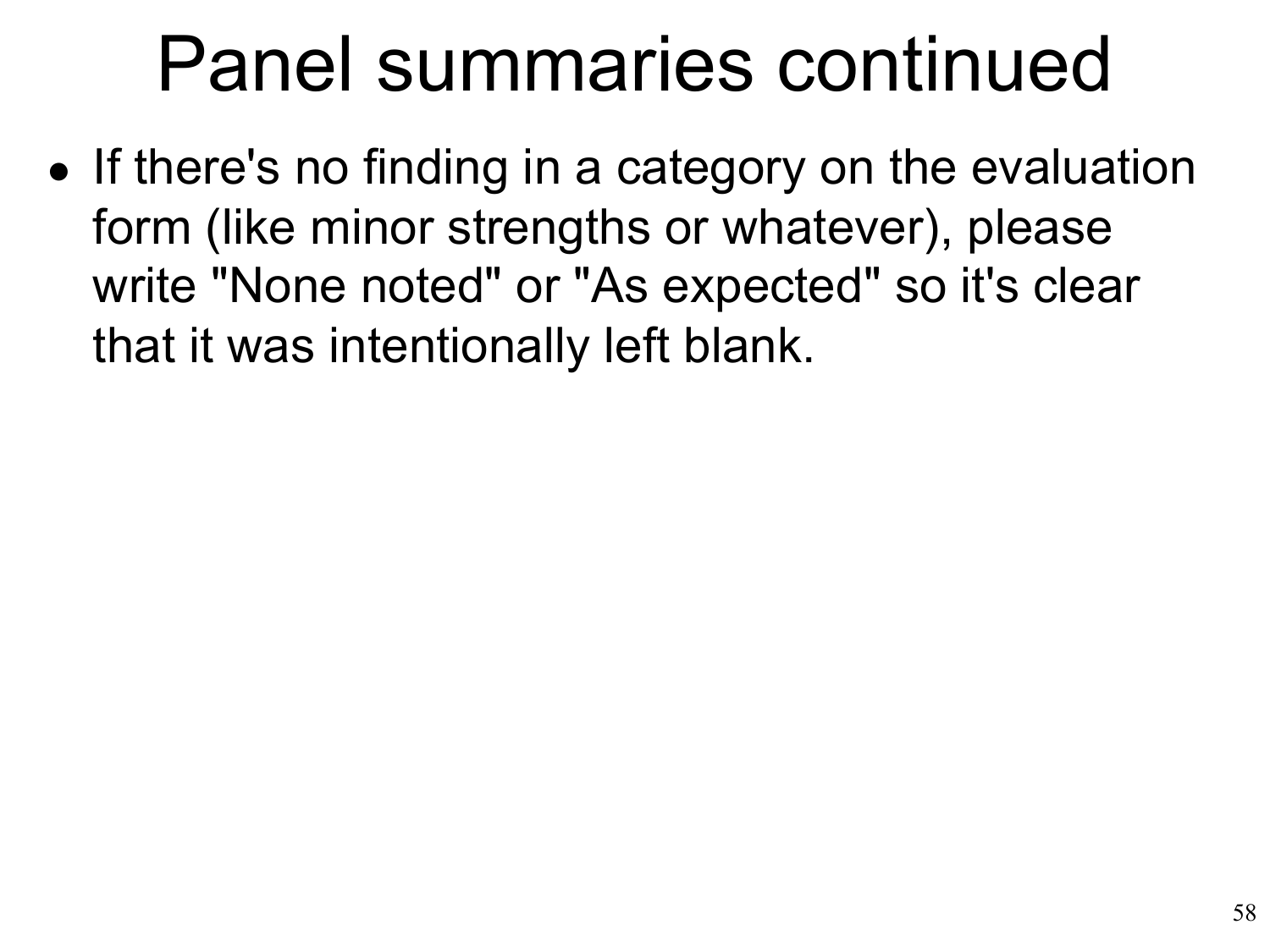## Panel summaries continued

• If there's no finding in a category on the evaluation form (like minor strengths or whatever), please write "None noted" or "As expected" so it's clear that it was intentionally left blank.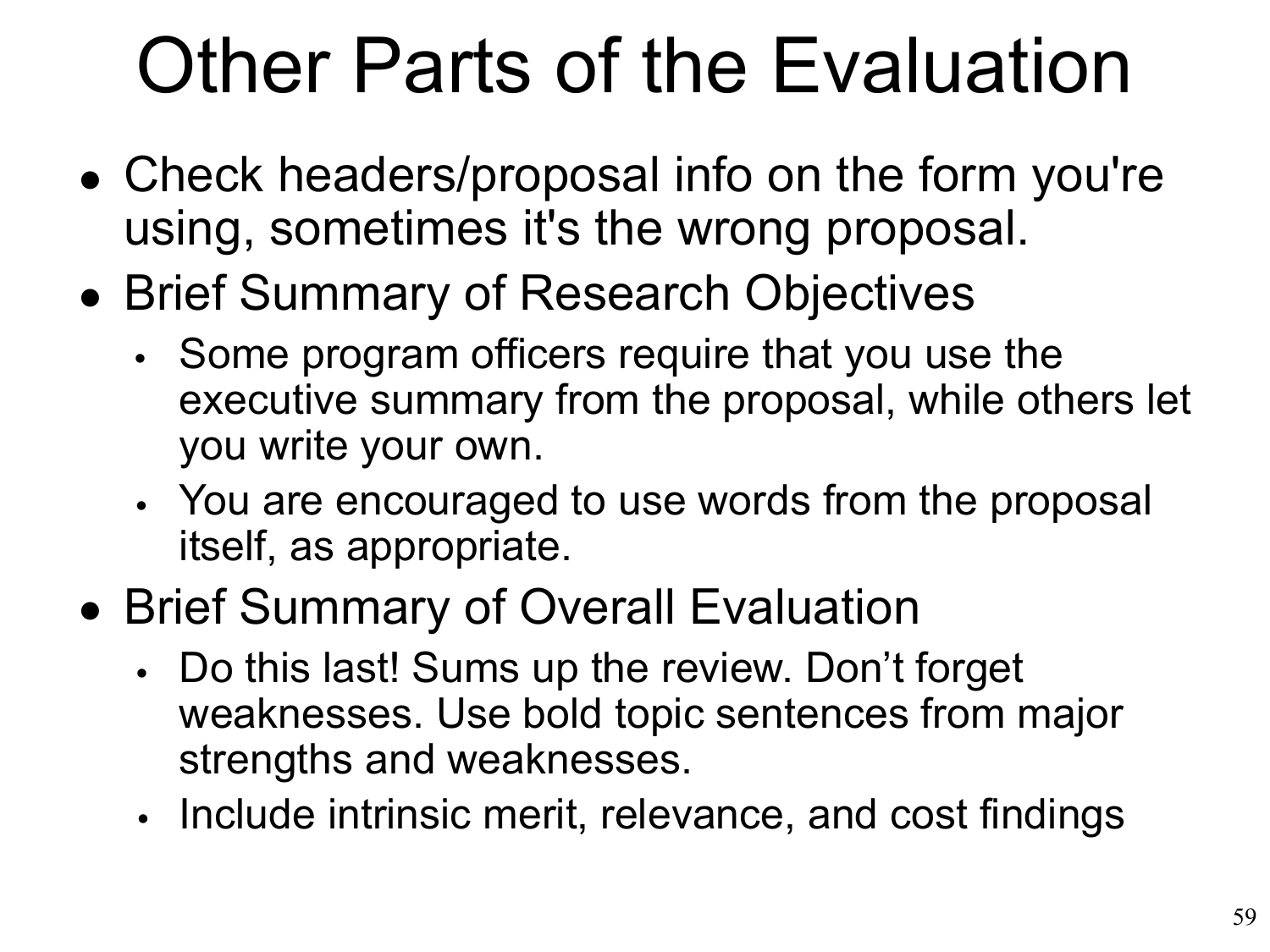# Other Parts of the Evaluation

- Check headers/proposal info on the form you're using, sometimes it's the wrong proposal.
- Brief Summary of Research Objectives
	- Some program officers require that you use the executive summary from the proposal, while others let you write your own.
	- You are encouraged to use words from the proposal itself, as appropriate.
- Brief Summary of Overall Evaluation
	- Do this last! Sums up the review. Don't forget weaknesses. Use bold topic sentences from major strengths and weaknesses.
	- Include intrinsic merit, relevance, and cost findings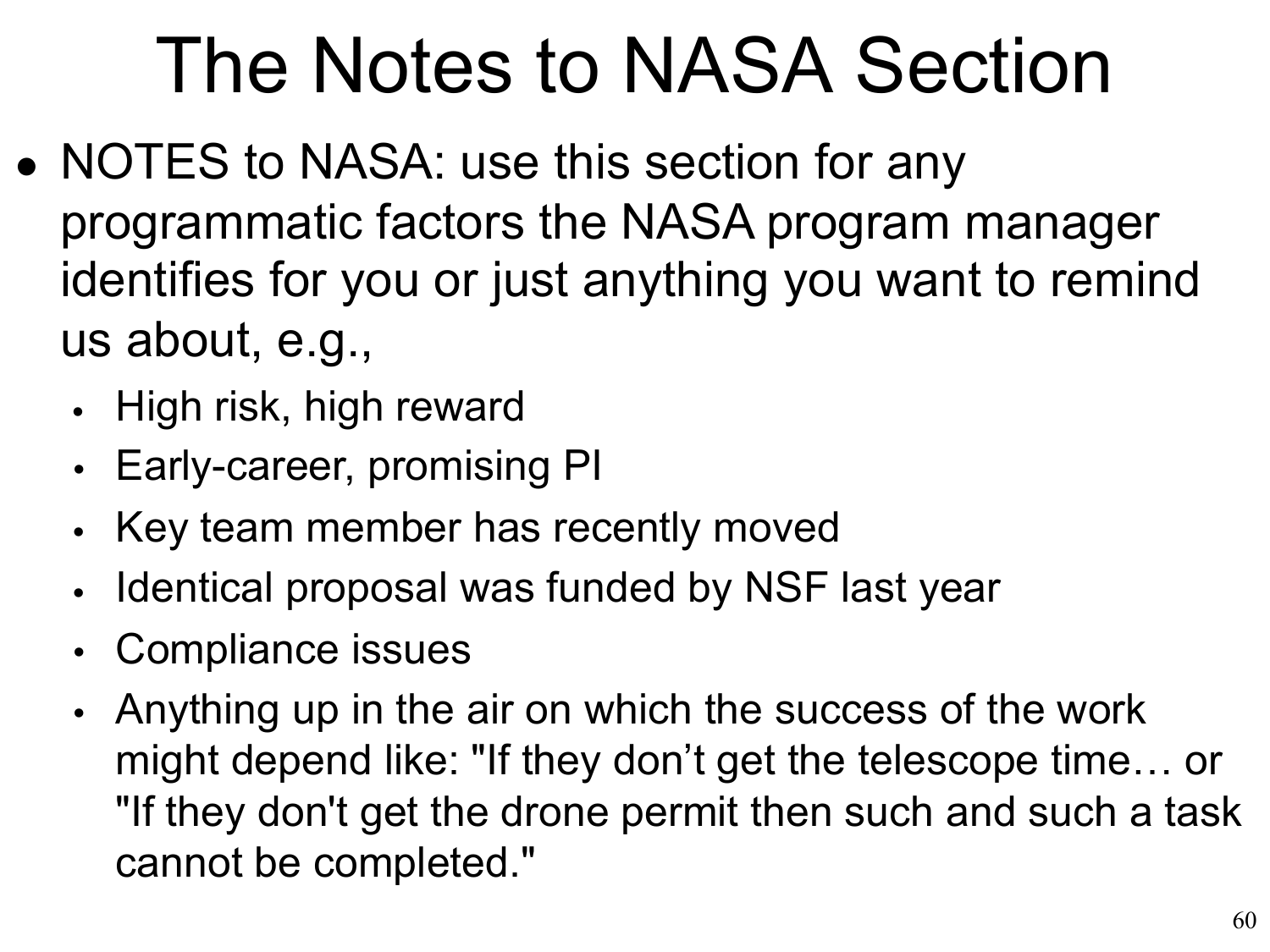# The Notes to NASA Section

- NOTES to NASA: use this section for any programmatic factors the NASA program manager identifies for you or just anything you want to remind us about, e.g.,
	- High risk, high reward
	- Early-career, promising PI
	- Key team member has recently moved  $\bullet$
	- Identical proposal was funded by NSF last year  $\bullet$
	- Compliance issues •
	- Anything up in the air on which the success of the work •might depend like: "If they don't get the telescope time… or "If they don't get the drone permit then such and such a task cannot be completed."